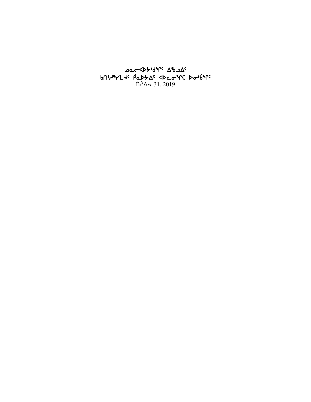oo⊂<bት<sub>ነ</sub>۹للام על bበነሥነገር የመገንያ የተማመግግና የመካሄል የ  $\bigcap$   $\bigcap_{n=1}^{\infty}$  31, 2019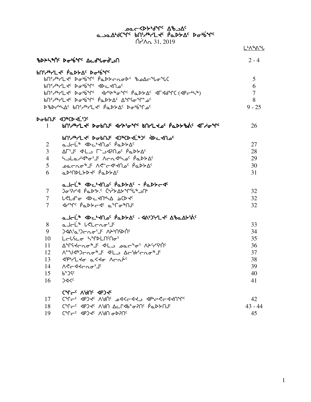A-JAA 31, 2019<br>A-JAA 31, JAA 31, 2019<br>A-A-31, 2019

|                |                                                                                                                | L <sup></sup> 'ለ <sub>'</sub> ል*ሁ |
|----------------|----------------------------------------------------------------------------------------------------------------|-----------------------------------|
|                | <b>ზ</b> DAS AG Dobre Acd to di                                                                                | $2 - 4$                           |
|                | bny PL te PappAc Dobine                                                                                        |                                   |
|                | bn', Arl de bobine papperope bode to the                                                                       | 5                                 |
|                | bn Andry Dabine dectno                                                                                         | 6                                 |
|                | bn < developments advents in the developments of the control of the books of the books of the control of the b | $\overline{7}$                    |
|                | bn Arl de Dobine PappAe Announce                                                                               | 8                                 |
|                | DBDCHAC bnechtle PaDSAC Dobinac                                                                                | $9 - 25$                          |
|                | DabOJC 42ªCD TL'2C                                                                                             |                                   |
| 1              | bNidarLts DapUls dripians BULLTOs baddays dLyans                                                               | 26                                |
|                | <b>PUINALE DOPUL ADACDELADE ADEFUTE</b>                                                                        |                                   |
| $\overline{2}$ | ماحلّ <sup>ه</sup> ۳۴ د <sup>ه ک</sup> ام <sup>د</sup> ۱۹۶ میلاد                                               | 27                                |
| $\overline{3}$ | ٬ A−۱۴ مـ∩?4ت'۲ دـا+4 بــا∆ ۲۰                                                                                 | 28                                |
| $\overline{4}$ | hulard of Candho Papto                                                                                         | 29                                |
| 5              | ᠊ᢁᡏ᠆ᠮ᠖᠈ᡏ᠆᠙ᡒᢄ᠆ᡧᢂ᠕᠀᠂ᠾ᠉᠊ᢆᢁᠴᠫ                                                                                      | 30                                |
| 6              | aDODLYDY PaDYAC                                                                                                | 31                                |
|                | ماحلَّة Abc المراجل فهالملا - المالمجرجة                                                                       |                                   |
| $\tau$         | <u>) አልነገል የአልነገል የተለያ የተለያ አ</u> ን                                                                            | 32                                |
| $\tau$         | LELd" or <dc<mla incd<fc<="" td=""><td>32</td></dc<mla>                                                        | 32                                |
| $\tau$         | ᡏᢈᢪᡵ᠖ᢆ᠖ᡗᢣᢄᡕᡏ᠂ᡏ᠆ᢐ᠉ᠾ                                                                                             | 32                                |
|                | a Jel * JDC +JU OC PaDSAC - JADSYL JC ABaASSAC                                                                 |                                   |
| 8              | a Jal <sup>is</sup> lelanoi <sup>e</sup>                                                                       | 33                                |
| 9              | <b>CAN'a'Jong's APMPO</b>                                                                                      | 34                                |
| 10             | Lelfeo SYDLNMo'                                                                                                | 35                                |
| 11             |                                                                                                                | 36                                |
| 12             | ᠕ᢆ᠆ᡨᡃᢦ᠗᠆᠘ᡉᡑᡌ᠂᠂ᡏᡛᢇ᠑ᡁ᠆ᡁ᠘᠂ᢕ᠆ᠾᢂ                                                                                    | 37                                |
| 13             | <b>SPHL to a Sto Arais</b>                                                                                     | 38                                |
| 14             | ∖לר ללרת סי⊥י                                                                                                  | 39                                |
| 15             | <b>P</b> Jdc                                                                                                   | 40                                |
| 16             | 34<                                                                                                            | 41                                |
|                | CAL <sup>C</sup> C VAUC 46J4c                                                                                  |                                   |
| 17             | CAL GOS ARIO CALLAS AGPS CALL ANG                                                                              | 42                                |
| 18             |                                                                                                                | $43 - 44$                         |
| 19             |                                                                                                                | 45                                |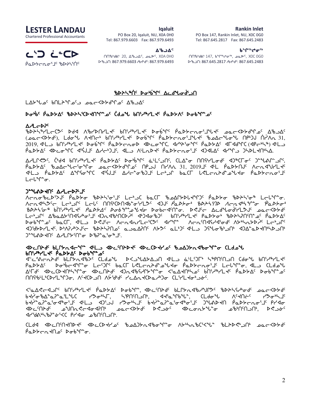#### Rankin Inlet

LESTER LANDAU Chartered Professional Accountants

**Iqaluit** PO Box 20, Iqaluit, NU, X0A 0H0 Tel: 867.979.6603 Fax: 867.979.6493

PO Box 147, Rankin Inlet, NU, X0C 0G0 Tel: 867.645.2817 Fax: 867.645.2483

ᑎᑎᖃᒃᑯᕕᒃ 147, ᑲᖏᕐᒃᖠᓂᕐᒃ, ᓄᓇᕗᑦ, X0C 0G0 ᐅᖃᓘᑎ: 867.645.2817 ᓱᑲᔪᒃᑯᑦ: 867.645.2483

ᑲᖏᕐᒃᖠᓂᕐᒃ

ᓚᔅᑐ ᓛᓐᑕᐅ Particle ᐃᖃᓗᐃᑦ

ᑎᑎᖃᒃᑯᕕᒃ 20, ᐃᖃᓗᐃᑦ, ᓄᓇᕗᑦ, X0A 0H0 ᐅᖃᓘᑎ: 867.979.6603 ᓱᑲᔪᒃᑯᑦ: 867.979.6493

# cspn6`t5 si4`vq5 wMfzi`f3Lt

 $L\Delta 5^{\circ}$ مد  $\Delta^{6}$  kn $L\Delta 7^{\circ}$  مصر $\Delta 8^{\circ}$   $\Delta 8^{\circ}$   $\Delta 9^{\circ}$ 

## si`4v5 `rNs/w5 cspn3bsJtq8k5 `bfkz vt3h6ymJ5 si`4v5 `rNs/w5 cspn3bsJtq8k5 `bfkz vt3h6ymJ5vt3h6ymJ5`rNs/W5 sivq8k5 `rNs/W5 sivq8k5

#### AdLC<sub>b35</sub>

cspn6ymobK5 sfx WcystymJ5 vt3h6ymJ5 si`vq5 `rNs/oEi3jzJ5 kNoXs/fqk5 wclw5 (دود<15), Ldo4ل AJNC+ bNزا<sup>ه</sup>الح<sup>ر</sup> Abb<sup>i</sup>f( Pobscarijalis bead and opportunity to the 31,  $2019$ ,  $4^L$ ه المشهدلي لابعا والله والمستعمل الله عن المستعمل المستعمر المستعمر المستعمر المستعمر السابق المستعمر المستعمر PODYA' ADCOMC A'SJI'AH-DI', ALD A'LADK' PODYTAO'I' AJALA' AH'YD JHDLKN'HA.

AALLCOS, Cuda bNiAlLts Perbys pounding alls and aller and the simular sites of the proper signal control of th  $\Delta \Delta$ كلاك الحكمك معر<45xكام الحمل المكار 11, 2019 4-15 مكاركة من المكاركة في المكاركة A40x4 بالكار XT-3 ASPXA الكمكان A3^Gita X3^C للمحاسبة التي تكلم المكتب المكتب المكاسمة المكتبة بما كان المكتب الم  $L$ c $L^{\alpha}$ r $\sigma$ .

#### J.MYDAU. VYL-DY-T

ለ૮ሊσზωኦՙ>J٬ የፌኦ৮σ ჼႦኦትኣჼσՙJ٬ LϲϞጔር ႦႭር୮ ჼႦጔΔՐ৮ϷႱՎჼՐϽՙ የፌϷ৮σ ჼႦϷትኣჼσჼ LϲႱჼՐ՟σ ........<br>ለchd\*\><sup>c</sup>c Lc\*JՐ՟ Lcl՟ በበና\*CÞNdb\*o\*YL>՟ ∢)J՟ *PdÞ5o\* %DA5MD ለch√\*\\*Y\*o `PdÞ5o\**  $\beta$ b $\lambda$ 5  $\gamma$ is b $\alpha$ <sub>5</sub>  $\gamma$ <sub>5</sub>  $\gamma$ <sub>5</sub>  $\lambda$ <sub>5</sub>  $\gamma$ <sub>5</sub>  $\gamma$ <sub>5</sub>  $\gamma$ <sub>5</sub>  $\gamma$ <sub>5</sub>  $\gamma$ <sub>5</sub>  $\gamma$ <sub>5</sub>  $\gamma$ <sub>5</sub>  $\gamma$ <sub>5</sub>  $\gamma$ <sub>5</sub>  $\gamma$ <sub>5</sub>  $\gamma$ <sub>5</sub>  $\gamma$ <sub>5</sub>  $\gamma$ <sub>5</sub>  $\gamma$ <sub>5</sub>  $\gamma$ <sub>5</sub>  $\gamma$ <sub>5</sub>  $\gamma$ 5  $\gamma$ 5  $\gamma$ 5  $\gamma$ 5  $\gamma$ 5  $\gamma$ 5  $\gamma$ 5 Lc+كار 4007كرU441-15 17 كات المكافي المكافية المكافية المكافية المكافية المكافية المكافية والمكافية المكافئة ا sivate validation of the solution of the solution of the solution of the solution of the solution of the solut  $\Delta$ ad-bed/symDt+SA50. cl+Dc alt+Dc alt+Dc alt+Dc del alt+ded+ddt40. alt+ded+ddt  $2f^2 + 2f^2 + 2f^2 + 2f^2 + 2f^2 + 2f^2 + 2f^2 + 2f^2 + 2f^2 + 2f^2 + 2f^2 + 2f^2 + 2f^2 + 2f^2 + 2f^2 + 2f^2 + 2f^2 + 2f^2 + 2f^2 + 2f^2 + 2f^2 + 2f^2 + 2f^2 + 2f^2 + 2f^2 + 2f^2 + 2f^2 + 2f^2 + 2f^2 + 2f^2 + 2f^2 + 2f^2 + 2f^2 + 2f^2 + 2f^2 + 2f^2 + 2f^2$ 

## XbcUtpf blftrdc yn de CUtbf de Catho foddtrdbo yn Cldoy  $\theta$

**√**2−3Aجمير ملاحم الكمام الحكامل كلاكملك كالكبير ملك ملك ملك من المحاسب المسابق المحاسب المجموعي الم  $PaDbA^c$   $D\sigma^b$  $C4^m$  $\sigma$   $L\sigma^cD^c$   $baCD$   $C1$   $C2$   $C1$   $C2$   $C3$   $C4$   $C5$   $C1$   $C2$   $C1$   $C3$   $C1$   $C2$   $C1$   $C2$   $C1$   $C2$   $C1$   $C2$   $C1$   $C2$   $C1$   $C2$   $C1$   $C2$   $C1$   $C2$   $C1$   $C2$   $C1$   $C2$   $C1$   $C2$   $C1$   $C2$   $\Delta$ ْلاَمْ لِمَا الْكَلْمِي بِهِي الْمَسْتَقْبِينِ بِهِي الْمَسْتَقْبِينِ بِهِي الْمَسْتَقْبِينِ بِهِي الْمَسْتَقْبِين tttpC4v7L9Cach7bs. WittCh2U V2Jqqiqi, YCAatCha2hJqqiCLiYLtdqh2qi

X3Nw?oxlQ5 vt3h6ymJ5 `rNs/w5 sivq8, xsM5tpf5 vmQ/ExchaQK5 cspnCh4if5 kNoXs/f5 bRרס־ზ∆\*ฉን\*ฉነL°ՆC ראס+קר, קירובראי, אליב״רנא", CLdo avA-) میں اسلام کے اسلام کی اسلام کے اسلام کی اسلام کی مقابض کی مقابض کی اسلام کے اسلام کی اسلام کی اسلام کی ا كالكك باسكان المائية بالكرام المسابق الكلمة الكلمة المحامر المسابق المحاكم المحاكم المجافة المحاكم المجافة الم .1/LOP2-63XDP - 3XBP+4Ab+4D+Ab+

 $\mathsf{C}\mathsf{L}\mathsf{d}\mathsf{d}$  abc $\mathsf{D}\mathsf{d}\mathsf{R}\mathsf{d}$ tsa  $\mathsf{C}\mathsf{P}\mathsf{d}\mathsf{d}$ Padtrado Dobilo.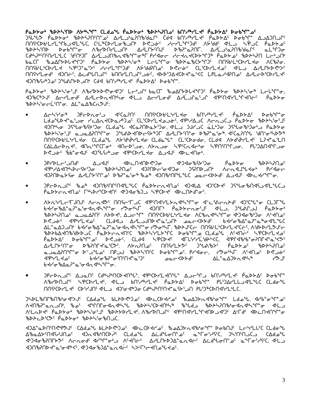### <u>የልÞኦσ፥ ზÞኦኣነበÞ ለታኳንና ርLdoህ የልÞኦσ፥ ზÞኦኣንበσና bበነሥት/LKና የልÞኦΔና Þσbንናኤና</u>

**MAºCDbLLYLºՐbJ<ILºLC, CLºCDYLoGJN** D<joc /cr/LºՐSJc A5Gdc <LD hipJC PaD> <u>በበየዮLኦርÞኣLΚ / አኤሪኔዎ አርአርኤኒኤሪያ / አንያዓህምሪ አፍዱምሪ ርΓ‹ርÞኣΓΚምሪ ፈተΓግ ለኣΓιλεγελε</u> MA. JOHL ANGE ANGE ALANDING ANG ALANG ALANG ARANG ARA ANG ALANG ALANG ARA ANG A **IDUBSADOS JUANSPONE CIA BNIARYLES PODSAS DOBINE.** 

PaD>o" "bD>\'o'J' ^bYD>D<'o'd')' Lc'p'' baCl 'boAl>DLX'Y')' PaD>o 'bD>\'o" LcL'Y"o, ᡃ᠑᠋᠍᠍᠍᠍᠖ᢄᢣ᠑ᡕ᠂ᡌᠵᠲ᠘ᡔᡌᢠ᠖᠂ᡗᢣᡌᡵ᠀᠂ᡗᡰᡅ᠌᠉᠂᠐ᡔ᠘ᡱ᠑ᡗᡆ᠈ᡱᠾ᠂᠀ᢝ᠓ᢣᡗᢣ᠅ᡗᢠᢗᢣ᠅ᡗᢠ᠗᠅ᡗᢓ BDAS'ocL'Mo. AL"aABCn3J':

- ᠍᠘ᡕ᠆ᢣ᠄ᡃᡒᢁ᠂᠗᠀ᡄᢂ᠖᠂᠐ᡊ᠅᠐᠗᠅᠐ᡫ᠅᠘ᢣᡆ᠗᠓ᡤ᠓ᠾ᠅ᠰ᠘ᢞ᠂᠐ᢆᢧᠾ᠉᠘ᡕ Ldo Ud+a' Jo KLAnt(Da/") o' (L'(DYL to Jo', JP"/AJ( Arn J( ) PaD>o 'bDA\'o' J' **ᡕ᠐ᠾ᠌ᢥᡏ**᠂᠀ᢓᡀᠣᡃ᠖ᡃᢔ᠑ᠣ᠂ᢗ᠘ᡆ᠔ᠰ᠂ᡏᢗᡆ᠌᠌᠌᠒ᢉ᠘ᢓᢣ᠑ᢐ᠂ᡕᡌᡌᠴ᠅ᠾ᠂᠑ᡁᢂ᠘ᢓ᠖᠘ᡫ᠑ᠣ᠂᠑ᡥᡃᡁᠣᡃᡑ᠈ᡉᢞ᠀ ᡃᢐᢂᢣᡃ᠀᠌ᠳᠾ᠂ᢦ᠆᠈ᡋᡳᢧ᠕᠕ᡒ᠉ᡁᠬᢂ᠘ᠾᢄᠰ᠗᠘᠓ᢠ᠅ᠾ᠅ᡗ᠅ᡗ᠅᠖ᢢ᠈ᡁᢂ᠘᠈᠀ᢢ᠈ᢣ ᠓ᡤᢗᢂᡰᡶᡃ᠇᠘ᡕᡆ᠂ᢗ᠌᠘᠊ᡆᡱᡃᡁ᠂᠕ᢣ᠄ďᡃᢦᢥᢇ᠘ᡕᢦ᠂ᢗ᠌᠘᠍ᡧᡅ᠆᠂ᢗ᠌᠌᠘ᡗᢗᢂᠣᡏᠦ᠂ᢗ᠘ᠯᡏ᠂᠕ᢣ᠕ᡃᢥᠰ᠘ᡕ᠅᠂᠘ᠡᢃ
- ᠪ᠙ᢣ᠍ᢃᡉ᠑ᠻᢣ᠑ᡉ᠂᠗᠑ᢀ᠑᠖᠂᠂᠑ᢂᡉ᠑ᡋ᠅᠗ᡔ<br>ᡗᡁᢣ᠑ᡛᠷ᠖ᡁᠾᢄ᠂᠗᠕ᡆ᠉᠐ᡫᢄ᠕ᢣ᠓ᢣᢄᡫᠾ᠉᠑ᡌᠾ᠆᠈ᡌ᠒ᡄ᠈᠊᠑ᡖ ᢆᡆᢂᢣᡉ᠂᠂ᢐᢂᢣᠲᠷ᠗ ᠊ᡏ᠋᠙ᢣ᠘ᢣ᠓ᠰᠾᢣ᠑ᢍᠾ᠂ᠾᡄ᠋ᢦ᠓᠘᠀᠂᠂᠑ᠺ᠓ᡳ᠖᠂᠑ᠷ᠓ᡐ᠘ᡪᠰᡏ᠙ᡰ᠂᠕ᠸ᠓ᡪ᠘ᢣᡁᢣᡉᡵ ᡕ᠑ᡍ᠐ᢂᡔᡶ᠙ᡆ᠂᠘ᢣᡁᠾᢣᠻᡁᡱ᠖᠂ᡗᢀᡁ᠅ᡆᢢ᠉᠂ᡚ᠓ᢞ᠕ᡁᠾᠾᡙᠢ᠘᠂ᢆᠣᡄ᠆᠀ᡕᡇ᠙᠂*ᢗ*ᢣ᠑ᡁ᠂ᡘᢂ᠆ᠰ᠕
- 
- <u>ለ</u>ታሌነረርት በህዝ ለተለፈው፣ በበናተናጋር ፈቅጠፈነረድአፈትነት አልተማል አንርሌት አንርሌት በጋርኤ ᢧ᠍᠀᠌᠆᠀ᡒ᠅᠋᠂᠂ᡘᢓ᠉ᠾ᠘᠀᠅᠃ᡁᢂᢣᠾ᠅ᠴ᠓᠉ᢣ᠅ᠴ᠓᠉ᢣᢄ᠂᠆᠀ᡊ᠆᠀ᢣᡗ᠅᠗ᢞ᠘᠅᠕᠅᠕᠅᠕᠅᠕᠅᠕᠅᠕᠅᠕᠅᠕᠅ ΔL<sup></sup>°αΔ)גוי 6לרס *6'מ<sup>2</sup>°ם ו<sup>2</sup> מילים לא יור מלאיר. 14ס מילר Πחוליני כל היא לא ליכד מלא לא ליכד מאל ליכד מאל ליכד* **BDABARTHER ACTES CONTROLLED** paddys dobinings designed the device of the disposition of the cost. Δ/LՐ৮Ώ՟σ ϷჼϧϿͲϞʹͼʹϹ<u>ʹ</u>ϾͺϓϧϓͿͿͲͼͺϓϢϤͿϤͳͰϡͻͼϓϤϒϐϒͼͺϸͼϦ϶ϓϣͼͺϓϷ϶ͰϒͿͿͲͽ<sub>ϲ</sub> <u>᠊</u>ᡏ᠗ᡕ᠘ᢣ᠀ᡕ᠂᠌ᡋ᠀᠂᠗ᢣᢋᠰ᠖᠗ᢣᢋ᠖ᡙ᠓ᢋ᠉᠐ᠸ᠅᠗᠘ᡔᢁᡏ᠆᠀ᡋ᠅᠂᠉ᠪᡔ᠆᠘ᢆ᠂᠀᠆ᡁ
- ϽየϲϷϭϿͿϲͺͺϘϿϭͲͺͺϹϥϝϟϧͿͿϹϷ*Ϟ*ͿϧϯʹͺϥϧͼϦϞͿϝϥͿϧϯͺͺϘϿϤϧͿ·ͺϸͿ;ϞϧϚͿϝʹͺϸϭϷϡϔͺϦϤϷ;Ϳͺ ΛჼbՐϷႶℶՐϚͺͺϚჼϨϹϷϓϹϞϚͺͺͺͺϥϞϹͺͻͺͺͺͺͺϸϢϒ<sub>ʹ</sub>ϧϚͿϲϯϲϲͺͺͺͺϸʹͼϷϟϪϲͺͺͺϷϭϧϧͿͺͺͺͺͺϸϾ;ϽϔϤͳͷϓϹͺϹϹϥϘϧϒ <u>በበናትርኮተL לי CD לולדור של העליקור החלים להתורשות החליכות המינוחות החליכות החליכות החליכות החליכות החליכות החלי</u>

Ͻ**ᢣ**ϷĿჼͶͿʹჼͶჼϧϤʹͻͿʹϹϪႻͽϞͿͺϸϹͱϷϨͼͿϿʹͺϥϷϲϹϷϤϒϿ*ʹͺͺ*ϸϿϔϽϞϓϥϼ;ͽͺͳͺͺϾϥͽ*ϧ*ʹϓϧͺϲϤϧͺϫͿͺ ᠆<br>ᡘᡪ᠋ᡕ᠓᠐ᢣᢁ᠂ᡆᠾᢆ᠐ᡰᡲ᠂᠂ᡘᡑ᠖᠂᠂᠂ᡘᠰ᠓᠋*ᢐᢦ*᠗ᡧᢞᡁ᠅᠐ᢂᢣ᠅ᢗᠣᠢᢂᠰ᠉᠂ᡁ᠉ᡫ᠕ᠣ᠉ᢠᢂᢑᠾ᠅᠐ᢣᠲ᠓ᢞᢐᡏᠾᠾᢆᠬ᠇ ᠰᡌ᠇᠘ᢣᢞ᠂ᠹᡉᢧ᠍ᢣᠲ᠂᠂ᢔᢧᢣᠰ᠅ᠳ᠈ᡁ᠂᠗ᢣᢣᢣᢧᡳ᠘ᢞ᠂ᢉ᠕᠕᠕᠕᠕᠂ᡕᡌ᠅᠕᠕᠘ᡰ᠘᠂᠕ᢗ ჼbÞᡝ*ᡄ*ᢂ᠋ᡤᢕ᠄*ᡥᡈ*ᡅᢣᠥᡃ᠂ჼbÞᡝᡪᡝᡉᡃᡃᠦ᠋᠒᠘

ৰ)∆<sub>໊</sub>ѻϷႶΏぐჼፆᡷা ඁᢗ᠔ᢖᢀᡕ᠄᠀ᡫᢣᢂᢠᢀᢆ᠖᠂᠗ᢄᢗᢂᢣᠽ᠖᠂ᡀᢀᡚ᠔ᢣ*ᡳ*ᢋᢔᡑᡆᠰ᠆ᢧᡉ᠗ᡙ᠂᠊᠘ᡄᡃᠠ᠘ᡁᢗᢗᢗ᠘ᠯᠣ᠊ᠰ ᠘ᢞᠣ᠌᠘᠋ᢣᡗ᠇᠒ᡴᢣᢂ᠂᠂᠂ᡗᠦ᠘ᢐ᠅᠂᠂ᡗᡫ᠕ᡱ᠀᠂ᡗᡄ᠕ᢣ᠀᠘᠅ᠴ᠘ᢣ᠈ᠰᠬ᠓ᢣ᠖᠂᠂ᢗᢥᠾᢂ᠘ᠾ᠈ᢞᡗᡊ᠓ᢣ<br>ᡆ᠉ᡆᡉᢥ᠐ᡊᡰᢂ᠂᠂ᡁ᠐ᡁᢂᢣ᠀᠂᠂ᡕᠽ᠗ᢣ᠑ᢣ᠅᠂᠂ᡗᡳᢂᢣ᠑᠂᠂ᡗᢣ᠓ᢣ᠈᠕᠂ᡄ᠂ᢐ<sup>ᠴ</sup>᠓ᢣ᠈ᠬ᠂ᢣᡭᡲᢉ᠓ᢣ᠀᠂᠈ᡭᡲ᠓ᢉᢋᡅ᠘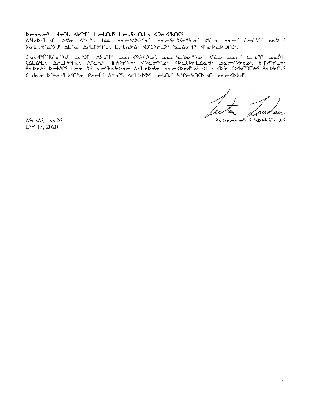## Dobno' Ldo' 4/m LelnJ' LelfenJs 42n4bnC'

Dσbn ε" α'>J' ΔL" α , ΔΗLΓ b' ΠJ', L τι α b Δ' (DI FL" b αλστις (1' το b ε b') Π)".

)hn d\*nnb-or>J Let In A>L+n packb>FDo; packi Vo ho dl mack Lel Y pas <u>CALALLS Α</u>ΗΓΡΑΠΙΣ ΑΣ ΤΟ ΠΟΙΡΑΔΑΣ ΑΡΕΦΑΙΡΟ ΑΡΕΓΡΑΠΤΑΣΑ ΑΣ ΤΟ ΠΑΤΑΣ ΑΠΑΙΑ ΑΣ ΤΗ ΤΗ ΤΗ ΤΗ ΤΗ ΤΗ ΤΗ ΤΗ ΤΗ ΤΗ ΤΗ ΤΗ PODYAC Dobinc LairLDC aaibntDto ArLtDto paatDydes dLs CDirJCDibCisloic PadtAJC CLdao D'Anr'Llem prelic A- לוכלי ArLlyDS LelnJc ליר הוא בת כללים.

 $\Delta^{6}$ ۹۵.  $\Delta^{c}$ ده $\Delta^{c}$  $\dot{L}$ <sup>c</sup> d<sup>-</sup> 13, 2020

PaDYCRO<sup>\$</sup>J' BDALSMLAS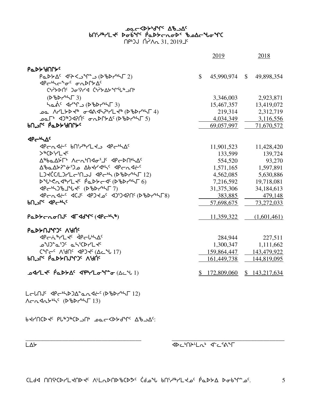| دے | . .<br>лп<br>$\overline{\phantom{a}}$<br>. .<br>- |
|----|---------------------------------------------------|

vJytbsJ5 rZ6g6bslt4 kNoXs/fq5 wclw5:

 $A$ c $A$  $A$  $B$  $B$ <sup> $C$ </sup> ( $B$  $B$  $B$  $C$  $B$  $C$  $13)$ 

moZtA5 xro4nsgw8NEx~o5 (scsy4nu 12)

|                                                                                                            | 2019        | 2018                          |
|------------------------------------------------------------------------------------------------------------|-------------|-------------------------------|
| <b>PaDYMAPS</b>                                                                                            |             |                               |
| $\mathbb{S}^-$<br>⊲P←ᡃᡃᡪᡄ <sup>ᡈ</sup> ᠥ <sup>ᡕ</sup> ᠂ σჀϷՐ৮∆ <sup>ᡕ</sup><br>(•ነን ነበ ጋራንነሪ (•ነን እንግግብ ነበ |             | 45,990,974 \$ 49,898,354      |
| $(D^6D^{\prime\prime}K\Gamma_3)$                                                                           | 3,346,003   | 2,923,871                     |
| had <sup>c</sup> 4r <sup>2</sup> n (DBDr <sup>6</sup> LF 3)                                                |             | 15,467,357 13,419,072         |
|                                                                                                            |             | 2.312,719                     |
| ᠴ᠋ᢆᢆᢆ᠘ᡗᡑ᠑ᢦᡗᡤ᠂᠂ᡒ᠘ᢂᡗ᠅᠂ᡆ᠘ᢄᡤ᠐                                                                                  | 4,034,349   | 3,116,556                     |
| <b>PUP, GODA, AULA</b> c                                                                                   | 69,057,997  | 71,670,572                    |
| $4P - bL$                                                                                                  |             |                               |
| PCNAC bnidarld apconde                                                                                     | 11,901,523  | 11,428,420                    |
| >&CD'-L4c                                                                                                  | 133,599     | 139,724                       |
| Δ <sup>&amp;</sup> baΔ۶Γ' Λςα'Π<1' <ΦςΡΩ'ι<                                                                | 554,520     | 93,270                        |
| ΔbaΔb7 <sup>e</sup> σ <sup>6</sup> 10 Δbtrdh (4Pcndic                                                      |             | 1,571,165 1,597,891           |
| LJKC(L)7Lc'NJJ <pch(d'bd7'h5 12)<="" td=""><td></td><td>4,562,085 5,630,886</td></pch(d'bd7'h5>            |             | 4,562,085 5,630,886           |
| $D^4U^6C\Lambda d^6VLd^c \dot{p}\Delta Db-d^c (D^6DV^6T^6)$                                                | 7,216,592   | 19,718,081                    |
|                                                                                                            | 31,375,306  | 34, 184, 613                  |
| PCN 4t-C 4CJC 4PJ 20C 4J5J 4PMC (DSDNSTER)                                                                 | 383,885     | 479,148                       |
| <b>bnorged Speaks</b>                                                                                      | 57,698,675  | 73,272,033                    |
| PaDYCRONS AFAdVIC (APCNA)                                                                                  | 11,359,322  | (1,601,461)                   |
| βαιλευγιας ναυ.                                                                                            |             |                               |
| PCN <sup>8</sup> 7L + PCULA                                                                                | 284,944     | 227,511                       |
|                                                                                                            | 1,300,347   | 1,111,662                     |
| C+P-C AGAC <p>4C (AC+L 17)</p>                                                                             |             | 159,864,447 143,479,922       |
| <b>PUPL</b> PUPPUADE VAUL                                                                                  | 161,449,738 | 144,819,095                   |
| <b>ArL+ Padda APMLoto</b> (Actul)                                                                          |             | $$172,809,060$ $$143,217,634$ |

שפ⊂<44 <sub>א</sub>לאר 50<sup>0</sup> bnider bebur popperade poperade to  $nP$ <sub>b</sub>J  $\Lambda$  $\sim$  31, 2019 $\bot$ s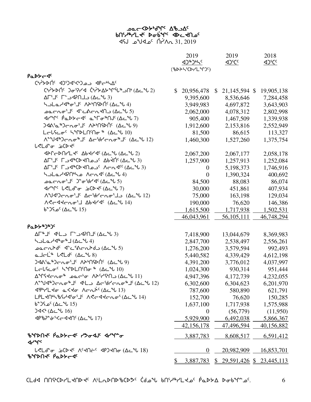## ye Bart Abad version of the single signal set  $\overline{31}$  9109 إ $\overline{6}$  1.2019 أ $\overline{1}$   $\overline{2019}$

|                                                                                                                                                                                                                                                                                                                                                                                                                                                                                    | 2019<br>42535C<br>(%DAK(CDr'L"M)") | 2019<br><u>&lt;1) Cc</u>                     | 2018       |
|------------------------------------------------------------------------------------------------------------------------------------------------------------------------------------------------------------------------------------------------------------------------------------------------------------------------------------------------------------------------------------------------------------------------------------------------------------------------------------|------------------------------------|----------------------------------------------|------------|
| PaDY-4                                                                                                                                                                                                                                                                                                                                                                                                                                                                             |                                    |                                              |            |
| ChiLAG CONSTROOM APCHAG                                                                                                                                                                                                                                                                                                                                                                                                                                                            |                                    |                                              |            |
| C <sup>6</sup> r75DN <sup>c</sup> Jo974 C6r7545 M (10-462)                                                                                                                                                                                                                                                                                                                                                                                                                         | $\mathbb{S}$<br>20,956,478         | 21,145,594 \$<br>\$                          | 19,905,138 |
| $\Delta \Gamma^{\epsilon} \Gamma^{\epsilon}$ د הח? (3 د $\Delta$ 1 $\Delta$                                                                                                                                                                                                                                                                                                                                                                                                        | 9,395,600                          | 8,536,646                                    | 7,284,458  |
| ᡃᡪ᠊᠌᠘᠖ᢣᡏ᠕ᡒ᠗ᡕ᠈ᠾ᠈ᡒ᠉ᢑ᠘ᡄᡫ                                                                                                                                                                                                                                                                                                                                                                                                                                                              | 3,949,983                          | 4,697,872                                    | 3,643,903  |
| $\text{perb} \left( \text{perb} \right)$ כולה שינושים (1 כלי 15                                                                                                                                                                                                                                                                                                                                                                                                                    | 2,062,000                          | 4,078,312                                    | 2,802,998  |
| J۳۹٬۲ <sup>۰</sup> P = المحر هـ <sup>م</sup> ـ Γ <del>مـ "</del> Π (Δدـ مل 7)                                                                                                                                                                                                                                                                                                                                                                                                      | 905,400                            | 1,467,509                                    | 1,339,938  |
| $340.9$ ( $0.420$ ) $70.4014$ ( $0.4014$ )                                                                                                                                                                                                                                                                                                                                                                                                                                         | 1,912,600                          | 2,153,816                                    | 2,552,949  |
| LCLSCOC STPLNMOR \$ (ACLU)                                                                                                                                                                                                                                                                                                                                                                                                                                                         | 81,500                             | 86,615                                       | 113,327    |
| Λ <sup>αα</sup> ν 12) - Λα <sup>α</sup> λος Δείθησης (Δελί                                                                                                                                                                                                                                                                                                                                                                                                                         | 1,460,300                          | 1,527,260                                    | 1,375,754  |
| <b>L<ld< b=""><sup>+</sup>o b<k< td=""><td></td><td></td><td></td></k<></ld<></b>                                                                                                                                                                                                                                                                                                                                                                                                  |                                    |                                              |            |
|                                                                                                                                                                                                                                                                                                                                                                                                                                                                                    | 2,067,200                          | 2,067,177                                    | 2,058,178  |
| $\Delta\Gamma^{\mathfrak{c}}\Gamma^{\mathfrak{c}}$ ה $\Delta\Gamma^{\mathfrak{c}}\Gamma^{\mathfrak{c}}\Gamma^{\mathfrak{c}}\Gamma^{\mathfrak{c}}\Gamma^{\mathfrak{c}}\Gamma^{\mathfrak{c}}\Gamma^{\mathfrak{c}}\Gamma^{\mathfrak{c}}\Gamma^{\mathfrak{c}}\Gamma^{\mathfrak{c}}\Gamma^{\mathfrak{c}}\Gamma^{\mathfrak{c}}\Gamma^{\mathfrak{c}}\Gamma^{\mathfrak{c}}\Gamma^{\mathfrak{c}}\Gamma^{\mathfrak{c}}\Gamma^{\mathfrak{c}}\Gamma^{\mathfrak{c}}\Gamma^{\mathfrak{c}}\$      | 1,257,900                          | 1,257,913                                    | 1,252,084  |
| $\Delta\Gamma^{\mathfrak{c}}\Gamma^{\mathfrak{c}}\Gamma^{\mathfrak{c}}\Gamma^{\mathfrak{c}}\Gamma^{\mathfrak{c}}\Gamma^{\mathfrak{c}}\Gamma^{\mathfrak{c}}\Gamma^{\mathfrak{c}}\Gamma^{\mathfrak{c}}\Gamma^{\mathfrak{c}}\Gamma^{\mathfrak{c}}\Gamma^{\mathfrak{c}}\Gamma^{\mathfrak{c}}\Gamma^{\mathfrak{c}}\Gamma^{\mathfrak{c}}\Gamma^{\mathfrak{c}}\Gamma^{\mathfrak{c}}\Gamma^{\mathfrak{c}}\Gamma^{\mathfrak{c}}\Gamma^{\mathfrak{c}}\Gamma^{\mathfrak{c}}\Gamma^{\mathfrak$ | $\mathbf{0}$                       | 5,198,373                                    | 1,746,916  |
| 5 JLa 1971 م Acn 14 (4 - 4)                                                                                                                                                                                                                                                                                                                                                                                                                                                        | $\theta$                           | 1,390,324                                    | 400,692    |
| בפרתס <sup>י</sup> ב <sup>י</sup> ס <sup>י</sup> סי'ל (Δכ"ל 5)                                                                                                                                                                                                                                                                                                                                                                                                                     | 84,500                             | 88,083                                       | 86,074     |
| In the CCL of a CD II (Δc U 7)                                                                                                                                                                                                                                                                                                                                                                                                                                                     | 30,000                             | 451,861                                      | 407,934    |
| AND (12 A-br) - 12                                                                                                                                                                                                                                                                                                                                                                                                                                                                 | 75,000                             | 163,198                                      | 129,034    |
| ACCARCAOS Abrac (AC ºl 14)                                                                                                                                                                                                                                                                                                                                                                                                                                                         | 190,000                            | 76,620                                       | 146,386    |
| 5(1 تا∿ے∆) <sup>ء</sup> مہ 5(*ہ                                                                                                                                                                                                                                                                                                                                                                                                                                                    | 1,615,500                          | 1,717,938                                    | 1,502,531  |
|                                                                                                                                                                                                                                                                                                                                                                                                                                                                                    | 46,043,961                         | 56, 105, 111                                 | 46,748,294 |
| <b>PaDY*)*)</b>                                                                                                                                                                                                                                                                                                                                                                                                                                                                    |                                    |                                              |            |
| $\Delta \Gamma^* \bot^c$ $\Delta^L \bot$ $\Gamma^c \rightarrow \Delta$ PN $\Gamma^c (\Delta c^4 \cup 3)$                                                                                                                                                                                                                                                                                                                                                                           | 7,418,900                          | 13,044,679                                   | 8,369,983  |
| $\lambda$ ے $\lambda$ ے $\lambda^{4}$ $\sigma^{4}$ $\sigma^{4}$ $\lambda$ $\Delta$ $\mu$ $\Delta$ $\mu$                                                                                                                                                                                                                                                                                                                                                                            | 2,847,700                          | 2,538,497                                    | 2,556,261  |
|                                                                                                                                                                                                                                                                                                                                                                                                                                                                                    | 1,276,200                          | 3,579,594                                    | 992,493    |
| $a$ J $\subset$ L <sup>4</sup> $b$ <ld<sup>c <math>(\Delta \subset \mathcal{A}</math> 8)</ld<sup>                                                                                                                                                                                                                                                                                                                                                                                  | 5,440,582                          | 4,339,429                                    | 4,612,198  |
| $340.9$ ( $0.420$ ) $-0.67$                                                                                                                                                                                                                                                                                                                                                                                                                                                        | 4,391,200                          | 3,776,012                                    | 4,037,997  |
| LCLSCOC STALMMOR \$ (ACLU)                                                                                                                                                                                                                                                                                                                                                                                                                                                         | 1,024,300                          | 930,314                                      | 951,444    |
| $\Delta^4$ רארתס " בתרים $\Delta^2$ וליום ( $\Delta$ כ $\Delta^4$ $\Delta^4$                                                                                                                                                                                                                                                                                                                                                                                                       | 4,947,396                          | 4,172,739                                    | 4,232,055  |
| Λ <sup>≞</sup> °⊍ଏ®)⊂∩σ®」⊂ ଏଂL⊃ Δ⊂'dr′⊂∩σ®」⊂(Δ⊆°ს 12)                                                                                                                                                                                                                                                                                                                                                                                                                              | 6,302,600                          | 6,304,623                                    | 6,201,970  |
| $\langle \langle \psi \rangle^2 L^2 \sigma \propto \langle \psi \rangle^2$ Arn $\gamma^2$ ( $\Delta \sim \psi$ 13)                                                                                                                                                                                                                                                                                                                                                                 | 787,600                            | 580,890                                      | 621,791    |
| LPL <n's (ac"l="" 14)<="" <<="" a="" b="" ddcno'="" sdd'o'j'="" td=""><td>152,700</td><td>76,620</td><td>150,285</td></n's>                                                                                                                                                                                                                                                                                                                                                        | 152,700                            | 76,620                                       | 150,285    |
| 5(1 با∿ے∆) <sup>6</sup> مـ5(*b                                                                                                                                                                                                                                                                                                                                                                                                                                                     | 1,637,100                          | 1,717,938                                    | 1,575,988  |
| $34<^{\circ}$ ( $\Delta\subset^{\circ}$ ل 16)                                                                                                                                                                                                                                                                                                                                                                                                                                      | $\boldsymbol{0}$                   | (56,779)                                     | (11,950)   |
|                                                                                                                                                                                                                                                                                                                                                                                                                                                                                    | 5,929,900                          | 6,492,038                                    | 5,866,367  |
|                                                                                                                                                                                                                                                                                                                                                                                                                                                                                    | 42, 156, 178                       | 47,496,594                                   | 40,156,882 |
| <u>ზንበአበሩ Pubbede የአውብቡ ብሩኤሌ</u><br><b>Jrung</b>                                                                                                                                                                                                                                                                                                                                                                                                                                   | 3,887,783                          | 8,608,517                                    | 6,591,412  |
| L <ld- (ac+l="" 18)<br="" 20="" 24="" 4p3+no="" 5="" ac+c=""><b>BYDAS PaDSCSS</b></ld->                                                                                                                                                                                                                                                                                                                                                                                            | $\overline{0}$                     | 20,982,909                                   | 16,853,701 |
|                                                                                                                                                                                                                                                                                                                                                                                                                                                                                    |                                    | <u>3,887,783 \$ 29,591,426 \$ 23,445,113</u> |            |

 $\epsilon$  CLdd nnstpylltndts vtLadndbcdds  $\epsilon$ ddt bnilitings padd $\epsilon$ ddt d $\epsilon$ . 6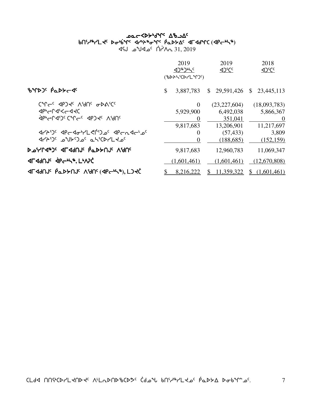# <sup>2</sup> ^^\* አይታልታል የአማሪ vt3h6ymJ5si4`vq5 xy4p6iq5 `rNs/w5 xuxfqb si4`vq5 xy4p6iq5  **(**xro4n6**)**

 $\Delta$ SU  $\Delta$   $\Delta$ CA  $\Delta$  1, 2019

|                                                  | 2019<br>$(1)^n$ |              |              | 2019<br>$42^{\circ}C^{\circ}$ |              | 2018<br>$42^{\circ}C^{\circ}$ |
|--------------------------------------------------|-----------------|--------------|--------------|-------------------------------|--------------|-------------------------------|
|                                                  |                 | (%DAK(CDrLM) |              |                               |              |                               |
| BYDJS PaDYCSS                                    | \$              | 3,887,783    | $\mathbb{S}$ | 29,591,426                    | $\mathbb{S}$ | 23,445,113                    |
| CMGC APJPC VAUC ODVICC                           |                 | $\theta$     |              | (23, 227, 604)                |              | (18,093,783)                  |
| <b><dp"cn4"<cd<cd></dp"cn4"<cd<cd></b>           |                 | 5,929,900    |              | 6,492,038                     |              | 5,866,367                     |
| <b><i>SPP-LSLICAL-c SPJ-G VAUc</i></b>           |                 | $\theta$     |              | 351,041                       |              | $\theta$                      |
|                                                  |                 | 9,817,683    |              | 13,206,901                    |              | 11,217,697                    |
| JYA')' JPGJo'YL SI'D' JPGAJG'D'                  |                 | $\Omega$     |              | (57, 433)                     |              | 3,809                         |
| סלאראיני בילינט יריביגר Ar                       |                 | $\Omega$     |              | (188, 685)                    |              | (152, 159)                    |
| <b>ኦሚኒኒኒ<sub>ባቃ</sub>ን: 4L49U1c የሚንትሀገር VAUc</b> |                 | 9,817,683    |              | 12,960,783                    |              | 11,069,347                    |
| <b>ALAAULE APENS, LIVIC</b>                      |                 | (1,601,461)  |              | (1,601,461)                   |              | (12,670,808)                  |
| <b>ALAQUIC POPAUR VAUC (AbCPLA) LIAC</b>         |                 | 8,216,222    |              | \$11,359,322                  | $\mathbb{S}$ | (1,601,461)                   |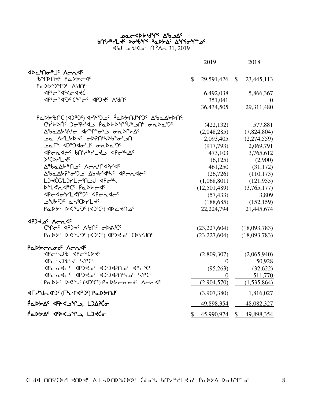## كمد**k**ك−<b⊁•ط^r^ ∆مك bበናሥት/LK ኦԺቴዏና ሶ«ኦኦΔና ΔግናԺግ\*»<sup>ς</sup>  $\lambda$ SI مكالا  $\lambda$ مكالاه  $\lambda$ A 31, 2019

|                                                                                                                                                                                                                            |                | 2019           | 2018                     |
|----------------------------------------------------------------------------------------------------------------------------------------------------------------------------------------------------------------------------|----------------|----------------|--------------------------|
|                                                                                                                                                                                                                            |                |                |                          |
| ჼႦჼՐϷႶ <del>ᡧ</del> ჼႲႭϷ <del>Ϸ</del> ϲϥჼ                                                                                                                                                                                  | $\mathbb{S}^-$ | 29,591,426 \$  | 23,445,113               |
| Ρα <b>ιολι</b> θή Λιθής                                                                                                                                                                                                    |                |                |                          |
| <b>くらしつぐんへん</b>                                                                                                                                                                                                            |                | 6,492,038      | 5,866,367                |
| <b><bppc1<br></bppc1<br> CALC<br/> CALC<br/> CALC<br/> CALC<br/> CALC<br/> CALC<br/> CALC<br/> CALC<br/> CALC<br/> CALC<br/> CALC<br/> CALC<br/> CALC<br/> CALC<br/> CALC<br/> CALC<br/> CALC<br/> CALC<br/> CALC<br/></b> |                | 351,041        | $\overline{0}$           |
|                                                                                                                                                                                                                            |                | 36,434,505     | 29,311,480               |
| <u>የ«አንግራ (የኢትህ) የሌል አስተማል የአል የአል አንግራ የአል የአ</u>                                                                                                                                                                         |                |                |                          |
| <b>ChiLAN Joild PadLAMiLEDM</b> onDail                                                                                                                                                                                     |                | (422, 132)     | 577,881                  |
|                                                                                                                                                                                                                            |                | (2,048,285)    | (7,824,804)              |
| <b>এ</b> ለረ୮১৯ <i>২</i> የእያሁለን የሚገባ                                                                                                                                                                                        |                | 2,093,405      | (2,274,559)              |
|                                                                                                                                                                                                                            |                | (917,793)      | 2,069,791                |
| PCNAC bn' <sup>AR</sup> YLY APC <sup>6</sup> NAC                                                                                                                                                                           |                | 473,103        | 3,765,612                |
| $>$ <sup>c</sup> CDr <sup>1</sup>                                                                                                                                                                                          |                | (6,125)        | (2,900)                  |
| Δ®baΔלλης Λσηφιλικα                                                                                                                                                                                                        |                | 461,250        | (31, 172)                |
| ΔbaΔXP-05 abdrdh ( qpcndt"                                                                                                                                                                                                 |                | (26, 726)      | (110, 173)               |
| LJKC(L) PL CINCH                                                                                                                                                                                                           |                | (1,068,801)    | (121, 955)               |
| DUCRJEC PaDYCJC                                                                                                                                                                                                            |                | (12,501,489)   | (3,765,177)              |
| <b>PCP-YLSPIC APCRALS</b>                                                                                                                                                                                                  |                | (57, 433)      | 3,809                    |
| <b>OULYO' ah'CDYLY'</b>                                                                                                                                                                                                    |                | (188, 685)     | (152, 159)               |
| PaDYC DRUIDC (4)(C) 4DC 4Noc                                                                                                                                                                                               |                | 22, 224, 794   | 21,445,674               |
| <b>SADY JONAL</b>                                                                                                                                                                                                          |                |                |                          |
| CAL COST AND AND CALCO                                                                                                                                                                                                     |                | (23, 227, 604) | (18,093,783)             |
| PaDYC DRUDC(4)EC) APJLOC CDEVUNC                                                                                                                                                                                           |                | (23, 227, 604) | (18,093,783)             |
|                                                                                                                                                                                                                            |                |                |                          |
| Padterode Arase<br>PC+5)& PC+CD+C                                                                                                                                                                                          |                | (2,809,307)    | (2,065,940)              |
| <b><pc+5) &="" b="" spcc<=""></pc+5)></b>                                                                                                                                                                                  |                | $\overline{0}$ | 50,928                   |
| Pradr <sup>e</sup> Parto 2012 Parto                                                                                                                                                                                        |                | (95,263)       | (32,622)                 |
| PCC 4P3 2013 1966 4013                                                                                                                                                                                                     |                | $\theta$       | 511,770                  |
| PaDYS DR VG (4) CS PaDY C Arade ACAS                                                                                                                                                                                       |                | (2,904,570)    | (1,535,864)              |
|                                                                                                                                                                                                                            |                |                |                          |
| <b><dl>"Jwq')&lt; (Ligh<br/>de&gt;&gt;OS<br/><dl>OS<br/><dl>OS<br><dl>OS<br/><dl><dl><dl><dl< add<tdl<="" b=""></dl<></dl></dl></dl></dl></br></dl></dl></dl></b>                                                          |                | (3,907,380)    | 1,816,027                |
| PaDYAS JACJM. LJAPĆo                                                                                                                                                                                                       |                | 49,898,354     | 48,082,327               |
| PaDYA' JASS- T. LITG                                                                                                                                                                                                       | S.             |                | 45,990,974 \$ 49,898,354 |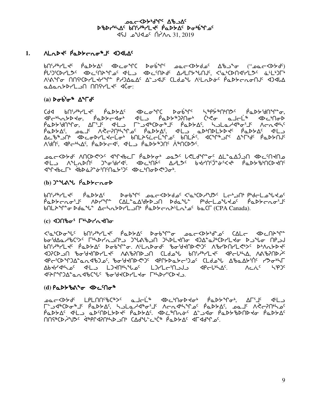## **AC AD WAYS DOC** DBDrULAC bnirurle PaDSAC DoUSMOC  $45J$   $2019$   $\alpha$ <sup>c</sup>  $\Lambda$ <sup>2</sup> $\Lambda$ <sub>0</sub> 31, 2019

#### $1.$ ALODE PODSCOOP IS ADALAS

 $b\cap {}^{s}\mathcal{A}^{s}\mathcal{A}^{s}-\mathcal{A}^{s}\mathcal{A}^{s}$  and  $\mathcal{A}^{s}\mathcal{A}^{s}$  and  $\mathcal{A}^{s}\mathcal{A}^{s}$  and  $\mathcal{A}^{s}\mathcal{A}^{s}$  and  $\mathcal{A}^{s}\mathcal{A}^{s}$ PL'D'CDL'L'DC <DL'MALLO <DL'MALLO <DL'ALLOUS <'L'ONA'LLO a'LL'DE ᠰᡃᡭᢞᡗᠣ᠂᠓ᡤᢗᢂ᠋᠘ᢣᠰ᠕᠂ᡁ᠈᠑ᡏᢁᡏ᠅᠕ᡏ᠂ᢗᡄᡇᢀᢔ᠂᠕ᡰᠮ᠍ᠮᢧᡐ᠙ᡁ᠀ᡳᢂ᠕᠕ᠰ᠀ᡆᡅ <u>aAantbrLJN</u> NNirLt dĊo:

## $(a)$   $\triangleright$   $\sigma$   $\stackrel{.}{\circ}$   $\sigma$   $\stackrel{.}{\circ}$   $\Delta$   $\stackrel{.}{\circ}$   $\Gamma$   $\sigma$ <sup>c</sup>

ᢗᢦᡏ᠂ᡋ᠓ᡝᢣᡃᠠ᠘ᢣᢩ᠂ᡝ᠗ᢂᢣ᠘ᠻ᠂᠂ᡏᢂᡄᠣ<sup>ᡈ</sup>ᡗᢗ᠂᠐ᡒᡖᢠᡃᢩᡊᡊ᠅᠂ᢣᡳ᠉ᠹᡷ᠉᠓ᡃ᠓ᠫᠻ᠂ᠨ᠗ᠫᢣ᠈ᡌ᠓ᡨ<br>᠍᠂ᡘᡰᡄᡃᡰᡳ᠘ᢣᡅᠢᢣᡉᡕ᠂᠂ᠹ᠗ᢂᢣᡄᢦ᠋ᡉᡃ᠂᠂ᡏᡃᡰ᠘᠂᠂ᠹ᠗ᢂᢣ᠉᠗᠓ᠳ᠈᠂᠅ᡭᢦᡉ᠃᠗ᠴᡰᡄᢧ<br>᠂᠐᠗ᢣᢣ᠗᠓ᡩᢖ᠙᠂᠕ᡗᡏ᠑ᠻ᠂᠅ᡌᡰ᠘᠄᠂ᠮ᠆᠘ᡧ᠉ᢗᢂᢐ᠉ᡌ᠂ᠻ᠗ᢂᢣ᠘ᠻ᠂᠂ᢣᠴ᠍ᡶ᠗ᡔᡰᡏᡮᢎᢩ᠄ᡌ᠂᠕ᡕᢇᠷ᠋ᠢᡇᡰᡳ  $\overline{P}$   $\Delta P$   $\Delta C$   $\Delta C$   $\Delta C$   $\Delta C$   $\Delta C$   $\Delta C$   $\Delta C$   $\Delta C$   $\Delta C$   $\Delta C$   $\Delta C$   $\Delta C$   $\Delta C$   $\Delta C$   $\Delta C$   $\Delta C$   $\Delta C$   $\Delta C$   $\Delta C$   $\Delta C$   $\Delta C$   $\Delta C$   $\Delta C$   $\Delta C$   $\Delta C$   $\Delta C$   $\Delta C$   $\Delta C$   $\Delta C$   $\Delta C$   $\Delta C$   $\Delta C$   $\Delta C$   $\Delta C$   $\$ Δ⊆ჼᡋ᠋ᢥᡆᢂᢄᡋᢂ᠘ᡕᡄ᠖ᠾᢂ᠘ᢄ᠘ᢄ᠖᠂᠕᠘ᠻᢠ᠅ᡁ᠐ᡫᡫ᠅ ΛΉΝ, «ΡςμλΔς Ράβεσι», «ΨΕΣ Ράβερησης ΛήΠΟΡ»ς

**ILA ALADIS JOGILIS IDENISS ALLISE PALICIES SEDENDICO AUS** ᡏ᠋ᡩᡗᡪᡰ᠌᠘᠘᠂ᡏᡌᢣᢠᡳ᠈ᡱᡠᡃ᠓᠓᠘ᢣ᠑ᠻ᠂ᡏᡅ᠘ᡃ᠓ᠣᢂᢞ᠑ᠣᡃ

## $(b)$ )<sup>2</sup>  $d\Lambda$  $d$   $\beta$ <sub>a</sub> $\lambda$  $\tau$ <sub>a</sub> $\sigma$

pU¿\#\L\c bob\Vc bop\Lc bor\O\qqQC <{cp\q\}QC LCp\U} byqCLO\qqQC bnL>" or Dda" AchabbrLon PadbcaptLa's baCL (CPA Canada).

## $(c)$   $4$ ) $0$  $b\sigma$  $5$   $\Gamma$  $b\Delta$  $c$  $d$  $d\sigma$

≺ჼႭჼᢗϷᠥ᠍ᢥᡁ᠌᠂ᡋ᠓ᡃᢞᠠ᠘᠊ᢞ᠂ᡭᡆᢂᢣ᠘᠌᠂᠗ᢐ᠖ᠰ᠖ᢐ᠖᠂ᡗᡆᡄᢉᢂᢣᢥᡆ᠖᠂ᡗᡌᡄ᠓ᠰ bn'i+bll << POPYLC POPT-0. ALLAPOdC bobddddd AbrDNrL <br > <u> 405CD יא</u> 14-AUP איב AUCAUP הכ CLA ה-AUCAUP ה-AUCAUP ל-AUCD היא 15-AUCD ה-AUCD ה-AUCD ה-AUCD ה-AUCD ה-AUCD ה-AU ϤΡϲ·ΏϒͳϽϪʹͼ*ϲ*ϲϤʹϸϽʹͼʹͺʹϸϭ·ʹϸͰϤϘϤϽʹ·ͺͺϤϨϒϷϷͽͰϲ·ϽʹͼͺͺϾϹͿͷͽʹϞͺͺϪʹϸͼϪͰʹϺʹͺͺϓϡϭ·ϞϹ Δbdt/dt/Jc dtL L)dnhuloc L)tLcinJJ dPcht/AC ለፌ<sup>ረ </sup>ኣየን<sup>‹</sup> JEAN AND CHE BOYCOLL TO LINDYSCAL

## $(d)$   $PaD}bA^a\sigma$   $\Phi C^0$

PODYAS JL OPSUDLYDYS PODYAS JDE MAGS ASJJG PODYBDUDYG PODYAS **MASECA ARASE SEPASAMED OF CAJEL-CICE PODSAC STSARC**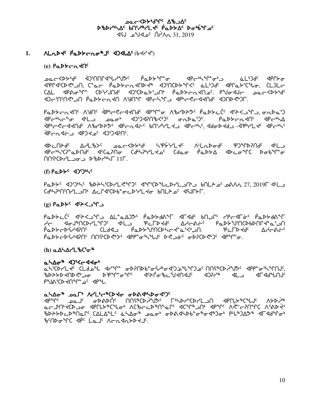## ᠊ᠣ᠍ᠣᡄ᠆᠀᠊ᢂ᠕ᡕᡏ᠀ᠰ᠑ DBDYNAC bniyayLtc PaDSAC Donbinoc ے⊳لا°م (31. 2019– $\Lambda_{\Omega}$  1. 2019–

#### Mate Paptero<sup>8</sup>5 4) date (bdrds)  $1.$

## $(e)$   $Pa$  $Pb$  $Ca$  $d$  $n<sup>c</sup>$

ᠴ᠍᠖ᡄ᠆᠊᠌<ᢂᢣᡃᢐ᠋ᡰ᠂᠂ᢋ᠑᠋᠄ᡴ᠓ᡗᡏᡐᡁᢣᠲ᠑ᠻ᠂᠂ᠹᡆᢂᢣᠲᡗ᠆ᢆᠣ᠃᠂᠂ᡏᡅᢄ᠂᠂᠂᠂᠂᠂᠂᠀ᠰ᠆᠂ᡕᡅᢂ᠂᠀᠐ dipraich<br/>
<br/>
dipraich<br/>
<>
CLOL<br/>
CLOL<br/>
CLOL<br/>
CLOL<br/>
CLOL<br/>
CLOL<br/>
CLOL<br/>
CLOL<br/>
CLOL<br/>
CLOL<br/>
CLOL<br/>
CLOL<br/>
CLOL<br/>
CLOL<br/>
CLOL<br/>
CLOL<br/>
CLOL<br/>
CLOL<br/>
CLOL< שלהיחיחליאו ויבלארת לח תיאחיר אירגירג אוירלראלחלי אותר אור

Padtrados Aidos de Cadados de Cadadeses padtrados de Cadades en 19 ᠊ᡏ᠋᠍᠍ᡉ᠆ᢣᠢ᠆᠋᠍ᡱᡉ᠂᠂ᡏᠲ᠖ᠽᡉ᠑ᡏᡳ᠖ᢓᡳ᠑ᡏ᠓᠖ᡩᡳᢂᡁ᠘᠂ᡩᠾ᠗ᡁ᠗᠂ᡏᠾ᠘᠑ᠢ᠘᠈᠐ᢆᠷ᠖ᡕ **خلقالحری است کا کام کرد که در کار کرد و است کرد. در است کرد که در کار کرد که کرد کرد که کرد کرد که کرد که کرد** <u>JURNGS Jarder chango</u>

PCUSAC ACL&SC paccsbac hiptisches Villabads and all ᡏᠲᡄᡃᡰᡪᡃᢉ᠌ᢇ᠋ᢆᠳᢂ᠋᠂᠂ᢉᡊ᠂᠂ᢉᡊ᠂ᡗᡆᢗ᠗᠂᠂ᡗᡆᡌ᠅ᡳ᠘᠂ᡗᡉᡅᢁ᠂᠂ᡗᡆ᠘ᡉ᠉᠂ᡏᡅ᠘ᡔ᠅ᢉ  $\bigcap \{ \forall C \in \mathcal{V} \mid L \supset \sigma \supset \mathcal{V} \}$ 

## $(f)$   $Pa$  $Pb$ <sup>c</sup>  $4$  $Pb$  $Pc$

PaDYC <0) 24/25 PaDYC <0) CP/LC + CP/CD + CP/L - CP/L - CP/CP/C + CP/CP/CP/L + CP/CP/CP/L + CP/CP/CP/CP/CP/CP/ 

## $(g)$   $Pa$  $Pc$   $QPc$   $Qc$  $Pc$

ݙ᠆᠆᠆᠂ᡆᠲ᠕᠉ᡁ᠐ᢂᢣ᠓ᢜ᠉ᠻ᠆ᡗ᠆᠉ᠻ᠆ᡗ᠆ᢞᢞ᠂ᢥᡄ᠘ᢣᢄᠰ᠈ᡶᡗ᠆᠂ᠻᡄᢂᢑᠾᢂ᠅ᡗ<br>᠊ᢥ᠆᠆᠆᠂᠐ᡨ᠒᠉ᡁ᠐ᡛᡵᠰ᠉ᡗ᠅᠆ᡘᢥ᠘ᢣ᠀ᢞ᠂ᠹᠻᡋᢂᡒ᠘᠂ᢄ᠆ᡫᢂ᠂᠂ᠻᡄᠾᢂᢠᠾ᠘ᢞ **PLAY CLAG PLAYAU PLAYAU PLAYAU PLAYAU** PODYCDSHERL UUGCDEDS ENDERLANDE DE JOS ODPEDSES EDPORT

## $(h)$  a  $\Delta\Delta\Delta r'$  b  $C^{\sigma*}$

#### **aháo<sup>s</sup> 4)**5<c440'

«᠘ᢣ<sup>ᡕ</sup>ᢗᢂ᠘᠊ᡕ᠋ᡕ᠖᠘᠐ᠴ᠕᠂᠂ᡆᠰ᠕᠂᠂ᡆᢂᡁ᠅᠖ᠰ᠉᠐ᢣ᠅ᡙ᠉ᡗᢃ᠖ᠰ᠓ᡗᢠ᠗᠂ᡁ᠉ᢓ᠅᠕᠀ᠻ᠅ ᠲᢂᢣᢣᢂᢣᢒᡰᢂᡩ᠑᠌ᠳ᠃᠂᠕ᢣᡧ᠅᠕ᡧᢣᡁᢁᢔᢗᠵᢥᠲ᠖ᢒ᠅᠕ᢣᡗᡆ᠓ᡕ᠂᠂᠓ᢣᡗᢣ᠂᠂᠂ᢁ᠆᠕ᡆ᠕ᡛ᠓ᡊ PUACOXTO - C 4PU.

#### ahad" par' Arl'e" (D to obset bod')

*٩*٩٩٢ - المحاسرة المسابق المسابق المسابق المسابق المسابق المسابق المسابق المسابق المسابق المسابق المسابق المسابقة %DAYDCD%NQLS (ALANLS aLAOT part oDA<kDb"oF%o<%)oF PL%)AD\* <albendome de La F Acadatatie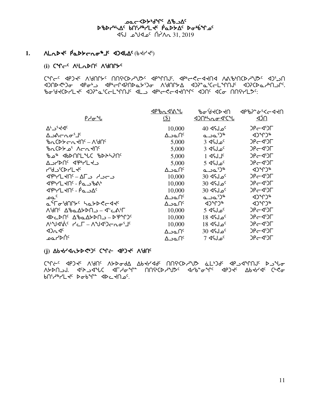## **JOC COPAPIAL DATO** DBDrULAC bnirurle PaDSAC Double  $\sim 31.2019$  مكلاه لكان 195 $\sim 31.2019$

#### **NLND + PLDD-CULL + 104LAC (b+1-45)**  $1.$

## (i) CM<sub>CC</sub> ALLADOS AUNCHS

CALLE AbJAE VAULAE UUCACALAJAE AbJUUNE AbPSSLASUA VVIPIUCALAJE AJITU ᡕ᠍ᡃ᠗᠐ᢂᠵ᠅ᡉ᠂᠗᠓ᡤ᠗᠅ᡗᠿ᠉ᡫ᠈ᢃ᠆᠂ᡘᢥ᠓ᡰ᠈᠕᠅᠕ᡗᢥ᠉ᡫ᠉᠂᠗᠙ᢞ᠗᠓ᡬᢄ PotydCDYLde dJP"a'CCLMNUS <L\_ <P"c<cddNMC <DNG <Commercity-

|                                    |                        | ᡃ᠍᠍᠍᠍ᡃᢐ <i>ᡆ</i> ᠂᠋᠍᠍ᢦᢞᢕᢣᡳ | <b>JPP&gt;</b> >* <del>ن</del> '<<4< |
|------------------------------------|------------------------|----------------------------|--------------------------------------|
| <u> የታምብ</u>                       | \$)                    |                            | <u>¶Ć⊳</u>                           |
| $\Delta^L \supset^s \nabla^C$      | 10,000                 | <sup>0</sup> م ل∫4 40      | JPG SIL                              |
| ∆౨≬⊂౮⊄ೖ                            | ∆౨௳∩ౕ                  | ചച'ി"                      | $(1)^n$                              |
| ᡃᡃᡃᢆᠠ᠘᠈᠕ᢣ᠆ᠴᡪᡃᢙ᠉                    | 5,000                  | $3$ حلکه 3 $^{\mathsf{c}}$ | JPG4'JF                              |
| <u>brCDA of</u> Acryll             | 5,000                  | $3$ dfJ $\circ$            | $DP$ $\sim$ $\sim$ $\sim$            |
|                                    | 5,000                  | $1$ dend $1c$              | $DP$ $\subset$ $\lhd$ $\lhd$ $\lhd$  |
| A JYDNS APALES                     | 5,000                  | 5 ⊲مل}4                    | $DP$ $\sim$ $\sim$ $\sim$            |
| <b>4'4J'CDr'L <del>d</del>e</b>    | ∆౨௳∩ౕ                  | പാ⊾'ఎ"                     | $(1)^n$                              |
| <u> 1947 - 16 - 16 1947 AP</u>     | 10,000                 | <sup>5</sup> مـل¶4 30      | $DP - Q^c$                           |
| <b>APHLHNS</b> - PasbA             | 10,000                 | <sup>5</sup> مـل؟4 30      | $DPC4^5$                             |
| JPPYLKNS - Pa JAS                  | 10,000                 | <sup>5</sup> مـل؟4 30      | $DF = 45$                            |
| ے م                                | $\Delta$ ۹۵ $\Omega^c$ | പാപ്ി"                     | $4D^4D^*$                            |
| <del>©</del> ᢥℾᠥᡃᢦ᠋᠓ᡰᡔ᠌᠂ᢣ᠌ᢆᢘᢣᢂᡄᢦᡇ  | ∆౨௳∩ౕ                  | くりょしょ                      | $42^{\circ}$ r $3^{\circ}$           |
| ᠕ᡃᢦ <b>ᡗ</b> ᠻ᠂᠘ᡃᡃ᠍᠍᠍᠖᠘ᠫᢂ᠘ᢖ᠆᠂ᢦᡫ᠆᠙᠘ | 10,000                 | $5 \,$ 46 مل $\,$          | $DP$ G $\sim$                        |
| $4D CDC^c \Delta^6$                | 10,000                 | 18 ⊲د 18                   | JPG SIL                              |
| N'US'A' PLF - NUS'DENO'J'          | 10,000                 | 18 ⊲د18 18                 | $DP$ $\sim$ $\sim$ $\sim$            |
| 42n4c                              | $\Delta$ ےم $\Omega^c$ | <sup>0</sup> مل؟4 30       | $DP$ $\sim$ $\sim$ $\sim$            |
| ∘∩ֿ≺≻⊿مـ                           | ∆∟مد∆                  | 7 dsJ_oc                   | $DF = 45F$                           |

## (i) Abtrid And Cult about Valle

CALSC AbJAC VAUC VADOQ VPALA9C UUGCDSAJ TEDJE ABJAJUNG DJALO ASDN J. JAMC JLYOM MAGAYYS JYBC JYB-0MC JPJ AGYY ABJYG COCO bn'<sub>1</sub>%7L + c bob + c db c +n p.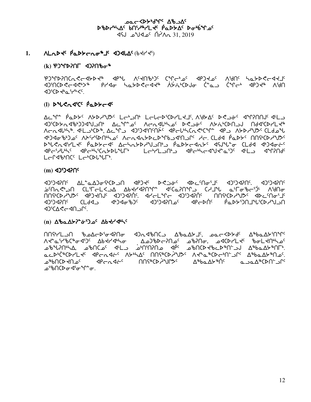## **AC AD WAYS DOC** DBDYNAC bniyayLtc PaDSAC Donbinoc  $45J$   $2019$   $\alpha$ <sup>c</sup>  $\Lambda$ <sup>2</sup> $\Lambda$ <sub>0</sub> 31, 2019

#### Made Padteroal aldhac (beller)  $1.$

## $(k)$  የጋንቦንበ $\Gamma$  <br/><br/><br><br/><br><br/>
defined to

EXAMPSUCUSCAPASE Abstract VertuPp)c Colcurtoc AbJARe VAUC PURAJE **JULO "KADT"CD" AUGHOO ACT ALACE AND TO "CALACE" AUGHOO ACT AUGHOOR くついつきょうしょく** 

## 1) DYLCasic PaDS-de

ΔΣΑΕ βΣΡΑς VAP ΑΛΡΟ ΓΕΡΆΟΙ ΓΕΡΓΕΡΙΟΝΓΚΑΙ VIARC DEPRE AAUUDICAFT **Indianation Lettime Actaliser Desite AtairDelly Actions Addiction** Acn4l44. 4LJ004, Ac4D 4J749AAC 4Pcl4Cn<4C4C4 4PJ AGDH4J2CCLd ᡕ**ᡕᢃᠲ᠆᠗ᢣ᠗᠂᠗ᢣ᠗᠂᠗ᢣ᠗ᢆᢣ᠗᠗ᢣ᠗᠗ᢣ᠗ᢣ᠗ᢣ᠗ᢣ᠗ᢣ᠗ᢣ᠗ᢣ᠗ᢣ᠗ᢣ**᠗᠗ᢣᠾ᠗᠗ᢣ᠓᠗ᢣ᠓ᢣ᠗ᢣ D "L C A SHA C A CHALL" A CHALL AND CHALL ASSERIATE CLOS AND CH LCP4bMCCLCbCDLuPh.

## $(m)$  4) 420 $\Omega$

4069490 ALAA2064CDJN 4P24 DRS66 ADC90616 42624906 42624906 ᠊ᡠᡃ᠓᠌ᡊ᠊ᡭ᠊ᢣ᠕᠋᠂ᢗ᠘ᡃᠮ᠆ᡰᡄᢃ᠘ᡁᢀᢣᠰᢂ᠘ᠾ᠅ᠰ᠕᠉ᠾ᠅ᠰ᠕ᡆ᠂᠔ᡄ᠈ᠫᠴ᠓᠂᠗ᡄ᠅ᢆᡐ᠕᠗ᠣ በ∈ሁ"ኣህንዝግር የተለመግኘት ብቃዓክ <sup>እ</sup>≏ብየቡር"ር⊳ ግር∛ቴራነው (ፊት ነው) ገባናቱ በአራርር **CARCADICA** 

## (n) ΔbaΔX2<sup>6</sup> σ<sup>0</sup>2 Δbdd (n)

 $\Lambda$ ᠰᢈᡃᢆ᠊᠌ᡅ᠄ᠰ᠈ᡰᡏ᠑ᢣᡌᢣᢂᢣᡆ᠂᠗᠀ᡙᢂᠢᠵ᠓ᡆ acD<sup>6</sup>CD7L5C dPcndicC A56AC MOSEO29JSC A56aFCDc6DC6 AFbaA5FMaC ᠊ᢩ᠖ᡥᡃᡅ᠓᠖ᡃ᠖ᠴ᠉᠐ᢞ᠈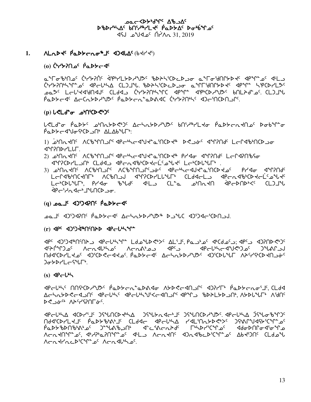## **POCSO Jupistas-Doc** DBDYNAC bniyayLtc PaDSAC Donbinoc 1,2019 ASJ <sup>2</sup>° Ac<sup>c</sup> O<sup>2</sup>No 31, 2019

Mate Paptero&S 4) ALAC (bt/ts)  $1.$ 

## <sup>0</sup> ליראלו <sup>6</sup> לשלאל (0)

<u>ᢆ</u>᠊ᡆ᠆᠖ᡃ᠖᠂ᠾ᠅ᡁᢞᡳᢂᠾ᠈ᢖ᠀᠂ᡀᢣᢄ᠂ᡀᢂᢣ᠑ᢣᡏ᠀᠐ᡫᢣᢂᡁ᠑ᢣᠾ᠈᠓ᡰᠢᢋᢣ᠅᠗ᢣᠾ᠅ᢋᠾ᠅ᢋᡅ <u>CYYYANSAL of APEUSA CLOUSL BOASCDED of aMEMADARE APML SPCDYLOF</u> oe Lauiday CLad Cithinhic apin apichiyyi bulhalor Clilliyi. د CLC Paddras Archddyyds Paddraigdado Chydinhs drincdnas.

## $(p) LCLd^{\circ} \sigma$   $\Delta^b \cap (D^{\circ}C^{\circ})^c$

ᡁぐႾႻჅჿႨ<del>ჼ</del>ႧႲႦჄჼႨჾჼႶჾႸჁჇჼჂჼႨႭႻჽႱႿჁႸჂჼႨჼႨჼႿჼႨႹჽჼႻჽჼႻჽႵႹჽჼႻჽჿჼႥჽႻ PaDYE4VofCDJN ALAbrUF.

า) อะการป่ง VP-ที่จะในป่ง 20-ต่าง 2% จะ 4%PN เปลาง 20-ต่ **JAPAD-ALLE** 

- 2) פ<sup>ו</sup>חתלח<sup>כ</sup> AC ליפרי *לפרייל פיליל ביחר* 19 לים ל״20 לחל 19 להרא
- 3) PPUCAUC VCPPUTLC VCPAUUTLCP4C AbCPPCAN4FTUCDAPC BLAQ AALSUAC LCC46MCKNL6 VC6U71 dalsoluture CL94CL7 dbcvd8pcDXCLc *SPCSHOST-VLNCD-30.*

## ASCCD <sup>2</sup>L\_od 10{DCCD <sup>2</sup>L\_od (q)

## (r) Pre ADD-JAMOSPD AP-LIN-

JPC JIJJJ JPCUS JPCUST JEJD JUD CUSC ALSIS, Pa JUD CU JI JPC JIJJJJD CUSC  $L_{c}$ ੀ $\Delta J^{c}C$ ᠓ϤϥͼϹϷϞͿϝʹϯϘͼͺͺͺϥϽ;ϾϷϭʹϲϤϭʹϯʹͺͺͺͺͺͺͺϙʹϓϤϤͼͺͺϓϷͻϯϤϘʹϯϤϘ·ϓϓͼϹϷϯͿϓϤϽ;ϷͰͿ **JobbrLesury** 

 $(s)$   $\triangleleft$ Pc $\triangle$ <sup>b</sup>

AChabbecan' declini decliniuscanum demu shahlbanni Asalile Ashi 

**IPCLILA ICDL'IL JSLACDILLA JSLLAICL'IC JSLACDILLI SCLUSA JSLGBMJC** U94cDLFTC bgDAPPXPTc CF94C dbCPp7V LdFjUUADGp2c JdeVLA1ddACdLFC ᡠ᠋ᢩᠣᡅᢣ᠍ᡃᢐᢂᠾ᠖ᢋ᠅ᢐ᠅᠕ᠪᢣ᠗ᠰᠾᠾᢆᡉ᠅ᡗᡆ᠆᠗ᢞᡆᢞᢗ᠅ᡗᡆ᠅ᡗ᠂ᢅ᠗ᢆᢣ᠕ᢞᢗᡫ᠖ Acntality of dephanding of dela Acntality and discrimer and the Clabiu AcathachiCintos Acadhhos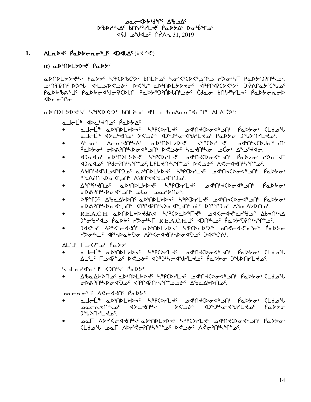## **POCSO Jupistas-Doc** DBDrULAC bnirurrl tc PaDSAC Dobina 1,2019 ASJ <sup>2</sup>° Ac<sup>c</sup> O<sup>2</sup>No 31, 2019

#### $1.$ Made Padteroal aldhac (beller)

## $(t)$  a  $D^b$   $D$   $D^b$   $D^c$   $D^c$   $D^c$

aDNDLYD JUL PaDYS SPCD BCIYS BNLA OF SOFRICORIUM J POOLL PaDYDPNOS ᠊ᠣᡃ᠒᠋ᡅ᠒᠐᠂᠐ᠰᡫᢖ᠔ᡐ᠑᠂᠐ᢞᡫ᠅᠖᠘ᢞ᠐ᢣ᠑ᢣᢂ᠂ᡆᢂᡫᠾ᠅᠕ᢑ᠑ᢣ᠀ᢉᠾ᠑ᢣ᠈ᡴ᠙ᡗ PaDY%N"J' PaDYc1"Jof'(DLN PaDY")?NDLN'sic (dao bN'/"YLt' PaDYcnoD ⊲⊳⊂≎°Րσ.

a DIMDLYD JILLE SIPCD CIX 6MLA O' JILL I BOATA CALA D'ACTES

ما⊂لَّة Arc'طام Pٌark∆

- Ⴍ⅃<mark>⊂</mark>ĹჼჿႭϷჼႶϷĹ*⋟Ϸ*ᡪ<sup>ϲ</sup>ჼႷჼႲႺϷŕĹ<del>ᡪ</del>ϥჼϣϥჼႶᡪႺϷჾϥჼჂႮჼჼႳႪჁႻჼႺĹႻͽჼႱ مالك الله على الله عن الله عنه الله عنه الله عنه الله عنه الله عنه الله عنه الله عنه الله عنه الله ع<br>مناطلة على الله عنه الله عنه الله عنه الله عنه الله عنه الله عنه الله عنه الله عنه الله عنه الله عنه الله عنه
- A' Jo' ACA'KA' a D'ADLYDK' K PCDYLK' a KH'KDJa "JA'  $\rho$ ْمَحْمَدْ مَلْكَمْ مَامْسَاتِكْمْ مَامْسَاتْكُمْ مِنْ مَامْسَاتِكْمْ مِنْ مَاجْتَمْتْ مِنْ مَاجْتَ
- ᡕ᠑᠘ᢦ᠑ᡕ᠂ᡆᡔ᠙ᠾᢂᢣ᠗ᡩ᠓ᢣ᠐ᢣ᠘ᢣ᠂᠗ᢋᠾ᠓ᢣ᠐ᢣᡆ᠉ᢖ᠓ᠰ᠂᠗ᢓᡒ᠗ᢣ᠖ Jn4Joc Pd-201492-36, LPL ANHAR 26 DR Joc ARCAANHAR 26.
- ᠕ᡃ᠗᠐᠄ᠱᡇ᠕ᢇᡇᡒ᠗ᡛ᠉᠐ᢂ᠘᠂᠕ᢣ᠐ᠪ᠅᠂ᢣ᠓ᡬ᠓ᢣᢄᢣ᠂ᡪᢧᢂ᠐ᡕᢂᡁᢂ᠘ᢞ  $\bullet$
- <sup>2</sup>ุ่ בלי4לי4לי 1∀4לית יחבי4הלאיריף.
- AMichelloc aDMDLGDecher Auplander Charles August Augusting  $\bullet$
- ᠂ᡋᢂᡳᡅᢀ᠂᠕ᢥ᠂᠕ᢥ᠂᠕ᡬᢎᢄᡆᢂᡁ᠖ᢣ᠑
- DP+CC AbaALDC aD+NDLLbde L+PCD-LLec ad+NeCDad+ JN PaDLat
- ᠂᠍ᡉᢂ᠕᠈ᡴᡃᢂ᠘᠈᠈᠂᠀ᢄᡤᢀᢣ᠑ᢣᡠᡄ᠂ᡰ᠗ᢣ᠑ᠰ᠀ᡗᢪ᠈᠂᠓ᡄ᠂ᢪ᠍ᢂᢣᡌ᠗᠅
- R.E.A.C.H. aDNDLYDYda SPCDaD<sup>8</sup>LY8 ad<cddtar'd abdNtA  $\bullet$
- 
- 
- 
- 
- ι σ<sup>6</sup>αιλιστος της τηλειασίας της τρίτησης του τηλειος.
- **JA<<sub>C</sub> AP®<E<d+n< aP%NDL>D+C SPCDCD% anec++a%+ PaD>**  $\bullet$

<u>ALSIE LAGE DEAGE DINACINLESE PODFO DIDULESE</u>

ماحلّ<sup>ه</sup> مك<sup>د</sup>ODLهاى المسلمية المسلم المسلم المسلم المسلم المسلم المسلم المسلمين المسلمين المسلمين المسلمين الم

ΔჼbaΔYDՈ 2 QPMDLYD + SPCDrL+ Q4N+CDσ4 JN PaDY 0 Ld 2 U

holardions of the holder

AL'I' LAP-0' PaDY'

rent of the control and the control of the control of the control of the control of the control of the control o

σϷልንበካኑϷσ∢Ώϼ⊆ ∢የቦናብበካኑግՐ -لمحارك المحاربة المحاربة

PECULI VECARUC PODAC

- ᠴ᠍ᠣᡄ᠊ᠠ᠌ᡳ᠊ᡪᡅᠰᢣᠴ᠌ᢄ᠂᠂᠂ᢁᢣᡄ᠆ᢣ᠓ᠰᠢᢄ᠋᠂᠉ᡐ᠑ᡱᠢ᠆ᡏᡐ᠕ᢣ᠘ᢣᡆᢄ᠅᠂ᢆ᠒᠖ᢣᡉ  $2^{\circ}$   $>^{\circ}$   $>^{\circ}$   $>$   $\sim$   $\sim$
- ₽₽L VD4<44Up/c TDF/FA4 /pd/DF/F4c P4U4CD4qp7Up bTDF4p  $\bullet$ <u>(لولمان مول</u> ۱۹۲۸خج)انانیههای محمود ۱۳۶۸ استان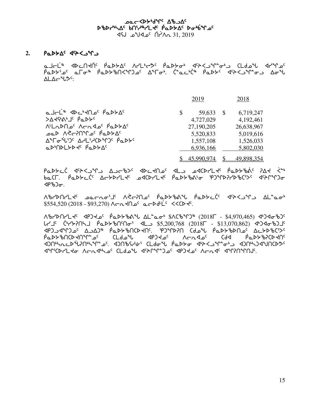## ∆د Aro <sup>1</sup>⁄4 ש^4ל> ~ 05 scsy4nw5 vt3h6ymJ5 `rNs/w5 si4`vqk5 vt3h6ymJ5 `rNs/w5  $\sqrt{45}$  1.  $2019$   $\sqrt{17}$   $\sqrt{17}$   $\sqrt{31}$ ,  $2019$

## 2. **PaDYA<sup>c</sup> 4<sup>c</sup>><br/>
<df>**

ماحلّ<sup>ه</sup> المحاكم العلام المحاكمة المحاكمة المحاكمة المحاكمة المعالمة المحاكمة ملامون  $\vec{P}aDP^s$   $\vec{P}aD^s$   $\vec{P}aDP^s$  of  $\vec{P}aD^s$   $\vec{P}aD^s$ .  $\vec{C}^*aC^s$   $\vec{C}^*aDP^s$   $\vec{P}aD^s$  $ALA\rightarrow V\rightarrow C$ 

|                                                                                                            | 2019         |                           | 2018                    |
|------------------------------------------------------------------------------------------------------------|--------------|---------------------------|-------------------------|
| a Jeli 4 4 C de la papy AC<br>>∆₹G"Tc bTr>c                                                                | <sup>S</sup> | 59,633<br>-S<br>4,727,029 | 6,719,247<br>4,192,461  |
| ALLADNO <sup>C</sup> ACAJO <sup>C</sup> PODYAC                                                             |              | 27,190,205<br>5,520,833   | 26,638,967<br>5,019,616 |
| <b>Δ°Γσ°<sup>ί</sup>ι'</b> ) <sup>ς</sup> ΔΗL'Η(D°Γ) <sup>ς</sup> Ρ΄ ΦΡΥ <sup>ς</sup><br>aDODLYD TO PaDYAC |              | 1,557,108<br>6,936,166    | 1,526,033<br>5,802,030  |
|                                                                                                            |              | 45,990,974                | 49,898,354              |

Padtc' dit<Jim AJcib> dhctNa dlo adcdilt padtbio int <=  $ba$ CF.  $\dot{P}aDb$   $c^{c}$   $\Delta$   $c$   $b$   $c^{c}$   $\Delta$   $c$   $b$   $c^{c}$   $\Delta$   $c$   $b$   $c^{c}$   $\Delta$   $c$   $\Delta$   $c^{c}$   $\Delta$   $c^{c}$   $\Delta$   $c^{c}$   $\Delta$   $c^{c}$   $\Delta$   $c^{c}$   $\Delta$   $c^{c}$   $\Delta$   $c^{c}$   $\Delta$   $c^{c}$   $\Delta$   $c^{c}$   $\Delta$   $c^{c}$   $\Delta$   $\langle \mathsf{P}^{\mathsf{r}} \mathsf{b} \mathsf{D} \sigma \rangle$ .

AbrdArL معدمه بالارجام فعلكهم الأصلي المحاجم وتمليك المحملة  $$554,520 (2018 - $93,270)$  Aratles arbdt is  $\sim$ 

ለቴ/Þበ/L + 4P) + 2 የፊኦ৮ቴሌ የL " α σ የአርቴ የገን" (2018 - \$4,970,465) 494 σቴ)  $L$ לבל ליאל ה-13,070,862 (2018 - \$5,200,768 (2018 - \$13,070,862) לבל APJJAMJ2G AJAJ& PQDYBNCDKNS. PJMDPN Cdol PQDYBDN2G ACYBGCSS `rNs/ctbsJtq8k5 bmfkz xrgJk5 WoExk5 bfx `rNs/cDbsJt5 xativations of the manuscript of the Marian and the control and the construction of the control of the control o kati World Annabiya action of the control of the control of the control of the control of the control of the c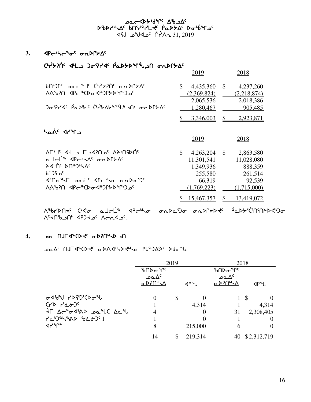مص⊂≺4ح<sup>404 م</sup>لام مصححة *4*6 ኦঙኦሥኣፊና የሀነጎ<sub>ኞ</sub>ነ୮ሩ የሚኦኦፊ ኦԺየይሌግ<sub>ና</sub>  $\sqrt{45}$   $\sqrt{44}$   $\sqrt{17}$   $\sqrt{17}$   $\sqrt{17}$   $\sqrt{17}$   $\sqrt{17}$   $\sqrt{17}$   $\sqrt{17}$   $\sqrt{17}$   $\sqrt{17}$   $\sqrt{17}$   $\sqrt{17}$   $\sqrt{17}$   $\sqrt{17}$   $\sqrt{17}$   $\sqrt{17}$   $\sqrt{17}$   $\sqrt{17}$   $\sqrt{17}$   $\sqrt{17}$   $\sqrt{17}$   $\sqrt{17}$   $\sqrt{17}$   $\sqrt{1$ 

## 3. *APc<sup>6</sup>bc<sup>4</sup>o<sup>c</sup> onDPb*<sup>c</sup>

| ር•アレント 4L) ጋ <sub>ሚ</sub> ነገረል የሚኮ <u>ኦ</u> ሌ የተገባ ሚካዮአል |                |             |                |             |  |
|----------------------------------------------------------|----------------|-------------|----------------|-------------|--|
|                                                          |                | <u>2019</u> |                | <u>2018</u> |  |
| bUbJLC POC <sub>a</sub> TC CASSULE QUALAC                | \$             | 4,435,360   | $\mathbb{S}$   | 4,237,260   |  |
| ለል <i></i> የንበ 4P (አውታሪ ምን <sup></sup> በና <i>ል</i> የአለ   |                | (2,369,824) |                | (2,218,874) |  |
|                                                          |                | 2,065,536   |                | 2,018,386   |  |
| <u>) σελλάς ράδης ζελλαλισμενη συριλας</u>               |                | 1,280,467   |                | 905,485     |  |
|                                                          |                | 3,346,003   | \$             | 2,923,871   |  |
| has dry                                                  |                |             |                |             |  |
|                                                          |                | 2019        |                | 2018        |  |
| ∆Г'⅃٬ ◁└∟⊃ Г⊃◁ʔՈჲ٬ ∧≻ŀՈናϷႶ <sup>٬</sup>                  | $\mathbb{S}^-$ | 4,263,204   | $\mathbb{S}$   | 2,863,580   |  |
| <del>e J⊂</del> Ľ® ⊲P⊂®\∆⊆~onDՐ⊁∆⊆                       |                | 11,301,541  |                | 11,028,080  |  |
|                                                          |                | 1,349,936   |                | 888,359     |  |
| <sup>6</sup> °ء∠1د                                       |                | 255,580     |                | 261,514     |  |
| <b>Photo part of the Seam</b>                            |                | 66,319      |                | 92,539      |  |
|                                                          |                | (1,769,223) |                | (1,715,000) |  |
|                                                          |                | 15,467,357  | $\mathbb{S}^-$ | 13,419,072  |  |

 $\Lambda^{q}b\Gamma^{b}\Gamma^{b}\Gamma^{c}c^{b}c\sigma\quad a\Gamma^{-b}c^{b}\quad\text{and}\quad\sigma\Lambda b\Delta^{c}b\sigma\quad\sigma\Lambda b\Gamma^{b}b\Gamma^{c}\quad\text{and}\quad\Gamma^{b}\Lambda^{c}b\Gamma^{c}c^{c}\Gamma^{c}\Gamma^{c}\Gamma^{c}c^{c}\Gamma^{c}c^{d}\Gamma^{c}c^{d}c\quad\text{and}\quad\Gamma^{c}\Gamma^{c}c^{c}\Gamma^{c}c^{c}\Gamma^{c}c^{d}\Gamma^{c}c^{d}c\quad\text{and}\quad\Gamma^{c}\Gamma^{c}c^{c}\Gamma^{c}c^{d}\Gamma^{c}c^{d}\Gamma^{$  $V_{c}$ 

## . **. . . . . በJF 4ªCD <del>-</del>** (  $\sigma$ DP) በዛሬ ነበ

DO AC NUT ANCO TO ODA AND THO PLADASC DOOM.

|                                                  | 2019           |   |                                                | 2018           |              |  |
|--------------------------------------------------|----------------|---|------------------------------------------------|----------------|--------------|--|
|                                                  | ᡃᡃ᠋ᡃᠦᡗᢂ        |   |                                                | ᡃᡃ᠋ᡃᠦᡗᢂ        |              |  |
|                                                  | ے م $\Delta^c$ |   |                                                | ے م $\Delta^c$ |              |  |
|                                                  | ᡉᢂ᠋ᡴᢂ          |   | <p~u< td=""><td>ᡉᢂ᠋ᡴᢂ</td><td>⊲բ•լ</td></p~u<> | ᡉᢂ᠋ᡴᢂ          | ⊲բ•լ         |  |
| <b>৮৭</b> ১৫৬ বিধ                                | $\Omega$       | S |                                                |                | $1 \text{ }$ |  |
| $(1)$ $(1)$ $(1)$                                |                |   | 4,314                                          |                | 4,314        |  |
| The active date and It                           |                |   |                                                | 31             | 2,308,405    |  |
| $7c^{5}$ $4c^{6}$ $8d^{6}$ $8d^{6}$ $3c^{6}$ $1$ |                |   | $\theta$                                       |                | $\theta$     |  |
| ึ√~^°                                            |                |   | 215,000                                        |                |              |  |
|                                                  | 14             |   | 219,314                                        | 40             | \$2,312,719  |  |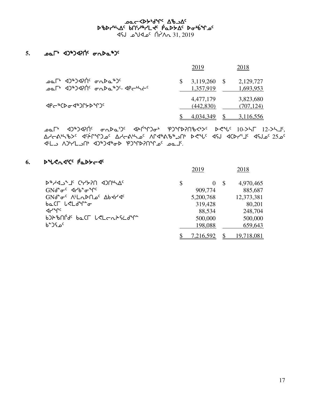## مص⊂≺4ح<sup>404 م</sup>لام مصححة *4*6 ኦঙኦሥኣፊና የሀነጎ<sub>ኞ</sub>ነ୮ሩ የሚኦኦፊ ኦԺየይሌግ<sub>ና</sub>  $\sqrt{45}$   $\sqrt{44}$   $\sqrt{17}$   $\sqrt{17}$   $\sqrt{17}$   $\sqrt{17}$   $\sqrt{17}$   $\sqrt{17}$   $\sqrt{17}$   $\sqrt{17}$   $\sqrt{17}$   $\sqrt{17}$   $\sqrt{17}$   $\sqrt{17}$   $\sqrt{17}$   $\sqrt{17}$   $\sqrt{17}$   $\sqrt{17}$   $\sqrt{17}$   $\sqrt{17}$   $\sqrt{17}$   $\sqrt{17}$   $\sqrt{17}$   $\sqrt{17}$   $\sqrt{1$

## 5. **pa<sup>r</sup> 4)\*)4?** on ba<sup>\$</sup>)<sup>c</sup>

|                                                                                                                                                | 2019                        | 2018                    |
|------------------------------------------------------------------------------------------------------------------------------------------------|-----------------------------|-------------------------|
| ᠊ᠣ᠌ᡅ᠌ᡗᡃ᠂᠂᠊᠂᠑ᢞ᠑ᢦ᠒ᡤ᠂᠂ᡉᢆᠬᢂ᠘᠉᠑<br>ـُمَمِـلَّة ﴿ عَلَيْهِ عَلَيْهِ مِنْ مِنْ عَلَيْهِ مِنْ مِنْ مِنْ عَلَيْهِ مِنْ مِنْ مِنْ مِنْ مِنْ<br>مولاته ال | $3,119,260$ \$<br>1,357,919 | 2,129,727<br>1,693,953  |
| <b>⊲</b> ₽←®¢₽ <del></del> σ₹®                                                                                                                 | 4,477,179<br>(442, 830)     | 3,823,680<br>(707, 124) |
|                                                                                                                                                | 4.034.349                   | 3,116,556               |

 $\Delta\Omega$ <sub>D</sub>  $\Delta\Gamma$ <sup>6</sup>  $\Delta\Gamma$   $\Delta\Gamma$   $\Delta\Gamma$   $\Delta\Gamma$   $\Delta\Gamma$   $\Delta\Gamma$   $\Delta\Gamma$   $\Delta\Gamma$   $\Delta\Gamma$   $\Delta\Gamma$   $\Delta\Gamma$   $\Delta\Gamma$   $\Delta\Gamma$   $\Delta\Gamma$   $\Delta\Gamma$   $\Delta\Gamma$   $\Delta\Gamma$   $\Delta\Gamma$   $\Delta\Gamma$   $\Delta\Gamma$   $\Delta\Gamma$   $\Delta\Gamma$   $\Delta\Gamma$   $\Delta\Gamma$   $\Delta\Gamma$   $\Delta\Gamma$   $\Delta\Gamma$   $\Delta\Gamma$   $\Delta\Gamma$  $\Delta$ de 4nd  $\Delta$ 5  $\Delta$ 4nd  $\Delta$ 5  $\Delta$ 4  $\Delta$ 6  $\Delta$ 6  $\Delta$ 5  $\Delta$ 6  $\Delta$ 6  $\Delta$ 7  $\Delta$ 6  $\Delta$ 4  $\Delta$ 6  $\Delta$ 7  $\Delta$ 6  $\Delta$ 5  $\Delta$ 6  $\Delta$ x7ml Wg4ymlt4 xg6gx6is egqsDtqk5 kNj5.

# 6. **D**<sup>2</sup>CA4'C PaDS-4

|                                                                                | 2019      |              | 2018       |
|--------------------------------------------------------------------------------|-----------|--------------|------------|
| <b>DAYOULD UGGAING JURYSC</b>                                                  | \$        | <sup>S</sup> | 4,970,465  |
| $GMd^{\circ} \sigma^{\circ}$ $d\gamma b^{\circ} \sigma^{\circ} \gamma^{\circ}$ | 909,774   |              | 885,687    |
| GNd <sup>e</sup> or V <sub>LUDU</sub> QP44dc                                   | 5,200,768 |              | 12,373,381 |
| baCL LeLdiro                                                                   | 319,428   |              | 80,201     |
| ⊲৴৲৽                                                                           | 88,534    |              | 248,704    |
| b)}`bnrds baCL LSLcn}Scd^r                                                     | 500,000   |              | 500,000    |
| <sup>6</sup> °۰د^                                                              | 198,088   |              | 659,643    |
|                                                                                | 7,216,592 |              | 19,718,081 |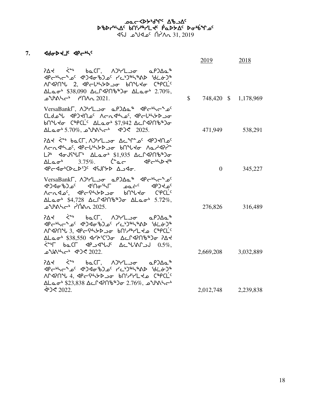## مص⊂≺4ح<sup>404 م</sup>لام مصححة *4*6 ኦঙኦሥኣፊና የሀነጎ<sub>ኞ</sub>ነ୮ሩ የሚኦኦፊ ኦԺየይሌግ<sub>ና</sub> 31, 2019 <sup>2</sup>م4∀∂ أ^م4لا°م ل

## **7.** xfisJj5 xro4n5

|                                                                                                                                                                                                                                                                                                                                                                                                                                                                                                                                                                                                                                               |              | <u>2019</u>          | <u>2018</u> |
|-----------------------------------------------------------------------------------------------------------------------------------------------------------------------------------------------------------------------------------------------------------------------------------------------------------------------------------------------------------------------------------------------------------------------------------------------------------------------------------------------------------------------------------------------------------------------------------------------------------------------------------------------|--------------|----------------------|-------------|
| $P\Delta$ d (* baCl, $\Delta P$ 'l do a $P$ ) $\Delta a$<br><p<br></p<br> <p<br></p<br> <p<br></p<br> <p<br></p<br> <p<br></p<br> <p<br></p<br> <p<br></p<br> <p<br></p<br> <p<br></p<br> <p<br></p<br> <p<br></p<br> <p<br></p<br> <p<br></p<br> <p<br></p<br> <p<br></p<br> <p<br></p<br> <p<br></p<br> <p<br></p<br> <p<br></p<br> <p<br></p<br> <p<br></p<br> <p<br></p<br> <p<br></p<br> <p<br></p<br> <p<br<br>M970 2, P-UH+20 bn L+0 C+PCL<br/><math display="block">\Delta La\sigma^6</math>\$38,090 <math>\Delta C</math>9706\$20 <math>\Delta La\sigma^6</math> 2.70%,<br/>ے<sup>م</sup>∪ہ∧∠ہ ہے ×\∧</p<br<br>                      | $\mathbb{S}$ | 748,420 \$ 1,178,969 |             |
| VersaBank T, APrLoo aPDAa <sup>\$</sup> <pr>4P<br/>CLdon dp Jeno' Acndho' declintboo<br/>bn "L &lt; C"PCL' ALao" \$7,942 Acr&lt;12016" )<br/>∆Lao<sup>6</sup> 5.70%, ع<sup>م</sup>ال هال<sup>ه</sup>وم عد</pr>                                                                                                                                                                                                                                                                                                                                                                                                                                |              | 471,949              | 538,291     |
| LP <adstlf \$1,935="" acr<12016\$jo<br="" alaot=""><math>\Delta</math>Lao<sup>6</sup> 3.75%. C<sup>o</sup>ac <br/><br/><math>\Delta P</math><br/>JPG JOND'S JSJPSD ASJO.</adstlf>                                                                                                                                                                                                                                                                                                                                                                                                                                                             |              | $\overline{0}$       | 345,227     |
| VersaBankr, AJ-HLoo aPJAa <sup>\$</sup> <p-<br><b>45/46 من المعاشر معاشر معاشر المعاشر به عن المعاشر من المعاشر من المعاشر من المعاشر من المعاشر الم</b><br/><math>\Delta</math>Lao<sup>6</sup> \$4,728 <math>\Delta</math>cr<br/>4?nbbdo <math>\Delta</math>Laob 5.72%,<br/><u> ك2025 مىمامى</u> مىلايى</p-<br>                                                                                                                                                                                                                                                                                                                              |              | 276,826              | 316,489     |
| $P\Delta$ d (* baCl, $\Delta P$ '/Loo al $P\Delta Q^*$<br><p<br></p<br> <p<br></p<br> <p<br></p<br> <p<br></p<br> <p<br></p<br> <p<br></p<br> <p<br></p<br> <p<br></p<br> <p<br></p<br> <p<br></p<br> <p<br></p<br> <p<br></p<br> <p<br></p<br> <p<br></p<br> <p<br></p<br> <p<br></p<br> <p<br></p<br> <p<br></p<br> <p<br></p<br> <p<br></p<br> <p<br></p<br> <p<br></p<br> <p<br></p<br> <p<br></p<br> <p<br<br><math>\zeta^*</math>ר <math>\zeta^*</math> - ל<math>\zeta^*</math> הא<math>\zeta^*</math>ר שי<math>\zeta^*</math>ר הא<math>\zeta^*</math> - לא<math>\zeta^*</math><br/>لاش مالكان مايون مان 1022.<br/>مارك 1022.</p<br<br> |              | 2,669,208            | 3,032,889   |
| $P\Delta$ d $\zeta^{a}$ be( $\Gamma$ , $\Delta P$ ' $\Gamma$ ) $\sigma$ a $P$ $\Delta a$<br><p<br></p<br> <p<br></p<br> <p<br></p<br> <p<br></p<br> <p<br></p<br> <p<br></p<br> <p<br></p<br> <p<br></p<br> <p<br></p<br> <p<br></p<br> <p<br></p<br> <p<br></p<br> <p<br></p<br> <p<br></p<br> <p<br></p<br> <p<br></p<br> <p<br></p<br> <p<br></p<br> <p<br></p<br> <p<br></p<br> <p<br></p<br> <p<br></p<br> <p<br></p<br> <p<br></p<br> <p<br<br>MAPN 4, APCS SUD OF BNITCLED COPCL<br/>ΔLao<sup>6</sup> \$23,838 Δcr4206630 2.76%, 2 UM<br/><math>\dot{P}</math> 3022.</p<br<br>                                                         |              | 2,012,748 2,239,838  |             |
|                                                                                                                                                                                                                                                                                                                                                                                                                                                                                                                                                                                                                                               |              |                      |             |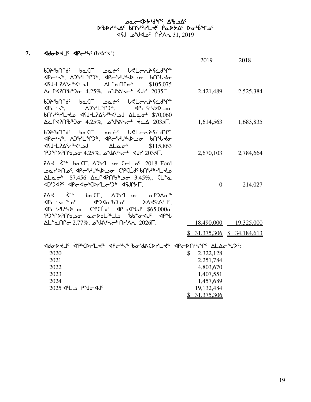## مص⊂≺4ح<sup>404 م</sup>لام مصححة *4*6 ኦঙኦሥኣፊና የሀነጎ<sub>ኞ</sub>ነ୮ሩ የሚኦኦፊ ኦԺየይሌግ<sub>ና</sub> 31, 2019 <sup>2</sup>م4∀∂ أ^م4لا°م ل

## 7. **<dda>ddf <dpc+hc**(bdr/dc)

|                                                                                                                                                                                                                                                                                                                                                                                                                                                                                                                                                                                           | <u>2019</u>    | <u>2018</u>                 |
|-------------------------------------------------------------------------------------------------------------------------------------------------------------------------------------------------------------------------------------------------------------------------------------------------------------------------------------------------------------------------------------------------------------------------------------------------------------------------------------------------------------------------------------------------------------------------------------------|----------------|-----------------------------|
| b)A&MGC baCL bact <sup>c</sup> leLcnAScdMa<br><b><p<br></p<br> <p<br></p<br> <p<br></p<br> <p<br></p<br> <p<br></p<br> <p<br></p<br> <p<br></p<br> <p<br></p<br> <p<br></p<br> <p<br></p<br> <p<br></p<br> <p<br></p<br> <p<br></p<br> <p<br></p<br> <p<br></p<br> <p<br b="" p<="" p<br=""><br/><i>SI05,075</i> \$105,075 AL<sup>+</sup>anr \$105,075</p<br></b>                                                                                                                                                                                                                         |                | 2,421,489 2,525,384         |
| 60°,7% לב 45J-L2∆ <sup>6</sup> יל 4SJ-L2∆ <sup>6</sup> בארי<br>$\Delta$ പിദിവി $\delta^*$ ാം 4.25%, എംഗ്രീപ്പ് 2035Г.                                                                                                                                                                                                                                                                                                                                                                                                                                                                     |                | 1,614,563 1,683,835         |
| b)A&Md <sup>c</sup> baCL pat <sup>c</sup> lelenAScdMa<br><b><p<br></p<br> <p<br></p<br> <p<br></p<br> <p<br></p<br> <p<br></p<br> <p<br></p<br> <p<br></p<br> <p<br></p<br> <p<br></p<br> <p<br></p<br> <p<br></p<br> <p<br></p<br> <p<br></p<br> <p<br></p<br> <p<br></p<br> <p<br b="" p<="" p<br=""><br/>ᢦᡪᡕ᠆᠘ᡝ᠔ᡕᢣᠰ᠀᠅᠕᠐᠂᠕᠘᠖ᢁ<br/>\$115,863<br/>PJMDPNb20 +4.25%, 24/AM- 4JP 2035Г.</p<br></b>                                                                                                                                                                                          | 2,670,103      | 2,784,664                   |
| 2018 Ford CCL APYL - CCL - 2018 Ford<br>᠊ᢁᡋ᠊ᡕᢂ᠉ᡰᢃᢞ᠈᠂᠀ᡄ᠂ᡕᢂᢣᡲ᠆ᢣ᠗ᡔ᠂ᢆᡆ᠓ᡪ᠘᠉ᡕ᠘᠀<br>$\Delta$ Lao <sup>6</sup> \$7,456 $\Delta$ c <sup>2</sup> 470 <sup>8</sup> $\Delta$ or 3.45%,. CL <sup>o</sup> a<br>4)54PC 4Pc-40+CDrLc534 45JP5F.                                                                                                                                                                                                                                                                                                                                                           | $\overline{0}$ | 214,027                     |
| $P\Delta$ d (* baCl, $\Delta P^*$ l and $\Delta P^*$<br>$\left( \left\  \mathcal{A} \right\  \leq \left\  \mathcal{A} \right\  \leq \left\  \mathcal{A} \right\  \leq \left\  \mathcal{A} \right\  \leq \left\  \mathcal{A} \right\  \leq \left\  \mathcal{A} \right\  \leq \left\  \mathcal{A} \right\  \leq \left\  \mathcal{A} \right\  \leq \left\  \mathcal{A} \right\  \leq \left\  \mathcal{A} \right\  \leq \left\  \mathcal{A} \right\  \leq \left\  \mathcal{A} \right\  \leq \left\  \mathcal{A} \right\$<br>PJFP?NbJo acDdL?LJ bbio <u' <pl<="" td=""><td></td><td></td></u'> |                |                             |
| ΔL <sup>•</sup> αΠΓσ 2.77%, a <sup>γ</sup> JAh\r <sup>6</sup> Πr/λά 2026Γ.                                                                                                                                                                                                                                                                                                                                                                                                                                                                                                                |                | 18,490,000 19,325,000       |
|                                                                                                                                                                                                                                                                                                                                                                                                                                                                                                                                                                                           |                | $$31,375,306$ $$34,184,613$ |
|                                                                                                                                                                                                                                                                                                                                                                                                                                                                                                                                                                                           |                |                             |
| 2020                                                                                                                                                                                                                                                                                                                                                                                                                                                                                                                                                                                      | \$2,322,128    |                             |
| 2021                                                                                                                                                                                                                                                                                                                                                                                                                                                                                                                                                                                      | 2,251,784      |                             |
| 2022                                                                                                                                                                                                                                                                                                                                                                                                                                                                                                                                                                                      | 4,803,670      |                             |
| 2023                                                                                                                                                                                                                                                                                                                                                                                                                                                                                                                                                                                      | 1,407,551      |                             |
| 2024                                                                                                                                                                                                                                                                                                                                                                                                                                                                                                                                                                                      | 1,457,689      |                             |
| 2025 JL Pyo-4J                                                                                                                                                                                                                                                                                                                                                                                                                                                                                                                                                                            | 19,132,484     |                             |
|                                                                                                                                                                                                                                                                                                                                                                                                                                                                                                                                                                                           | \$31,375,306   |                             |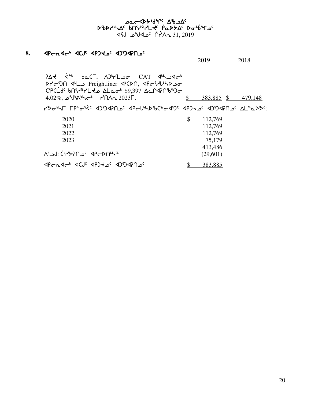## weden in Aparc World Wa scsy4nw5 vt3h6ymJ5 `rNs/w5 si4`vqk5 vt3h6ymJ5 `rNs/w5  $\sim$ CA 31, 2019 ) مكك مكتب

## 8. **4Pcn4ch 4CJC 4PJK2C 4JSJ4PN2C**

2019 2018

 $P\Delta$ K  $\zeta$ <sup>a</sup> be( $\Gamma$ ,  $\Delta$ <sup>b</sup> $\gamma$ L<sub>2</sub>o CAT  $\Phi$ <sup>1</sup> st-50 <br />
Freightliner <br />
St-510 <br />
St-510 <br />
Treightliner <br />
<br />
Treightliner <br />
<br />
Treightliner <br />
<br />
L<br />
<br />
L<br />
<br />
Treightliner <br />
<br />
L<br />
L<br />
L<br /  $C\mathfrak{P}CLd^c$  bn'/\*/Ldo  $\Delta$ Lao' \$9,397  $\Delta$ cr42n'b")o  $4.02\%$ ,  $2\sqrt{4.02\%}$ ,  $4.02\%$ ,  $4.479,148$ שמילאסיבר 19°5 האיגר דף *ליציס של היא די שיר שיל שיל של היא די של היא די של היא די של היא די היא די הא* 2020 \$ 112,769

|                             | . <i>. .</i> |
|-----------------------------|--------------|
| 2021                        | 112,769      |
| 2022                        | 112,769      |
| 2023                        | 75,179       |
|                             | 413,486      |
| ᠰ᠑᠂ᡬᡃᠠ᠘ᢣ᠑᠐᠆ᢄ᠂᠂ᡕᡄ᠉᠐ᢣ᠘ᢣ       | (29,601)     |
| JPGAJGH JUS (19) JUD 1-DAAP | 383,885      |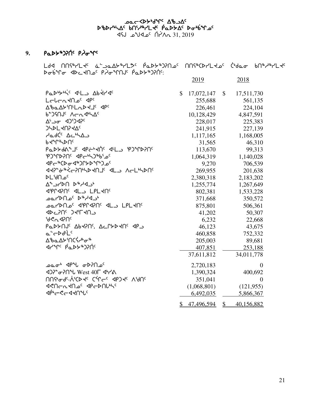## مص⊂≺4ح<sup>404 م</sup>لام مصححة *4*6 ኦঙኦሥኣፊና የሀነጎ<sub>ኞ</sub>ነ୮ሩ የሚኦኦፊ ኦԺየይሌግ<sub>ና</sub>  $X = 31.31$   $X = 31.2019$

# 9. **PaD**>\$ጋ?በ፡ PJoያ<sup>c</sup>

meta mater de de la poste de la postession de la construcción de la producción de la producción de la producci siyq yo-bite that of P to the the C thin that the C thin the C thin the C thin the C thin the C to the C thin

2019 2018

| Padbytic dL bddrdc                                                                                        | $\mathbb{S}$ | 17,072,147  | $\mathbb{S}$  | 17,511,730     |
|-----------------------------------------------------------------------------------------------------------|--------------|-------------|---------------|----------------|
| Lebentho <sup>c</sup> dpc                                                                                 |              | 255,688     |               | 561,135        |
| AbaAY'n'LaDYJ' <p'< td=""><td></td><td>226,461</td><td></td><td>224,104</td></p'<>                        |              | 226,461     |               | 224,104        |
| 6-JSNJC ACASHAC                                                                                           |              | 10,128,429  |               | 4,847,591      |
| Δ' <sub>-</sub> σ < 4)') <                                                                                |              | 228,017     |               | 225,383        |
| <b>JHDLKNIKAC</b>                                                                                         |              | 241,915     |               | 227,139        |
| ظمار د مح <sup>ة</sup> ∕∆⊃                                                                                |              | 1,117,165   |               | 1,168,005      |
| bdule                                                                                                     |              | 31,565      |               | 46,310         |
| Padydary GPERTHE RED PJMDPNE                                                                              |              | 113,670     |               | 99,313         |
| PJMPPNC dPchJ*bioc                                                                                        |              | 1,064,319   |               | 1,140,028      |
| ⊲₽←®©₽σ−4®ϽՐ৮₽℃₽₽                                                                                         |              | 9,270       |               | 706,539        |
| <b>JY2-0-4/5-5005/75-4LD VEFFOU</b>                                                                       |              | 269,955     |               | 201,638        |
| <b>DL</b> 'd∩ے<                                                                                           |              | 2,380,318   |               | 2,183,202      |
| $\Delta^4$ ا محمد المحمد المحمد المحمد المحمد المحمد المحمد المحمد المحمد المحمد المحمد المحمد المحمد الم |              | 1,255,774   |               | 1,267,649      |
| <b>JPPIAPNS ALL LPLANS</b>                                                                                |              | 802,381     |               | 1,533,228      |
| יב4ילים ים∩ל∕דםם                                                                                          |              | 371,668     |               | 350,572        |
|                                                                                                           |              | 875,801     |               | 506,361        |
| <b>SP-50G JALAUP</b>                                                                                      |              | 41,202      |               | 50,307         |
| ჼႻぐჀ⊲ჂႶჺ                                                                                                  |              | 6,232       |               | 22,668         |
| PaDYNJ <sup>c</sup> AbKPNS, AcryDKNS <p< td=""><td></td><td>46,123</td><td></td><td>43,675</td></p<>      |              | 46,123      |               | 43,675         |
| a-CDdLLC                                                                                                  |              | 460,858     |               | 752,332        |
| ᠘ᡃᡃᢐ᠌ᡅ᠘ᡃᡔᡃ᠌᠓ᢗ᠊᠍ᡪ᠋᠕ᡒᡑ                                                                                      |              | 205,003     |               | 89,681         |
| JYºC PQDY®JPN                                                                                             |              | 407,851     |               | 253,188        |
|                                                                                                           |              | 37,611,812  |               | 34,011,778     |
| ©مطه طا°91 محموم                                                                                          |              | 2,720,183   |               | $\overline{0}$ |
| 402° <del>62</del> 0° West 40F 4° 64                                                                      |              | 1,390,324   |               | 400,692        |
| UU& <sup>a</sup> qc-VcCD fc Cal <sup>c</sup> -c db) fc VAUc                                               |              | 351,041     |               | $\theta$       |
| <b>JPD JPD POPOLAR</b>                                                                                    |              | (1,068,801) |               | (121, 955)     |
| ⊲ঢ়৾৽ড়ৼ৻ড়৻৸৻৸৻                                                                                          |              | 6,492,035   |               | 5,866,367      |
|                                                                                                           | \$           | 47,496,594  | $\frac{1}{2}$ | 40,156,882     |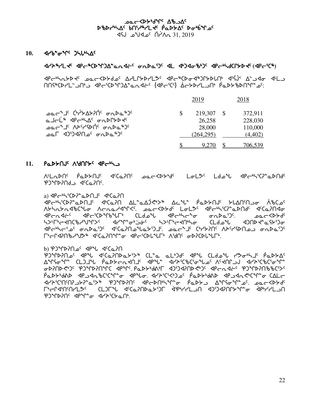**᠊᠑ᢗ᠆᠀᠊ᠷ᠀ᡒᠾ᠂᠀᠕ᡔᢇᢦ**ᠣ DBDrULAC bnirurrl tc PaDSAC Dobina  $45J$   $2019$   $\alpha$ <sup>c</sup>  $\Lambda$ <sup>2</sup> $\Lambda$ <sub>0</sub> 31, 2019

#### $10.$ **⊲**ґხ<del>՟</del>σ<sup>ъ</sup>Ր՟ ϽኣႱኣ∆<sup>ϲ</sup>

#### drainly appropriate and of the particle of the control of the control of the control of the control of the con

<u> በበናትርኮረך "JA" ፈልተኛል የተለያየት የአማሪያ ለተለያየት የአማሪያ ለተለያየት የአማሪያ የ</u>

|                                                                                      |     | 2019             | 2018               |
|--------------------------------------------------------------------------------------|-----|------------------|--------------------|
| ᠴ᠋ᠴᡆᡄ᠋᠆᠂᠂᠂᠂᠂᠂᠅ᢣ᠘ᢣ᠈ᡤ᠂᠂ᡒ᠘ᢂᠴ                                                            | -SS | 219,307 \$       | 372,911            |
| ௳⅃᠆ℹ <sup>ኈ</sup> ᠂ᅃ᠆ᡃᢣ᠘ <sup></sup> ᠂ᡒ᠘ᡗᡗᢣᢣᡇ<br>ᠴ᠋ᢁᡄ᠆᠂᠋᠂᠂᠕ᢣ <sup>ᢈ</sup> ᠡ᠑ᡬ᠂᠂ᡒ᠘ᢂᠴ᠀ |     | 26,258<br>28,000 | 228,030<br>110,000 |
| ° <sup>(</sup> ۴–۱۵۵×ه <sup>¢</sup> م۱۹۶۵'۹۵ ۳۵–۵                                    |     | (264, 295)       | (4, 402)           |
|                                                                                      |     | 9.270 \$         | 706.539            |

#### $11.$  PaDSMJS AGALSS APC-

A'LADN' P'aDAN' C'CaPN' معدد كالماط للملكة للطاعمة المسابر (2014-1914) **PJMAJALA** CONCH

a)  $\langle P \leftarrow \neg P \left( P \right)^* \triangle P \cap P \left( P \right) \rangle$ 

P-45°CDP°aDNJS PCaPN AL°aAJRb>® AcAL° PaDDNS DLANSNJG ABCDS Aᢣᢣ᠌nᢣnᡏ᠋ᡈᢗᠰᠣ Aᡄnaᢣᡏ᠋ᠲᢉᡪ᠁ᡂᡄ≺ᢂᢣᡆ᠂᠘ᠣ᠌᠌ᡶᡔ᠂᠂ᢉᢝᡄᡃᡰᡪ᠙᠌ᢆᡱᢂ᠋ PCndich PCPCDPbPLF CLdol PChiclo onDaDC. packbbd ᡰᢣᢣᠮ᠋ᡰ᠋ᢛ᠊ᢦ᠋᠓ᢄᡉᢣᢥᠾᢥᠾᢣᢄ᠂᠂ᢋᢣᠾᠾᢆᡉ᠅ᡪᢣᡁᠾᢆᠵᡏ᠐ᡰᢞᡳᡠᡳᠾᠾᢆᡳᠾᠾᢆᡳᠾᠾᢆᡏᠲᠾᢆᠷ לוריילים התלכיטי לינכוח יונדי ווכיל מיריון ניראות ואיריוויום התלכיטי **Γ'-Ր<PM\J\'J>" <CaPM\'+"** <P-'CDL'LF' A'JN' +PPCDL'LF'

h) PJ TPP JC 4P JCQ (d)

ْ Athory Cliptor (Chall Accord Actor) - האביר השיר לא היא האריני האראני<br>ביטוח האריכי לא האריר האריר להודי האריכי האריכי האריכי האריכי האריכי האריכי האריכי האריכי האריכי האריכי האריכי PaDY'dAD dPJdn'bCCM'o dPNo.dPYCSY) - PaDY'dAD dPJdn <"CM'o CALO <u>*ϤϲϡʹϹϥͿϲͿͿͻϡϒʹͳϒͽͺͺͺϸϽͷͿϷͿͿͿϲͺͺϤ*ϧϤϷͿͷ*;Ϳ*ͿͼʹͺͺϙϭϦϡϿͺͺϓϧͿϨϥϓϧͼϓʹͺͺϭϭʹϲͺϨϸϡϥ<sub>ϲ</sub></u> PJMPPIN' dprre drinity of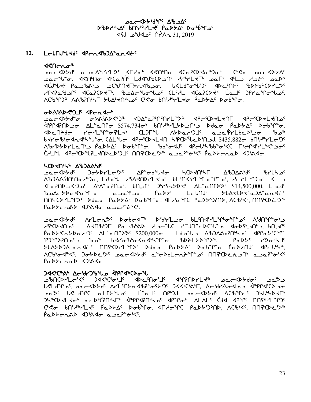## ᠊ᠣ᠍ᠣᡄ᠆᠀᠊ᢂ᠕ᡕᡏ᠀ᢣ᠑ᢍ DBDrULAC bnirurle PaDSAC DoUSMOC  $45J$   $2019$   $\alpha$ <sup>c</sup>  $\Lambda$ <sup>2</sup> $\Lambda$ <sub>0</sub> 31, 2019

#### LalNJUdd<sup>e</sup> dPandbJA°anda<sup>e</sup>  $12.$

#### לל∩ר∩ס\*

᠂ᢅ᠃᠃᠃᠃<br>᠊ᢁᡄ᠆ᢄᠡᢣď᠂ᢆ᠖᠊᠘᠑ᠴ᠘᠖ᠰ᠘ᡔᢄ᠋᠂ᡏᡌ᠂᠕ᢒ᠓᠂᠀ᡭ᠓᠂᠓ᡊ᠅᠂᠓ᡬ᠉᠐ สต์ป<sup>ูง</sup>ปร<sup>ะ</sup> Pa ว<sup>ู</sup>งสร้าว อดขับกรสารสาของ แรนสำหรับ สาวแทน ซอลอะเอรนา ᢣᡌᢦ᠍ᠯᡆ᠍ᡃᠯᢃ᠘ᡆ᠐᠘ᢣ᠓᠂ᠾ᠗᠘ᡕ᠆ᠰ᠈᠋᠑᠂᠂᠘ᡫ᠅᠋᠘᠂ᡘᢗ᠗ᢗᢂᢣ᠅᠂᠘ᢆ᠗ᡁ᠈᠐ᢣ᠗ᢆ᠂ᡘᡌᡆᡗᡰᡉ <u>ለርზዣጋ® ለልზንበኴና ኦιΔኔΚη⊾ς ርእሩ</u> bΠՙ<sub>ፖ</sub>াራር የወ pά

## GDASADED IF SPEASE

᠊ᢁᡏ᠆᠙᠘ᢣ᠑᠂᠖᠊᠘ᢣ᠕ᢓ᠅᠐ᢣ᠑ᢞ᠂᠐᠐ᢣᠾ᠓ᢣᠾ᠓ᢣᠾ᠓ᢣ᠗᠅᠕ᡐ᠀᠂᠀᠂ᡉᢄᢣᢄᡫᡔ᠓ 4ºPM3PN200 AL^aMCo \$574,7340 bMqddanaly Ddao PaDbAC DobM^o. ᢦ᠐ᢄ᠘ᠾᢄᢣᢀᢣᡄᡁᢂᡁᢄᡄ᠈ᡗᡄᡔᠱᠾ᠅ᡘᡫᢄᢣᠾ᠉ᡫ᠑ᡰᡍᢇᠲ᠓ᠷ᠂᠗ᢣ᠗ᢞ bthobod and the call to decided that the bin wiss  $35,882\sigma$  bn at  $45\sigma$ ᠕ᡃᡃ᠖ᡰ᠑ᡔᢂ᠘᠘᠘᠂᠕᠘᠘᠘᠅᠈ᠪ᠗ᡰ᠑᠘ᡗ᠂᠗᠅᠕᠅᠕᠅᠕᠅᠕᠅᠕᠅᠕᠅᠕᠅᠗᠅᠗᠅᠗᠅ 

## LCD TUPL& ABJAANG

᠊ᠣ᠍᠍᠍ᠣᡄ᠆᠌<ᢂᢣ᠕᠌᠂᠗ᠪᢄᢣᢂ᠂᠗ᠪᢄᢣᢂᡁᢄ᠂᠗ᢄ᠆ᢒᡳ᠗ᢄᢣ᠓ᢠᢃ᠘ᡗᡑ᠑᠂᠗ᡆᢄ᠆᠀ᡐ᠑᠘ᠷ᠕ᢆ᠂᠗ᡆᢄ᠆᠀ᡫ᠈ᠪ <u> ለ</u>የእንለልየ የተለው የአይል የተለያየ የተለያየ የተለያየት አል የተለያየት አል የተለያየ የተለያየ የተለያየ የተለያየ የተለያየ የተለያየ የተለያየ የተለያየ ᡏ᠋᠊ᢆᠣ᠊᠌ᢇ᠌ᢇᡉ᠈ᡏ᠈ᠫ᠀᠐᠂᠘᠂ᡗᢜ᠕ᡮᠳ᠙᠂᠖ᠸ<br>᠂ᡋ᠊᠖᠘ᢣᢂ᠖᠂᠘ᢜ᠕ᡮᠳ᠙ᠴ᠖᠂᠂᠕ᢣ᠙᠂᠂᠈ᢥ᠘ᢂᢣᢄ᠂᠂᠘᠘ᡶ᠗᠕ᡗᡉ᠅᠅᠕ᡶ᠘ᡕ᠐᠐᠐᠅᠕᠅᠘᠕᠅᠕᠅<br>᠂ᠪ᠋ᠴ᠘ᡕ᠆ᢣᢂᡕ᠅᠗᠘᠅᠕᠅᠕᠅᠕᠅᠕᠅᠕᠅᠕᠅᠕᠅᠕ᢣᢗᢄ᠅᠕᠅ MAGCDYLMXC Ddao PaDYAC DobMo. <a ADYC PaDYSAND, ACBEKS, MAGCDES  $\hat{\rho}a\hat{\rho}r - a\hat{\rho}b$   $\hat{\rho}a\hat{\rho}c$   $\hat{\rho}a\hat{\rho}c$ 

ᠴ᠌᠌᠌ᅆᡄ<ᢂᢣ᠋ᠡᡆᡩ᠂᠕᠇᠘ᠸ᠘ᠫᠻ᠂᠖ᢐ᠖᠂ᡑᢂ᠘ᢣᠣ᠃ᡖᡌᡳ᠓ᡧᠨ᠘ᡨᡗᡑ᠅ᠴ <sup>ית</sup>וס איז האיט איר אט האר און האיט אויר און האיט איר אראיגן. אין האיי האיר איר איר איר איר איר איר איר איר איר  $\hat{P}$ مامكانجرها مام بالكلام مام مام بالكلام مام مام بالكلام مام مام بالكلام مام مام بالكلام مام مام مام مام مام مام مام مام بالكلام مام بالكلام مام مام بالكلام مام مام مام مام بالكلام مام مام بالكلام مام مام بالكلام مام ᠍᠍᠍᠄ᡃ᠑᠋ᠳ᠑ᢣᡏ᠀᠂᠂᠖ᡑ᠂᠖ᢣᢥ᠂᠖ᢣᢂ᠂ᠪᡑᢂᢣᠾᢂ᠂ᡊᢓᡉᢀᡰ᠑ᢣᡃ  $\overline{P}aPbcAaP$   $\overline{Q}aQb$ 

## 

ᡶ᠋ぐᡫᠣ᠋ᠳᠢ᠂᠊ᢁ᠋ᡄ᠆᠀ᡪᢂᡕ᠂᠕ᢣᡗᢩ᠘᠂᠓ᢣ᠘ᡏᢧ᠈ᡱᠣᠻᡷᠭᢄ᠂᠑ᡏᢉ᠅ᢗ᠅ᠾ᠂ᡘ᠃ᠾ᠆᠄ᠾᢣᠰᠳᢦᢁ᠂᠂ᡎᡑᠾ᠊ᡏᠾᡗᢣᢁ ـممـَّ للالماس مـلـالمسمة الشمال الممار معاصر المستحملة المستحملة المستحملة المستحملة JS\$CD<L<ob acDbC7NbSFb <dbPC47NbSoc <dpp<br ALALc Cd<d <dpp<< MNS\$/L9nJc Cte bnt/tHLt PaDbAC DobtG. 4F/otC PaDbtDAD, ACBt<C, ANTCDED+  $\hat{P}aDb$ che  $\hat{P}bDc$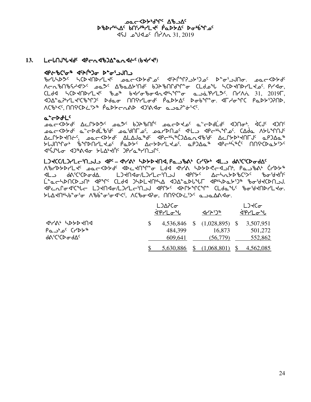## yc Ab your Change scsy4nw5 vt3h6ymJ5 `rNs/w5 si4`vqk5 vt3h6ymJ5 `rNs/w5  $\sqrt{45}$   $\sqrt{45}$   $\sqrt{17}$   $\sqrt{21}$   $\sqrt{2019}$

## 13. L<del>e</del>lNJLJG dPendb)A-andi-(bJYJ)

## c.በሁሬ<sup>ነ</sup>ବ\* 4 መ<sup>ሪሳ</sup>ሳሩነ<sup>6</sup> \*መነጋ ትግ

cyZnsK5 nbsJtsymJ5 kNoXs/f8k5 x5p`QqDl/3gk5 s8i3lAti. kNoXs/f5 Nantheyst Acto Abe Atter beth of the CLd بالمحال المحمد بالمحمد بالمحمد المحمد المحمد المحمد المحمد المعاشر ال  $CLd4$   $\Lambda$ CD<NDr'L<c  $b$  $a^6$   $b$ <r/> $d$   $b$ <r/> $d$   $a^4$ ,  $d^6$ ,  $d^7$   $a$   $a$  $a^6$ Pr'L $\triangleright$ C.  $n$   $nA$   $\lambda$   $\lambda$   $31$ ,  $2019$ 4)Δ<sup>°</sup>αΡΗLΚΌθΥ) Ddaσ ΠΠΦΗLσd<sup>ς</sup> ΡαDbΔς DσbΨ°σ. 4ΓΗσΨC ΡαDbΌΡΠD,  $\Lambda$ (b'<<  $\Lambda$ ns(b))  $\Lambda$   $\rho$   $\rho$ 

## a<sup>'</sup>c>d+L<sup>c</sup>

er<b>طح<b> الحراكة المعرضة المكافرة المحاكمة المحاورة المحاكمة. يُقرآن المكافر لامح<45 من العامة بن المعامل العام المعامل العام العامل المعامل بن المعامل المعامل المعامل المعامل ا ACLYD4USC POCKDAG AFVAG dbCpPaCJTOTUC4PAG WCLXDp4UL1c ObJVO FUJNºPo" SUPPALLE PODE ACTALES OPJAQ<sup>®</sup> dectived MAGEDESS x3`CAzi xg6=xi /Zw4J`t5 gryN6ytlQ5.

#### mgJbb**/**mgymo3tlAl xr5 **–** x4y=4 ns/sJtx**,** rNlc=4 byC/4 xml f=3b3bsifw5

 $\Lambda$ brddall that workby that the thin the mass of the  $\Lambda$ xb3b3b3bc3> d/\SC3Cb3d2. L3dn4d-/L3rLd-102J deryt Δd-hatb3bc3 L<sup>e</sup>achDNCDJN dPMC CLdd JHDLKN4A dJA°aDl4LT dP4HDaYiJ& %o&KCDNJJ. dPCULOdiCal LJAUda/LJLLCiU79 dblara dyladiolity.  $SL\Delta$ dnhb  $\sigma$ ' $\sigma$  /bb  $\sigma$ ' $\sigma$ d' $\ll$ ,  $\Lambda$ ( $\sigma$  $\sigma$ ),  $\Lambda$ n $\sigma$ ,  $\Lambda$ 

|                                                                       | L)∆?Co<br>ᠯ᠋ᡃ᠙ᡝ᠘᠋ᡉ᠋᠍᠂᠊ᡃ               | イトリッ                | L)KCa<br>ᠯ᠋ᡃᠹ᠇᠘ᠣ᠋᠌᠌᠊ᡃᡁ          |
|-----------------------------------------------------------------------|---------------------------------------|---------------------|---------------------------------|
| <b>APYA' SPYPROS</b><br>$PA^c$ C <sub>L</sub><br><b>de</b> ciCp and c | \$<br>4,536,846<br>484.399<br>609,641 | 16,873<br>(56, 779) | 3,507,951<br>501,272<br>552,862 |
|                                                                       | 5,630,886                             | (1,068,801)         | 4,562,085                       |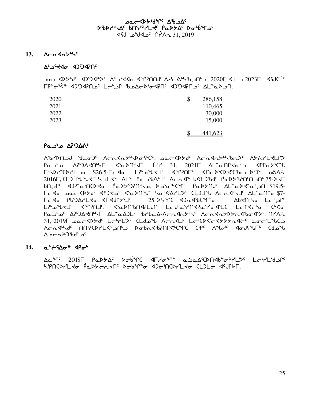## **᠊᠑ᢗ᠆᠀᠊ᠷ᠀ᡒᠾ᠂᠀᠕ᡔᢇᢦ**ᠣ DBDYNAC bniyayLtc PaDSAC Donbinoc  $45J$   $2019$   $\alpha$ <sup>c</sup>  $\Lambda$ <sup>2</sup> $\Lambda$ <sub>0</sub> 31, 2019

## $13.$   $\Lambda \text{C} \Lambda$ g $\Lambda$

## **ALACCO OPF'LLA**

ר 1 - הארד (על 105 - 104 - 104 - 104 - 104 - 104 - 104 - 104 - 104 - 104 - 104 - 104 - 104 - 104 - 10

| 2020 | 286,158<br>\$ |
|------|---------------|
| 2021 | 110,465       |
| 2022 | 30,000        |
| 2023 | 15,000        |
|      |               |
|      | 441,623       |

## $PA^{\bullet}$  APb $\Delta^{\bullet}$

AbrdNJJ 'dco) ^ AcndnthboftCit, sackbtd' Acndnthbnd' AtirLtLPd  $P$ مـاء 40°24'ת (2021) میں مسلم میں اسلام کی اسلام کی میں مسلم میں مسلم میں اسلام کی اسلام کی اسلام میں اسلام کی ا **ГНАРГОСРУЦИОТ \$26.5-Г-40.** LPLANKIC AMPORT AN-D'CDK'C'b-CD'D" DAVA 2016 F. CL J J "L "L SUL AL " Pau "ba" L A C A 3". L CL J "bd" Pa D > "b" A D -> ST 60. مربعة ماج العربية المعلم العربية المعلمية المعلمية المعلمية المعلمية المعلمية المعلمية العربية ا FE40. DOCKDYd <P) Lo' <PDAL ho'<APL>< CL) Ju ACR44J' AL aNG \$7-ᠮᡄᢦ᠋ᡉ᠂᠋᠒ᡰ᠈᠕᠘ᢣ᠕᠂ᡆ᠆ᡏᡆ᠕᠘ᢣ᠈᠆ᡗ᠂᠃᠃᠈ᢓ᠅ᢣᢂ᠘ᢓ᠅ᠰᢄ᠊᠀ᢣᡐᡭᡳ᠓᠂᠘ᢓ᠅ᡗ᠅ ᡫ᠈ᡃᠣ᠗ᠰᢃ᠆ᡁ᠂᠆᠂ᡕ᠕᠂᠂᠂ᡕ᠗᠐᠕᠕᠕᠕᠘᠕᠂᠘᠆᠕᠕᠕᠕᠕᠕᠅᠘ᠻᡒ᠖᠂᠘᠆᠘ᠲ᠓᠅᠘᠉᠘ᠻᡒ Parto APDARNIL AL and bruch-Acadating Acadatation Alang ᠰᡄ᠋ᠬ᠊ᡏᠾᢇ᠙᠂ᡁ᠐ᡫ᠅ᠴ᠒᠈᠂᠘ᠲ᠑ᢣᡳ᠖ᢣᡗᢣᡗ᠓ᢆᡬᠵᠾ᠗ᡁᡔᠾᢆᡳᠾ᠓ᠢᠾᠾᡅᡅᡅᡅᡅᡅᡳ᠉ᡁᠢᡅ᠓ᡁᠢᠾ᠓ᡁᠢᠾ᠓᠕ᡁᠢ ᠘᠘ᡋ᠋᠊᠘ᡕᠴᢁ᠘

## 14.  $a^{\dagger}$   $\leftarrow$   $\left\{ \Delta \sigma^* \right\}$   $\left\{ \varphi \right\}$

SPNCDYLR0 PaDYcaRNS DobiT`o d)cinCDYLR0 CL)L0 dSJNYF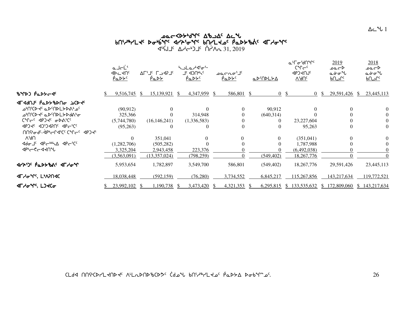# **IF 2019** ΔΑ-Ε-ΣΟ Τ΄ ΠΑΡΑΔ 31, 2019

|                                              | فاحلأ<br><b>DE</b> 4DC<br><u>PaDYS</u> |            |     | $\Delta \Gamma^{\mathfrak{c}} \Gamma^{\mathfrak{c}}$ $\Gamma \rightarrow$ 42 $\Gamma^{\mathfrak{c}}$<br><u>Pa DY</u> |      | hula/digi-<br>Jc 4JUrlc<br><u>PaDYS</u> |    | °ا∽∩ەت<br><u>PaDYS</u> |               | <u>a D'ADLYA</u> |    | ᡅᡃᠮ᠋ᡉᡃᡃᠯ᠓ᠰ᠌<br>$C^{\alpha}C^{-c}$<br><b>AbJAUJC</b><br><u>VAUc</u> |    | 2019<br>⊾∼ءم<br>مخصم<br><u>ے ام</u> |              | 2018<br>⊾صمہ<br>مخ∼س |
|----------------------------------------------|----------------------------------------|------------|-----|----------------------------------------------------------------------------------------------------------------------|------|-----------------------------------------|----|------------------------|---------------|------------------|----|--------------------------------------------------------------------|----|-------------------------------------|--------------|----------------------|
| BYD) PaDYCS                                  |                                        | 9,516,745  | -SS | 15,139,921                                                                                                           | - \$ | 4,347,959                               | -S | 586,801                | <sup>\$</sup> |                  | 0S |                                                                    | 0S | 29,591,426                          | <sup>S</sup> | 23,445,113           |
| ⊲∟⊲ႷႮᡕ <b>ͺϧ</b> ϭ·ͽϲϷ <i>Ϟ</i> ͼ            |                                        |            |     |                                                                                                                      |      |                                         |    |                        |               |                  |    |                                                                    |    |                                     |              |                      |
| ⊸'∩'C⊳ל <sup>כ</sup> പ⊳'∩⊳L≻⊳^' ⊸'           |                                        | (90, 912)  |     | $\theta$                                                                                                             |      |                                         |    | $\Omega$               |               | 90,912           |    | 0                                                                  |    | 0                                   |              | 0                    |
| ᠂᠊ᠣᡃ᠐᠋᠍ᡕᢗᢂᢋᢀ᠂ᠤᢂ᠕᠈ᠳ                           |                                        | 325,366    |     |                                                                                                                      |      | 314,948                                 |    |                        |               | (640,314)        |    |                                                                    |    |                                     |              |                      |
| CMCC APJAC ODVICC                            | (5,744,780)                            |            |     | (16, 146, 241)                                                                                                       |      | (1,336,583)                             |    |                        |               |                  |    | 23, 227, 604                                                       |    |                                     |              | $\Omega$             |
| POR' DISPOSE ANCIC<br>MAG-4P-CACCCACC APJ+   |                                        | (95,263)   |     | $\Omega$                                                                                                             |      | $\Omega$                                |    | $\Omega$               |               |                  |    | 95,263                                                             |    | $\Omega$                            |              |                      |
| V <sub>i</sub> 9U                            |                                        | $\Omega$   |     | 351,041                                                                                                              |      | $\Omega$                                |    |                        |               |                  |    | (351,041)                                                          |    | 0                                   |              | $\theta$             |
| <b>Adould APC++LA APC+CC</b>                 | (1,282,706)                            |            |     | (505, 282)                                                                                                           |      |                                         |    |                        |               |                  |    | 1,787,988                                                          |    |                                     |              |                      |
| ง จะ จะ จะ                                   |                                        | 3,325,204  |     | 2,943,458                                                                                                            |      | 223,376                                 |    |                        |               |                  |    | (6,492,038)                                                        |    |                                     |              |                      |
|                                              | (3,563,091)                            |            |     | (13,357,024)                                                                                                         |      | (798, 259)                              |    |                        |               | (549, 402)       |    | 18, 267, 776                                                       |    |                                     |              | $\Omega$             |
| <u>ብረትጋር የ</u> ሚያትያየራ ብርሃሚሌ                  |                                        | 5,953,654  |     | 1,782,897                                                                                                            |      | 3,549,700                               |    | 586,801                |               | (549, 402)       |    | 18,267,776                                                         |    | 29,591,426                          |              | 23,445,113           |
| <b><t 140<="" b="" br*rs,="" lmp=""></t></b> |                                        | 18,038,448 |     | (592, 159)                                                                                                           |      | (76, 280)                               |    | 3,734,552              |               | 6,845,217        |    | 115,267,856                                                        |    | 143,217,634                         |              | 119,772,521          |
| <b>ALAGAL, LIKCG</b>                         |                                        | 23,992,102 |     | 1,190,738                                                                                                            |      | $3,473,420$ \$                          |    | 4,321,353              |               | 6,295,815        |    |                                                                    |    | $$133,535,632 \ $172,809,060$       |              | \$143,217,634        |

CLdd NNSCDYLKNDK ALLADND&CD3" Cdol bNSARYLKo PaDSA Doblles.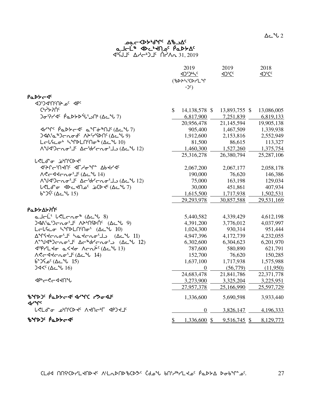## ש⊂≺ף, א<sup>ר</sup>אך פא⊃ ماحلة Ro<sup>r</sup>+M <sup>و</sup> Abc+طه ما

 $\frac{1}{2}$   $\frac{1}{2}$   $\frac{1}{2}$   $\frac{1}{2}$   $\frac{1}{2}$   $\frac{1}{2}$   $\frac{1}{2}$   $\frac{1}{2}$   $\frac{1}{2}$   $\frac{1}{2}$   $\frac{1}{2}$   $\frac{1}{2}$   $\frac{1}{2}$   $\frac{1}{2}$   $\frac{1}{2}$   $\frac{1}{2}$   $\frac{1}{2}$   $\frac{1}{2}$   $\frac{1}{2}$   $\frac{1}{2}$   $\frac{1}{2}$   $\frac{1}{2}$ 

|                                                                                                                                                                                                                            | 2019<br>(%DAS'CDrLM<br>$-2c$ )  | 2019           | 2018       |
|----------------------------------------------------------------------------------------------------------------------------------------------------------------------------------------------------------------------------|---------------------------------|----------------|------------|
| <b>PaDYC45</b>                                                                                                                                                                                                             |                                 |                |            |
| JPC 20 2010                                                                                                                                                                                                                |                                 |                |            |
| <b><sup>כלאי</sup></b>                                                                                                                                                                                                     | $\mathcal{S}$<br>14,138,578 \$  | 13,893,755 \$  | 13,086,005 |
| <b>D</b> PY 4 Pa D P U S A L P V 7)                                                                                                                                                                                        | 6,817,900                       | 7,251,839      | 6,819,133  |
|                                                                                                                                                                                                                            | 20,956,478                      | 21,145,594     | 19,905,138 |
| $47^{\circ}$ $(62^{\circ} - 7)$                                                                                                                                                                                            | 905,400                         | 1,467,509      | 1,339,938  |
| $J4\Lambda^{6}a^{6}$ $J\subset A\sigma d^{c}$ $\Lambda P^{c}Y^{c}P\Lambda^{c}(\Delta c^{6}b^{6})$                                                                                                                          | 1,912,600                       | 2,153,816      | 2,552,949  |
|                                                                                                                                                                                                                            | 81,500                          | 86,615         | 113,327    |
| AUJOCNO'I ACUCAO'I ) (ACU 12)                                                                                                                                                                                              | 1,460,300                       | 1,527,260      | 1,375,754  |
|                                                                                                                                                                                                                            | 25,316,278                      | 26,380,794     | 25,287,106 |
| <b><i>للالحاف تهاالالكا</i>ج</b>                                                                                                                                                                                           |                                 |                |            |
| <b>JELGUAUC JLYQAL VPALAC</b>                                                                                                                                                                                              | 2,067,200                       | 2,067,177      | 2,058,178  |
|                                                                                                                                                                                                                            | 190,000                         | 76,620         | 146,386    |
| AVJJCRO'S AC'drcno'J (AC ºl 12)                                                                                                                                                                                            | 75,000                          | 163,198        | 129,034    |
|                                                                                                                                                                                                                            | 30,000                          | 451,861        | 407,934    |
| $b^{\circ}$ ا لاست ( $\Delta c^{\circ}$ ل 15)                                                                                                                                                                              | 1,615,500                       | 1,717,938      | 1,502,531  |
|                                                                                                                                                                                                                            | 29,293,978                      | 30,857,588     | 29,531,169 |
| ΡҩϷ <b>⋟</b> ∆⋟ʔႶ <sup>ϲ</sup>                                                                                                                                                                                             |                                 |                |            |
| $a$ J $c$ L' $b$ <l<math>cn<math>\sigma</math><sup><math>\infty</math></sup> (<math>\Delta</math><math>c</math><math>\sim</math> <math>b</math> 8)</l<math>                                                                | 5,440,582                       | 4,339,429      | 4,612,198  |
| <b>) &lt;<br/> 3<br/> 2<br/> 4<br/> 6<br/> 9<br/> 9<br/> 9<br/> 9<br/> 9<br> 9<br> 9<br> 9<br/> 9<br/> 9<br/> 9<br/> 9<br/> 9<br/> 9<br/> 9<br/> 9<br/> 9<br/> 9<br/> 9<br/> 9<br/> 9<br/> 9<br/> 9&lt;</br></br></br></b> | 4,391,200                       | 3,776,012      | 4,037,997  |
| Lolico hipplninoi (Acil 10)                                                                                                                                                                                                | 1,024,300                       | 930,314        | 951,444    |
| ΔΥΓΚΚΓΛσ <sup>5</sup> Το ΚΕΛΛσ <sup>5</sup> ΙΟ (ΔεΨ 11)                                                                                                                                                                    | 4,947,396                       | 4,172,739      | 4,232,055  |
| Λ <sup>ερ</sup> J<br>12) - Δεθολίσιος (Δεθί                                                                                                                                                                                | 6,302,600                       | 6,304,623      | 6,201,970  |
| dip/L to a < to Λ σηλ <sup>ι</sup> (Δ ι 13)                                                                                                                                                                                | 787,600                         | 580,890        | 621,791    |
|                                                                                                                                                                                                                            | 152,700                         | 76,620         | 150,285    |
| (15 تا <sup>د⊾</sup> ∆∆) ¢ہُ15*6                                                                                                                                                                                           | 1,637,100                       | 1,717,938      | 1,575,988  |
| )<< (∆د 16)                                                                                                                                                                                                                | $\overline{0}$                  | (56,779)       | (11,950)   |
|                                                                                                                                                                                                                            | 24,683,478                      | 21,841,786     | 22,371,778 |
| ง จะ จะ จะ                                                                                                                                                                                                                 | 3,273,900                       | 3,325,204      | 3,225,951  |
|                                                                                                                                                                                                                            | 27,957,378                      | 25,166,990     | 25,597,729 |
| BYPDS PaDYC4 ALYC LSO4US<br><b>Jrue</b>                                                                                                                                                                                    | 1,336,600                       | 5,690,598      | 3,933,440  |
| LELd <sup>e</sup> J <sub>P</sub> UCD + AJCP-F 4PJ+J                                                                                                                                                                        | $\overline{0}$                  | 3,826,147      | 4,196,333  |
| <b>ზ</b> ዣኦጋ <sup>с</sup> Рึ๎ҩኦ৮૮ኆ                                                                                                                                                                                         | $\frac{1}{2}$<br>$1,336,600$ \$ | $9,516,745$ \$ | 8,129,773  |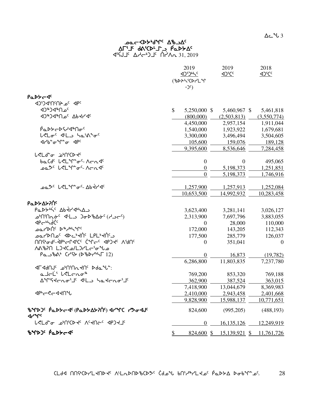| <b>4PC <sup>3</sup>QS 1PC CCD</b>                                                           |                    |                                     |                |
|---------------------------------------------------------------------------------------------|--------------------|-------------------------------------|----------------|
| ⊲0 <sup>®</sup> >d®∩°                                                                       | \$<br>5,250,000 \$ | 5,460,967 \$                        | 5,461,818      |
|                                                                                             | (800,000)          | (2,503,813)                         | (3,550,774)    |
|                                                                                             | 4,450,000          | 2,957,154                           | 1,911,044      |
| ₿ <sub>Ⴍ</sub> ჂჂ <b>←</b> ჂϚᢣϤჼႶႻ <sup>ϲ</sup>                                             | 1,540,000          | 1,923,922                           | 1,679,681      |
| L <loc <l_="" hather<="" td=""><td>3,300,000</td><td>3,496,494</td><td>3,504,605</td></loc> | 3,300,000          | 3,496,494                           | 3,504,605      |
| <b><br/> Thendrian <br/> Thendrian</b>                                                      | 105,600            | 159,076                             | 189,128        |
|                                                                                             | 9,395,600          | 8,536,646                           | 7,284,458      |
| <b>L<ld-c< b=""> inf(D+</ld-c<></b>                                                         |                    |                                     |                |
| baCdc LeLure-Acadc                                                                          | $\boldsymbol{0}$   | $\theta$                            | 495,065        |
|                                                                                             | $\boldsymbol{0}$   | 5,198,373                           | 1,251,851      |
|                                                                                             | $\overline{0}$     | 5,198,373                           | 1,746,916      |
| pa <sup>sc</sup> LeL nac-Abtrac                                                             | 1,257,900          | 1,257,913                           | 1,252,084      |
|                                                                                             | 10,653,500         | 14,992,932                          | 10,283,458     |
| Ρα <b>ι</b> λλαλλής                                                                         |                    |                                     |                |
| PaDYN'S AbtranA                                                                             | 3,623,400          | 3,281,141                           | 3,026,127      |
| ل−دلم) G-b%d*c ( دL∆+) c <sup>-1</sup> N^d                                                  | 2,313,900          | 7,697,796                           | 3,883,055      |
| <b>P</b> endic                                                                              | $\theta$           | 28,000                              | 110,000        |
| <b>POLLDUC</b> DayPride                                                                     | 172,000            | 143,205                             | 112,343        |
| ־ פרן <sub>19</sub> ט שפר, שאר <sub>ף</sub> לעבין, ד $\mathsf{I}_{\mathsf{I}}$ ובי          | 177,500            | 285,779                             | 126,037        |
| UUGAG-SPASLS CALS SAJS-ON                                                                   | $\Omega$           | 351,041                             | $\overline{0}$ |
| عا <sup>م</sup> ی <sup>ن</sup> ت/LJ/Lے/مکارA۸۱b                                             |                    |                                     |                |
| Paubat Cr97 (DbDrt-                                                                         | $\theta$           | 16,873                              | (19,782)       |
|                                                                                             | 6,286,800          | 11,803,835                          | 7,237,780      |
| <b>IF AdNJS</b> JPAN'NAHOS Dda Uni                                                          |                    |                                     |                |
| ald <sup>i</sup> keldar                                                                     | 769,200            | 853,320                             | 769,188        |
| AMSKEROL CHP JL APHONAS                                                                     | 362,900            | 387,524                             | 363,015        |
|                                                                                             | 7,418,900          | 13,044,679                          | 8,369,983      |
| <b>⊲</b> ₧←ぐ←◁ <b>√∩</b> ℃                                                                  | 2,410,000          | 2,943,458                           | 2,401,668      |
|                                                                                             | 9,828,900          | 15,988,137                          | 10,771,651     |
| BYPDS PaDSC 4 (PaDSASTIC) APYC PSo4JC<br><b>Jerus</b>                                       | 824,600            | (995,205)                           | (488, 193)     |
| לכבים היטינג איכאהי PSCN                                                                    | $\overline{0}$     | 16,135,126                          | 12,249,919     |
| BYDJ' PaDYCJ'                                                                               | \$                 | 824,600 \$ 15,139,921 \$ 11,761,726 |                |
|                                                                                             |                    |                                     |                |

## ש⊂≺ף, א<sup>ר</sup>אך פא⊃ wu3j5 f=3bs7j9l ]rNs/w5  $45\overline{15}$   $\Delta7 - 31$ ,  $2019$

PaDS-4c

2019 2019 2018<br>
2019 2016 2016 2016

<u>425365 4366</u>

(%DAS'CDr'L<sup>&</sup>r  $-2^c$ )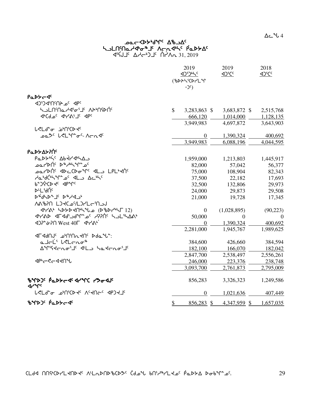# 

 $45115$   $A7 - 515$   $A7 - 31,2019$ 

|                                                                                                                                                                                                                       | 2019<br><b>(BDASCD-LM</b><br>$-2c$ ) | 2019<br>4 <sup>2</sup> CC   | 2018<br>4 <sup>3</sup> CC |
|-----------------------------------------------------------------------------------------------------------------------------------------------------------------------------------------------------------------------|--------------------------------------|-----------------------------|---------------------------|
| PaDY-4c                                                                                                                                                                                                               |                                      |                             |                           |
| JPC 20 2010                                                                                                                                                                                                           |                                      |                             |                           |
|                                                                                                                                                                                                                       | $\mathbb{S}$<br>3,283,863 \$         | 3,683,872 \$                | 2,515,768                 |
| <b>JICALOC JILYALJE JPC</b>                                                                                                                                                                                           | 666,120                              | 1,014,000                   | 1,128,135                 |
|                                                                                                                                                                                                                       | 3,949,983                            | 4,697,872                   | 3,643,903                 |
| <b>L<ld-c< b=""> bMCD+</ld-c<></b>                                                                                                                                                                                    |                                      |                             |                           |
| בס ש <sup>ל נ</sup> י לבו <i>יו"ם<sup>כ</sup> ∧רת לי</i>                                                                                                                                                              |                                      | 1,390,324<br>$\theta$       | 400,692                   |
|                                                                                                                                                                                                                       | 3,949,983                            | 6,088,196                   | 4,044,595                 |
| <b>Ρα</b> ΝΑΣΥΛΟ                                                                                                                                                                                                      |                                      |                             |                           |
| PaDYN'S Abtrana                                                                                                                                                                                                       | 1,959,000                            | 1,213,803                   | 1,445,917                 |
| ےملا اکار ک <sup>ھ</sup> ∖⊬ل کار ا                                                                                                                                                                                    | 82,000                               | 57,042                      | 56,377                    |
|                                                                                                                                                                                                                       | 75,000                               | 108,904                     | 82,343                    |
| AabdChinas dLo Achis                                                                                                                                                                                                  | 37,500                               | 22,182                      | 17,693                    |
| b-J&CD tc dp+rc                                                                                                                                                                                                       | 32,500                               | 132,806                     | 29,973                    |
| <b>DLL'UNC</b>                                                                                                                                                                                                        | 24,000                               | 29,873                      | 29,508                    |
| $D^{\nabla}d\Delta P^{\nabla}J^{\nabla}P^{\nabla}J^{\nabla}$                                                                                                                                                          | 21,000                               | 19,728                      | 17,345                    |
| <b>NGBAN LJKCAYLJYL-MSJ</b>                                                                                                                                                                                           |                                      |                             |                           |
| <b><br/> The CPSO &lt;<br/> CPSO/<br/> CPSO/<br/> CPSO/<br/> CPSO/<br/> CPSO/<br/> CPSO/<br/> CPSO/<br/> CPSO/<br/> CPSO/<br/> CPSO/<br/> CPSO/<br/> CPSO/<br/> CPSO/<br/> CPSO/<br/> CPSO/<br/> CPSO/<br/> CPSO/</b> |                                      | (1,028,895)<br>$\theta$     | (90, 223)                 |
| <b>JPAD JFJJJJJJJJJJJJJC HULILAAS</b>                                                                                                                                                                                 | 50,000                               | $\Omega$                    | $\Omega$                  |
| <dp໊ &="" 40γ="" <="" p∩="" td="" west="" ተረል•`<=""><td></td><td>1,390,324<br/><math>\Omega</math></td><td>400,692</td></dp໊>                                                                                         |                                      | 1,390,324<br>$\Omega$       | 400,692                   |
|                                                                                                                                                                                                                       | 2,281,000                            | 1,945,767                   | 1,989,625                 |
| <b>IF JUDE COMPANE POLAR</b>                                                                                                                                                                                          |                                      |                             |                           |
| ald <sup>i</sup> keldar                                                                                                                                                                                               | 384,600                              | 426,660                     | 384,594                   |
| AMSKCROLL ALL hatcholl                                                                                                                                                                                                | 182,100                              | 166,070                     | 182,042                   |
|                                                                                                                                                                                                                       | 2,847,700                            | 2,538,497                   | 2,556,261                 |
| <b>⊲P'← &lt;← 4 +11 °</b>                                                                                                                                                                                             | 246,000                              | 223,376                     | 238,748                   |
|                                                                                                                                                                                                                       | 3,093,700                            | 2,761,873                   | 2,795,009                 |
| BYDJS PaDYCSS ALTC PDoSJS<br><b>Jerus</b>                                                                                                                                                                             | 856,283                              | 3,326,323                   | 1,249,586                 |
| <u>ויארן פיטונ</u> רא עיאט <del>י</del> י אויראפ                                                                                                                                                                      |                                      | 1,021,636<br>$\overline{0}$ | 407,449                   |
| BYDJ' PaDYCJ'                                                                                                                                                                                                         | \$<br>$856,283$ \$                   | 4,347,959 \$                | 1,657,035                 |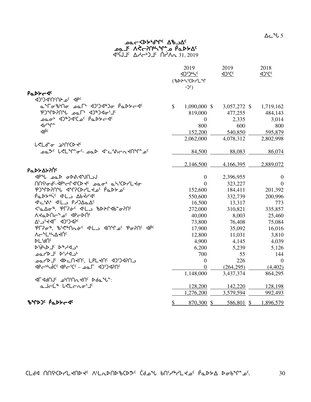## ש⊂≺ף, א<sup>ר</sup>אך פא⊃ oفطر Vچ⊂بايلي<sup>7</sup>ي ل<sub>ب</sub>حولكح 31, 2019 <sup>√لان</sup> 16×4 ∆ط<sup>45</sup>7 ك

|                                           |               | 2019<br><u><br/><br/>&lt;</u><br>(%DAS'CDrL"T<br>$-2c$ | 2019<br><b>ADSCC</b> | 2018<br><br>12°C |
|-------------------------------------------|---------------|--------------------------------------------------------|----------------------|------------------|
| PaDY-4c                                   |               |                                                        |                      |                  |
| JPC 20 2010                               |               |                                                        |                      |                  |
| م"רە"40 - 10%/10 "عمر 10%/0% م            | $\mathbb{S}$  | 1,090,000 \$                                           | 3,057,272 \$         | 1,719,162        |
| PJMPPN Lac F 4JBJ4o'J                     |               | 819,000                                                | 477,255              | 484,143          |
|                                           |               | $\overline{0}$                                         | 2,335                | 3,014            |
| לר≁∩∼                                     |               | 800                                                    | 600                  | 800              |
| $\Phi^{\rm c}$                            |               | 152,200                                                | 540,850              | 595,879          |
|                                           |               | 2,062,000                                              | 4,078,312            | 2,802,998        |
| <b>L<ld<sup>eo</ld<sup></b> inforce       |               |                                                        |                      |                  |
| ےمگ لالے اس حد ہے کہ حد محمد حد اس میں اس |               | 84,500                                                 | 88,083               | 86,074           |
|                                           |               | 2,146,500                                              | 4,166,395            | 2,889,072        |
| <b>Ρα</b> ΝΑΣΑΡΙΟ                         |               |                                                        |                      |                  |
| JPU DOD ODAJUNOJ                          |               | $\boldsymbol{0}$                                       | 2,396,955            | $\mathbf{0}$     |
| MYgd'-dpbcld'CD t' pagb ah'CDYL to        |               | $\overline{0}$                                         | 323,227              | $\mathbf{0}$     |
| PUMPPIN CHALLE POMPCP                     |               | 152,600                                                | 184,411              | 201,392          |
| PODYN'S ALL Abtras                        |               | 550,600                                                | 332,739              | 200,996          |
| J'C'A' J'L PADAQC                         |               | 16,500                                                 | 13,317               | 773              |
|                                           |               | 272,000                                                | 310,821              | 335,857          |
| <b>VATDUC</b> , abCDUc                    |               | 40,000                                                 | 8,003                | 25,460           |
| AL CICD JPF, C,V                          |               | 73,800                                                 | 76,408               | 75,084           |
| PL?04, G'<4NL3 4NL3 C P0?N' 4P'           |               | 17,900                                                 | 35,092               | 16,016           |
| ∧←ªLª¬∆⊀Ń <sup>‹</sup>                    |               | 12,800                                                 | 11,031               | 3,810            |
| <b>PL'</b> dU <sub>c</sub>                |               | 4,900                                                  | 4,145                | 4,039            |
| ∙د4∿*ط <sup>∍</sup> لـط\فو                |               | 6,200                                                  | 5,239                | 5,126            |
| ∗د4√۱۶ کل⊄ا∡ه                             |               | 700                                                    | 55                   | 144              |
| בחל4 יש בחלחי, נפוגלתי איטיאט             |               | $\boldsymbol{0}$                                       | 226                  | $\overline{0}$   |
| PGPC'CP Jea - Jam Jung                    |               | $\overline{0}$                                         | (264, 295)           | (4,402)          |
|                                           |               | 1,148,000                                              | 3,437,374            | 864,295          |
| <b>IF JUDE COMPANE POLAR</b>              |               |                                                        |                      |                  |
| a Jel <sup>is</sup> lelenoi <sup>r</sup>  |               | 128,200                                                | 142,220              | 128,198          |
|                                           |               | 1,276,200                                              | 3,579,594            | 992,493          |
| BYDJ' PaDYCA'                             | $\mathcal{S}$ | 870,300 \$                                             | 586,801 \$           | 1,896,579        |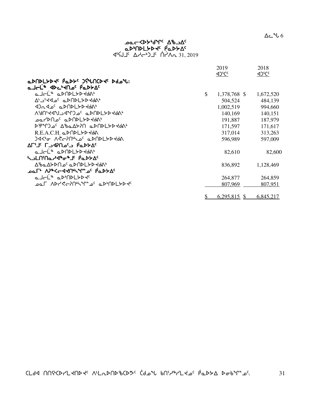$\Delta$ ے  $\sim$  6

## ש⊂≺ף, א<sup>ר</sup>אך פא⊃ aDMDLYDR PaDYA  $\begin{array}{ccc} \n\sqrt{3} & \sqrt{3} & \sqrt{3} & \sqrt{3} & \sqrt{3} & \sqrt{3} & \sqrt{3} & \sqrt{3} & \sqrt{3} & \sqrt{3} & \sqrt{3} & \sqrt{3} & \sqrt{3} & \sqrt{3} & \sqrt{3} & \sqrt{3} & \sqrt{3} & \sqrt{3} & \sqrt{3} & \sqrt{3} & \sqrt{3} & \sqrt{3} & \sqrt{3} & \sqrt{3} & \sqrt{3} & \sqrt{3} & \sqrt{3} & \sqrt{3} & \sqrt{3} & \sqrt{3} & \sqrt{3} & \sqrt{3} & \sqrt{3} & \sqrt{3} & \sqrt{3} & \$

|                                                                                                                       | 2019               | 2018            |
|-----------------------------------------------------------------------------------------------------------------------|--------------------|-----------------|
|                                                                                                                       | <u><br/>Of</u>     | <u><br/>105</u> |
| aDNDLYDR' PaDY' JSUNCDR' Ddo'U:                                                                                       |                    |                 |
| صاحلٌ ⊲4ح'≺∩ے فهک≻∆                                                                                                   |                    |                 |
| QJ⊂L®QDNLYDYdQ                                                                                                        | \$<br>1,378,768 \$ | 1,672,520       |
| ᠘ <sup>ᡕ᠊᠆</sup> ᠈᠆ᡝᡏ᠑ᡕ᠐ᡔ᠂ᢆᢆᠣ᠑ᡫ᠑ᢣ᠑ᠰ                                                                                   | 504,524            | 484,139         |
| י∧4>ללאחלם ים 40ת                                                                                                     | 1,002,519          | 994,660         |
| ₩₩₽₽₹₽₩₩₽₽₹₽₽₽₽₽₽₩₽₽₩₽₽₽₩₽₽                                                                                           | 140,169            | 140,151         |
| ᠊ᢁᢆ᠘ᡃ᠔᠘ᢦᡛ᠂᠖᠖᠕ᡏ᠘ᡔ᠖                                                                                                     | 191,887            | 187,979         |
| <b>DP+CO-C AbaASPN aDNDLSDSdA+</b>                                                                                    | 171,597            | 171,617         |
| R.E.A.C.H. aDNDLYDYdA                                                                                                 | 317,014            | 313,263         |
| <b>JA&lt;<sup>6</sup> A<c?n"s apnplyp+da<="" b="" of=""></c?n"s></b>                                                  | 596,989            | 597,009         |
| י∆לאםβ כיםחק⊳כ∏ יציח                                                                                                  |                    |                 |
| a JCL <sup>&amp;</sup> aDNDLYDYdA                                                                                     | 82,610             | 82,600          |
| ᢣ <b>Ⴢ</b> ႾႶႤႭჍ <sup>Ⴣ</sup> ჼჾჼ⅃ჼ <del>ჼ</del> ႭϷ <del>Ⴤ</del> Ϫჼ                                                   |                    |                 |
| ᠘ჼႦႭ∆ᢣϷႶᠴ <sup>ᡕ</sup> ╺ᡅᢂ᠐ᢂᡫᢣϷᡪᡃᠯ                                                                                    | 836,892            | 1,128,469       |
| ᠊ᢁ᠆ᡁ᠂᠈ᡃᢧᡒᢗᡄ᠊᠍ᡇᢋ᠐ᡒ᠕ᡔᢎ᠂ᡁᢁ᠘ᢄ                                                                                             |                    |                 |
| aJ∈L® aDDDLYDY                                                                                                        | 264,877            | 264,859         |
| <b>ے مل ADH اسلام کے تاکہ اسلام کے اسلام کے اس</b> لام اسلام کی اسلام کی اسلام کی اسلام کی اسلام کے اسلام کی اسلام کے | 807,969            | 807,951         |
|                                                                                                                       |                    |                 |
|                                                                                                                       | $6,295,815$ \$     | 6,845,217       |
|                                                                                                                       |                    |                 |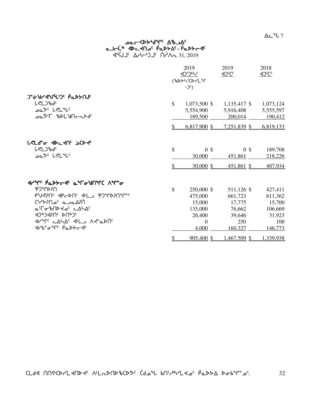## ש⊂≺ף, א<sup>ר</sup>אך פא⊃ هـا<del>د</del>ك ⊲4د⊀∩ه ` 1ف4×∆د - 1ف4≻ح<  $\Delta$ 5  $\Delta$ לי-15  $\Delta$ לי-16  $\Delta$ לא $\Delta$  31, 2019

|                                                                                                                                                                                                                                                            |                                 | 2019<br><u><br/> 101945</u><br>(%DAS'CDrLM<br>$-2c$ )                     | 2019<br>4) <sup>f</sup> Cc                                            | 2018<br>4 <sup>2</sup> CC                                           |
|------------------------------------------------------------------------------------------------------------------------------------------------------------------------------------------------------------------------------------------------------------|---------------------------------|---------------------------------------------------------------------------|-----------------------------------------------------------------------|---------------------------------------------------------------------|
| <b>J-GA-DAJULIOC PODFUR</b><br><b>L</b> <l)bdc<br>oم<sup>&gt;د</sup> لحل<sup>م</sup>لا<br/>ᠴ᠌ᢆᢆ᠘ᡱ᠈᠂ᠾᢂ᠐ᡄ᠘ᡓ᠀</l)bdc<br>                                                                                                                                      | \$                              | 1,073,500 \$<br>5,554,900<br>189,500                                      | $1,135,417$ \$<br>5,916,408<br>200,014                                | 1,073,124<br>5,555,597<br>190,412                                   |
|                                                                                                                                                                                                                                                            | \$                              | $6,817,900$ \$                                                            | 7,251,839 \$                                                          | 6,819,133                                                           |
| <b>L<ld"o <dc<nc="" b="" jocd<f<=""><br/><b>L<l)bdc< b=""><br/>ےمگ<sup>ر</sup> ل&lt;1"لا</l)bdc<></b></ld"o></b>                                                                                                                                           | $\boldsymbol{\mathsf{S}}$<br>\$ | 0 <sup>3</sup><br>30,000<br>$30,000$ \$                                   | 0 <sup>5</sup><br>451,861<br>$451,861$ \$                             | 189,708<br>218,226<br>407,934                                       |
| <u>ብረአር የ</u> ሚያደረፈ ሚግዶ የሀገልር ሃሌ <sub>ጉ</sub><br>በናላጕርዋ<br>PUSING PERNG PLANG POMPINAL<br><u> APPAC a Corry Correspondence</u><br><b>a'ro'bND do cALAG</b><br>JAJUNIC PUPJC<br><b>International Control Advants</b><br>ᢦᡰᢞᢛ <sup>ᡈ</sup> ᡗ᠂ <i>ᡭ</i> ᡆᢂᢣᡄᡏ | \$                              | 250,000 \$<br>475,000<br>15,000<br>135,000<br>26,400<br>$\Omega$<br>4,000 | 511,126 \$<br>661,723<br>17,775<br>76,662<br>39,646<br>250<br>160,327 | 427,411<br>611,362<br>15,700<br>106,669<br>31,923<br>100<br>146,773 |
|                                                                                                                                                                                                                                                            | \$                              | $905,400$ \$                                                              | <u>1,467,509 \$</u>                                                   | 1,339,938                                                           |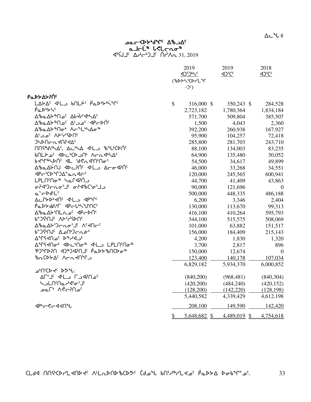# هـاحلّه ۱۳۵ میمه<br>معردهایههای محمد  $451.2019$

|                                                                                                                                                                                      |               | 2019<br>1)5)65<br>(%DAS'CDr'L"T<br>$-2c$ ) | 2019         | 2018           |
|--------------------------------------------------------------------------------------------------------------------------------------------------------------------------------------|---------------|--------------------------------------------|--------------|----------------|
| <b>Ρα</b> ΝΑΣΥΛΟ                                                                                                                                                                     |               |                                            |              |                |
| LAYA <sup>C</sup> < <l_ bnlic="" padbybing<="" td=""><td><math>\mathcal{S}</math></td><td>316,000 \$</td><td>350,243 \$</td><td>284,528</td></l_>                                    | $\mathcal{S}$ | 316,000 \$                                 | 350,243 \$   | 284,528        |
| PaDUS                                                                                                                                                                                |               | 2,723,182                                  | 1,780,364    | 1,834,184      |
| <b>Δ</b> <i>ზ</i> Δ <i>ε<sup>\$</sup>Π 2<sup>c</sup> Δb + 2<sup>c</sup> Δελλ<sup>c</sup></i>                                                                                         |               | 571,700                                    | 509,804      | 385,507        |
|                                                                                                                                                                                      |               | 1,500                                      | 4,043        | 2,360          |
| ᠘ᡃᡃᢐ᠋ᡅ᠘ᡃᡔ <sup>ኈ</sup> ᠓ᢦ᠊ᡃ᠕ᡕ᠆ <sup>ᢌ</sup> ᠘ᡃᢣ᠋᠘ᢦ᠆᠋᠍ᢞ                                                                                                                               |               | 392,200                                    | 260,938      | 167,927        |
| י∩לף יאר ים כ <sup>י</sup> ∆                                                                                                                                                         |               | 95,900                                     | 104,257      | 72,418         |
| <b>JHDUCU4US4Vc</b>                                                                                                                                                                  |               | 285,800                                    | 281,703      | 243,710        |
| $\Lambda$ ns Antion Action of Language Subsections                                                                                                                                   |               | 88,100                                     | 134,003      | 83,235         |
| bNLA oc<br><br>Achart<br>Achart<br><br><br><br><br><br><br>                                                                                                                          |               | 64,900                                     | 135,480      | 30,052         |
| bdinerbyc dr Acuqulu                                                                                                                                                                 |               | 54,500                                     | 34,617       | 49,899         |
| ΔზαΔΫ́NJ <dc?n̈́ <ll="" td="" δσσ<pn̈́<=""><td></td><td>46,000</td><td>33,268</td><td>34,551</td></dc?n̈́>                                                                           |               | 46,000                                     | 33,268       | 34,551         |
| <p<'cd"da"an<i-< td=""><td></td><td>120,000</td><td>245,565</td><td>600,941</td></p<'cd"da"an<i-<>                                                                                   |               | 120,000                                    | 245,565      | 600,941        |
| <b>LPLN</b> Mσ <sup>\$</sup> מרץ LPL                                                                                                                                                 |               | 44,700                                     | 41,409       | 43,863         |
| ᡋ᠌ᡳᢃᢞ᠑ᡕ᠘ᢛ᠈ᢅᡶ᠄᠂ᡋ᠕ᢦᡗᡕ᠖ᡃᡆ                                                                                                                                                               |               | 90,000                                     | 121,696      | $\overline{0}$ |
| ๛ <sub>๎</sub> ๛๖๚่∟๎๎                                                                                                                                                               |               | 500,000                                    | 448,335      | 486,188        |
| ACPYP <sup>6</sup> KN <sup>c</sup> <<br>4P2<br>4P2<br>4P2<br>4P2<br>4P2<br>4P2<br>4P2<br>4P2<br>4P2<br>4P2<br>4P3<br>4P3<br>4P3<br>4P3<br>4P3<br>4P3<br>4P3<br>4P3<br>4P3<br>4P3<br> |               | 6,200                                      | 3,346        | 2,404          |
| <b>PODYdAIF PRELISYINC</b>                                                                                                                                                           |               | 130,000                                    | 113,670      | 99,313         |
| Δ <sup>8</sup> αΔΣ'ΠLλ ο <sup>ς</sup> ΦΡΕΣΠ <sup>ς</sup>                                                                                                                             |               | 416,100                                    | 410,264      | 595,793        |
| <b><sup>β</sup>ϽϤ</b> ͶϤϓϘϒ                                                                                                                                                          |               | 344,100                                    | 515,575      | 508,069        |
| <b>Δ</b> 'baΔ <del>b</del> ') crof's Λεκηςς                                                                                                                                          |               | 101,000                                    | 63,882       | 151,517        |
| ᡉ᠋ <b>᠆᠘᠘᠕</b> ᠂᠘᠘᠓᠅᠘᠆᠗᠅                                                                                                                                                             |               | 156,000                                    | 184,409      | 215,143        |
| AMSYA 2 24/27                                                                                                                                                                        |               | 4,200                                      | 1,830        | 1,320          |
|                                                                                                                                                                                      |               | 3,700                                      | 2,817        | 896            |
| ჼႲჂჼႶႼႵႷჅჼĹႥჽႻჼႵႷჼჼჼႭჽ <del>ჼ</del> ჼႭჽ                                                                                                                                              |               | 150,000                                    | 12,674       | $\overline{0}$ |
| ზ∩CDGG ACn RNºC                                                                                                                                                                      |               | 123,400                                    | 140,178      | 107,034        |
|                                                                                                                                                                                      |               | 6,829,182                                  | 5,934,370    | 6,000,852      |
| : <i>با</i> י<ש <sup>∢</sup> ≻⊲¢∩ים                                                                                                                                                  |               |                                            |              |                |
| ALS C-VANO'                                                                                                                                                                          |               | (840,200)                                  | (968, 481)   | (840, 304)     |
| <b>5-2010 Adjar Jr</b>                                                                                                                                                               |               | (420,200)                                  | (484, 240)   | (420, 152)     |
| ٬مدا?–≫۸ ∗⊐ءمـ                                                                                                                                                                       |               | (128,200)                                  | (142, 220)   | (128, 198)     |
|                                                                                                                                                                                      |               | 5,440,582                                  | 4,339,429    | 4,612,198      |
| <b>⊲</b> ₧←ぐ←∢≺∩Ⴠ                                                                                                                                                                    |               | 208,100                                    | 149,590      | 142,420        |
|                                                                                                                                                                                      | $\mathcal{S}$ | 5,648,682 \$                               | 4,489,019 \$ | 4,754,618      |

33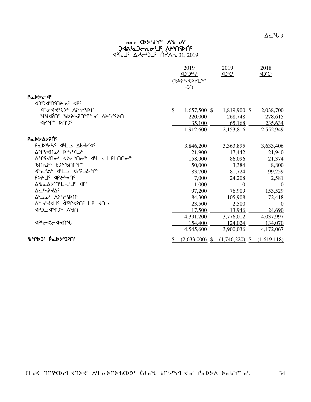$\Delta$ ے  $\sim$  9

## ש⊂≺ף, א<sup>ר</sup>אך פא⊃ jdangan <sup>Jr</sup>-Son-C*arl*oDC  $45 \overline{15} \quad \Delta A - 31$   $\Delta A - 31$ ,  $2019$

|                                                                        |              | 2019<br><u><br/><br/>&lt;</u><br>(%DAS'CDrLM<br>$-2c$ ) | 2019<br>$\Delta$ <sup>5</sup> C <sup>c</sup> | 2018<br><br><u><br/> &lt;&lt;</u> |
|------------------------------------------------------------------------|--------------|---------------------------------------------------------|----------------------------------------------|-----------------------------------|
| PaDY-4c<br>JPC 2019 CCD                                                |              |                                                         |                                              |                                   |
|                                                                        | $\mathbb{S}$ |                                                         |                                              |                                   |
| በብንገሩለ <sup>ጋ</sup> ፌግግባኝተ44ď ገበናÞԵሌ                                   |              | 1,657,500 \$                                            | 1,819,900 \$                                 | 2,038,700                         |
| <b>JAAL</b> DUDC                                                       |              | 220,000                                                 | 268,748                                      | 278,615                           |
|                                                                        |              | 35,100                                                  | 65,168                                       | 235,634                           |
|                                                                        |              | 1,912,600                                               | 2,153,816                                    | 2,552,949                         |
| <b>Ρα</b> ΝΑΣΥΛΟ                                                       |              |                                                         |                                              |                                   |
| Padbyis dlls Abtras                                                    |              | 3,846,200                                               | 3,363,895                                    | 3,633,406                         |
| AMSYNOC D&HJJb                                                         |              | 21,900                                                  | 17,442                                       | 21,940                            |
| ∆ºՐና⊀Ոσ₺ ∢▷⊂ቅበσ₿ ∢Łג LPLՈՈσ₿                                           |              | 158,900                                                 | 86,096                                       | 21,374                            |
|                                                                        |              | 50,000                                                  | 3,384                                        | 8,800                             |
| <b>J-CSN J-LA J-7A-7-</b>                                              |              | 83,700                                                  | 81,724                                       | 99,259                            |
| $P P > 1c$ $3P - 3P$                                                   |              | 7,000                                                   | 24,208                                       | 2,581                             |
| <b>A</b> <i>b</i> <sub>a</sub> A <sup>y</sup> n'L <sub>a</sub> 'Ic dpc |              | 1,000                                                   | $\Omega$                                     | $\Omega$                          |
| <b>AC</b> <sup>6</sup> 5744c                                           |              | 97,200                                                  | 76,909                                       | 153,529                           |
| <b>AL CONTROL</b> CONTROL                                              |              | 84,300                                                  | 105,908                                      | 72,418                            |
| LPL SIR APPARUS LPL SILA                                               |              | 23,500                                                  | 2,500                                        | $\Omega$                          |
| UPSV 4GJ <sub>r</sub> D-CGD                                            |              | 17,500                                                  | 13,946                                       | 24,690                            |
|                                                                        |              | 4,391,200                                               | 3,776,012                                    | 4,037,997                         |
| ง จะ จะ จะ                                                             |              | 154,400                                                 | 124,024                                      | 134,070                           |
|                                                                        |              | 4,545,600                                               | 3,900,036                                    | 4,172,067                         |
| <b>ზ</b> ᠰᢂ» የፌኦ৮ነንስና                                                  | \$           | $(2,633,000)$ \$                                        | $(1,746,220)$ \$                             | (1,619,118)                       |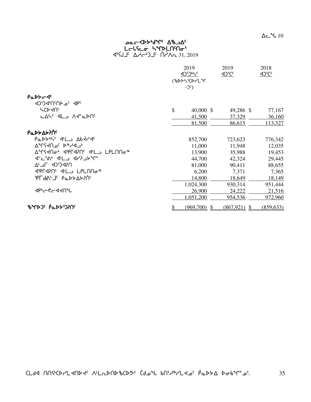## ש⊂≺ף, א<sup>ר</sup>אך פא⊃ Lalsea SMDLNMai

 $45 \text{ GeV} - 31,2019$ 

|                                                                              | 2019<br><u><br/><br/>&lt;</u><br>(BDASCDPLM | 2019<br>$42^{\circ}$ Cc | 2018       |  |  |
|------------------------------------------------------------------------------|---------------------------------------------|-------------------------|------------|--|--|
|                                                                              | $-2c$ )                                     |                         |            |  |  |
| PaDY-4c                                                                      |                                             |                         |            |  |  |
| JPC 2019 CCD                                                                 |                                             |                         |            |  |  |
| <b>SCDKUS</b>                                                                | \$<br>$40,000$ \$                           | 49,286 \$               | 77,167     |  |  |
| د∆5° ⊄لا∟ ∧ל1ه                                                               | 41,500                                      | 37,329                  | 36,160     |  |  |
|                                                                              | 81,500                                      | 86,615                  | 113,327    |  |  |
| <b>Ρα</b> ΝΑΣΑΡΙΟΣ                                                           |                                             |                         |            |  |  |
| PaDYN'S JL Abtr JS                                                           | 852,700                                     | 723,623                 | 776,342    |  |  |
| AºLY4U 26 P&YAJº                                                             | 11,000                                      | 11,948                  | 12,035     |  |  |
| AºTSKNo' <pr<br></pr<br><br>AºTSKNo' <pl<br></pl<br><br><br><br><br>LPLNNo'' | 13,900                                      | 35,988                  | 19,453     |  |  |
| <b>J-CSN' JLD J7735M-</b>                                                    | 44,700                                      | 42,324                  | 29,445     |  |  |
| ח?4כיֿכ4 ח⇒∆                                                                 | 81,000                                      | 90,411                  | 88,655     |  |  |
| ⊲'የቦሩየበ <sup>ር</sup> √'L⇒ LPLበበσ <sup>ቈ</sup>                                | 6,200                                       | 7,371                   | 7,365      |  |  |
| ΈΓΑΔ' Τ΄ Ραρ <del>λ</del> Αλλής                                              | 14,800                                      | 18,649                  | 18,149     |  |  |
|                                                                              | 1,024,300                                   | 930,314                 | 951,444    |  |  |
| <b>⊲</b> ₧~९~ଏ≺∩∿                                                            | 26,900                                      | 24,222                  | 21,516     |  |  |
|                                                                              | 1,051,200                                   | 954,536                 | 972,960    |  |  |
| <b>ზ</b> ᠰᢂ» (የፊኦ፦)ንበ                                                        | \$<br>$(969,700)$ \$                        | $(867,921)$ \$          | (859, 633) |  |  |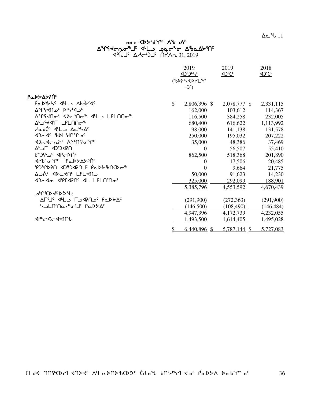|                                         |           | 2019                  | 2019            | 2018              |
|-----------------------------------------|-----------|-----------------------|-----------------|-------------------|
|                                         |           | <u><br/><br/>&lt;</u> | $42^{\circ}$ Cc | 4 <sup>2</sup> CC |
|                                         |           | (BAASCAPLM            |                 |                   |
|                                         |           | $-2c$ )               |                 |                   |
| <b>Ρα</b> ΝΑΣΑΣΡΟ                       |           |                       |                 |                   |
| Padbyte del Abtrac                      | \$        | 2,806,396 \$          | 2,078,777 \$    | 2,331,115         |
| AMSYNOC D <sup>&amp;</sup> H4Jb         |           | 162,000               | 103,612         | 114,367           |
| ∆ºՐና⊀Ոσ₺ ∢▷⊂ቅበσ₿ ∢Łג LPLՈՈσ₿            |           | 116,500               | 384,258         | 232,005           |
| ∆' J'YIT LPLNNo <sup>-8</sup>           |           | 680,400               | 616,622         | 1,113,992         |
| AadC <sup>c</sup> JLJ AchA <sup>c</sup> |           | 98,000                | 141,138         | 131,578           |
| JOG BDL'JATLO                           |           | 250,000               | 195,032         | 207,222           |
|                                         |           | 35,000                | 48,386          | 37,469            |
| ח?4כיֿכ4 ח⇒∆                            |           | $\Omega$              | 56,507          | 55,410            |
| b <sup>e</sup> J <sup>G</sup> dPcDNC    |           | 862,500               | 518,368         | 201,890           |
| ϤϲϸʹͺϘͺͺͺͺͺͺͺͺͺϸϭϓϒͻϯͿͺͺ                |           | $\Omega$              | 17,506          | 20,485            |
| ჼႲჂჼႶႼႨჽႻႨႷႼႱႨჼჼ <del></del>            |           | $\Omega$              | 9,664           | 21,775            |
| ∆⊃עְ <sub>י</sub> ⊲⊳⊂א∪, רµרא∪          |           | 50,000                | 91,623          | 14,230            |
| 4) LPLN' Dr 41 PLN' Dr 5                |           | 325,000               | 292,099         | 188,901           |
|                                         |           | 5,385,796             | 4,553,592       | 4,670,439         |
| −৽৻ৢ৻ঢ়৻৽৸৻৽                            |           |                       |                 |                   |
| ∆רי∟ ⊄ים ר∟י4 יביר AP ברים AF           |           | (291,900)             | (272, 363)      | (291,900)         |
| ᢣ᠍ᠴ <b>᠘</b> ᡤ᠒᠌ᢦ᠂ᡰᢛ᠋᠂ᡗᡆᢂᢣ᠘             |           | (146,500)             | (108, 490)      | (146, 484)        |
|                                         |           | 4,947,396             | 4,172,739       | 4,232,055         |
| <b>⊲</b> ₧←ぐ←◁ <b>⊰∩</b> ℃              |           | 1,493,500             | 1,614,405       | 1,495,028         |
|                                         | <u>\$</u> | $6,440,896$ \$        | 5,787,144 \$    | 5,727,083         |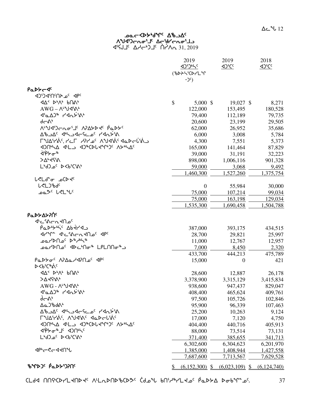### **JOC COPART UP-OF** ∧ְ״של)רתסי⊥י ∆רִי (וואסי בו P<sup>1</sup>S1, 2019 <sup>1</sup> Addy <sup>1</sup> 1 Addy 15, 2019

|                                                                                                    | 2019<br><u><br/><br/>&lt;</u> | 2019<br><br><u><br/> &lt;&lt;</u> | 2018          |
|----------------------------------------------------------------------------------------------------|-------------------------------|-----------------------------------|---------------|
|                                                                                                    | (%DAS'CDrLM<br>$-2c$          |                                   |               |
| PaDYC JC                                                                                           |                               |                                   |               |
| JPC 20 2010                                                                                        |                               |                                   |               |
|                                                                                                    | \$<br>$5,000$ \$              | 19,027 \$                         | 8,271         |
| $AWG - \Lambda^{\iota}Yd^{\iota}\Lambda^{\iota}$                                                   | 122,000                       | 153,495                           | 180,528       |
| <b>Δ'αΔ</b> ) <sup>%</sup> ΚΑλ <del>λ</del> 'Μ'                                                    | 79,400                        | 112,189                           | 79,735        |
| d—ልኑ                                                                                               | 20,600                        | 23,199                            | 29,505        |
| ᠕ <sup>ᡁ</sup> ᠊ᢧᠠ᠍ᡏ᠑ᠸ᠊᠋᠘ᠣ᠄ᡌ᠂᠕᠈᠘ᢣᢂᢞ᠂ <i>ᡭ</i> ᡆᢂᢣ                                                  | 62,000                        | 26,952                            | 35,686        |
| <u>∆ზ აბ</u> < ∢სპაქსა ადასაზა                                                                     | 6,000                         | 3,008                             | 5,784         |
| CUAYAS, YCL YPY OS AUSINS SOLECTION                                                                | 4,300                         | 7,551                             | 5,373         |
|                                                                                                    | 165,000                       | 141,464                           | 87,829        |
| ᠍ᢤ᠈ᡉ᠉                                                                                              | 39,000                        | 31,191                            | 32,223        |
| >∆ <sub>°</sub> ∢ናል                                                                                | 898,000                       | 1,006,116                         | 901,328       |
| LbJ_0' D <b'c's\b< td=""><td>59,000</td><td>3,068</td><td>9,492</td></b'c's\b<>                    | 59,000                        | 3,068                             | 9,492         |
|                                                                                                    | 1,460,300                     | 1,527,260                         | 1,375,754     |
| <b>L<ld< b=""><sup>+</sup>o aCD +c</ld<></b>                                                       |                               |                                   |               |
| <b>L</b> <l)bdc< td=""><td><math>\boldsymbol{0}</math></td><td>55,984</td><td>30,000</td></l)bdc<> | $\boldsymbol{0}$              | 55,984                            | 30,000        |
| ےمگ <sup>ر</sup> لاڑا "د                                                                           | 75,000                        | 107,214                           | 99,034        |
|                                                                                                    | 75,000                        | 163,198                           | 129,034       |
|                                                                                                    | 1,535,300                     | 1,690,458                         | 1,504,788     |
|                                                                                                    |                               |                                   |               |
| Ρα <b>ιλλανιστ</b>                                                                                 |                               |                                   |               |
| ᡧᡄ᠍᠍᠍᠍ᡧ᠌ᡄ᠌ᡊᡳᢦ᠓᠖                                                                                    |                               |                                   |               |
| PODUSHIC Abtra                                                                                     | 387,000                       | 393,175                           | 434,515       |
| Jrun Julian Jrun Gr                                                                                | 28,700                        | 29,821                            | 25,997        |
| ⊕مد\ام مع الم الم                                                                                  | 11,000                        | 12,767                            | 12,957        |
| د®O⊿۲≻∩∟° ⊲4ک∆ که ۲۵∩A∽ه                                                                           | 7,000                         | 8,450                             | 2,320         |
|                                                                                                    | 433,700                       | 444,213                           | 475,789       |
| Parton APAartaPnac dpc                                                                             | 15,000                        | $\overline{0}$                    | 421           |
| ⊳<ሁ <sup>ና</sup> ርኈል<                                                                              |                               |                                   |               |
|                                                                                                    | 28,600                        | 12,887                            | 26,178        |
| >∆ללי^י                                                                                            | 3,378,900                     | 3,315,129                         | 3,415,834     |
| AWG - ^LuJJS                                                                                       | 938,600                       | 947,437                           | 829,047       |
| <b><i>Δελλε ΚΑΓ</i></b> λε                                                                         | 408,400                       | 465,624                           | 409,761       |
| すんし                                                                                                | 97,500                        | 105,726                           | 102,846       |
| <b>Aa</b> JbdAb                                                                                    | 95,900                        | 96,339                            | 107,463       |
| A°47 <sup>2</sup> مــام2 مــام محمد من المحمد الم                                                  | 25,200                        | 10,263                            | 9,124         |
| ΓIJΔናΥλς ΛIJJQAC JaDElSAC                                                                          | 17,000                        | 7,120                             | 4,750         |
|                                                                                                    | 404,400                       | 440,716                           | 405,913       |
| ᡏ᠍ᢥᢂᢦᡛᡑ᠆᠂ᡕ᠉᠇ᢦᢦ᠙                                                                                    | 88,000                        | 73,514                            | 73,131        |
| L'd J_c D <b'c's\'< td=""><td>371,400</td><td>385,655</td><td>341,713</td></b'c's\'<>              | 371,400                       | 385,655                           | 341,713       |
|                                                                                                    | 6,302,600                     | 6,304,623                         | 6,201,970     |
| <b>⊲</b> ₧←ぐ←◁ <b>⊰∩</b> ℃                                                                         | 1,385,000                     | 1,408,944                         | 1,427,558     |
|                                                                                                    | 7,687,600                     | 7,713,567                         | 7,629,528     |
| <b>ზ</b> ΨÞጋ <sup>ς</sup> Ρ΄ ΦΡΡΏΡΠ                                                                | $(6,152,300)$ \$              | $(6,023,109)$ \$                  | (6, 124, 740) |

37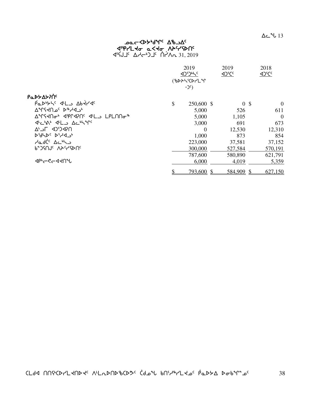## ש⊂≺ף, א<sup>ר</sup>אך פא⊃ **4ºPr'L to a<to APSYSDNG** 31, 2019 <sup>√لان</sup> 16×4 ∆ط<sup>45</sup>7 ك

|                                            | 2019 |                   | 2019<br><u><br/>105</u> | 2018<br><b>SJCC</b> |
|--------------------------------------------|------|-------------------|-------------------------|---------------------|
|                                            |      | <b>(BDASCDrLM</b> |                         |                     |
|                                            |      | $-2c$ )           |                         |                     |
| <b>Ρα</b> ΝΑΣΑΣΡΟ                          |      |                   |                         |                     |
|                                            | \$   | 250,600 \$        | 0 <sup>5</sup>          | $\theta$            |
| ∿°∿°ط عمر C>P^^∆^∆                         |      | 5,000             | 526                     | 611                 |
| <b>AMSRAGH APPRANG PLA LPLNNGH</b>         |      | 5,000             | 1,105                   | $\overline{0}$      |
| JULIAN JULU ALIHAPE                        |      | 3,000             | 691                     | 673                 |
| $\Delta^L$ <sub>J</sub> (2) <sup>2</sup> O |      | $\Omega$          | 12,530                  | 12,310              |
| <b>D'ALDC D'AQUE</b>                       |      | 1,000             | 873                     | 854                 |
| SadC <sup>c</sup> Ac <sup>6</sup>          |      | 223,000           | 37,581                  | 37,152              |
| <b>P-JJUL V5c-JPUC</b>                     |      | 300,000           | 527,584                 | 570,191             |
|                                            |      | 787,600           | 580,890                 | 621,791             |
| <b>⊲</b> ₧~९~ଏ≺∩"Ⴑ                         |      | 6,000             | 4,019                   | 5,359               |
|                                            |      | 793,600 \$        | 584,909 \$              | 627,150             |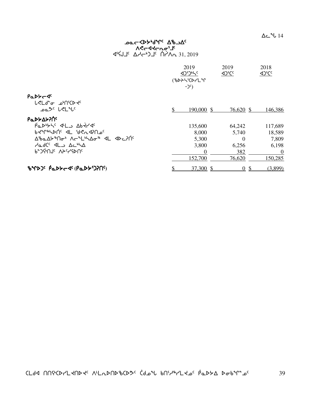$\Delta$ ے 14

## ש⊂≺ף, א<sup>ר</sup>אך פא⊃ Aלרקלרטפ<sub>י</sub> 31, 2019 <sup>√لان</sup> 16×4 ∆ط<sup>45</sup>7 ك

|                                                    | 2019 |                            | 2019<br>$\Delta$ <sup>S</sup> CC | 2018     |
|----------------------------------------------------|------|----------------------------|----------------------------------|----------|
|                                                    |      | <b>(BDASCOCLM</b><br>$-2c$ |                                  |          |
| PaDY-4<br><b>L</b> <ld<sup>e to price the</ld<sup> |      |                            |                                  |          |
| ـا <sup>م کر لاول س</sup>                          | \$   | 190,000 \$                 | 76,620 \$                        | 146,386  |
| <b>Ρα</b> ΝΑΣΥΛΟΥ                                  |      |                            |                                  |          |
| Padbyte del abtrac                                 |      | 135,600                    | 64,242                           | 117,689  |
| PAALPUC AL AGUASUOC                                |      | 8,000                      | 5,740                            | 18,589   |
| ᠘ᡃᡃᠣᡆ᠘ᡃᡔᡃᡃ᠒᠋ᠤᡃ᠂᠕ᡕ᠆ᠰ᠘ᡃᢣ᠘ᡒᠲ᠂╶ <b>ᡕ</b> ᠘᠂᠂ᡘᡅ᠂᠘ᢂ᠘ᢃᡗᡬ  |      | 5,300                      | $\Omega$                         | 7,809    |
| <u>dedCs dLs ActivA</u>                            |      | 3,800                      | 6,256                            | 6,198    |
| P-JGUL VYCAUL                                      |      | $\Omega$                   | 382                              | $\theta$ |
|                                                    |      | 152,700                    | 76,620                           | 150,285  |
| BYDJS PaDSC 45 (PaDSJ)                             |      | 37,300 \$                  | $\Omega$                         | (3,899)  |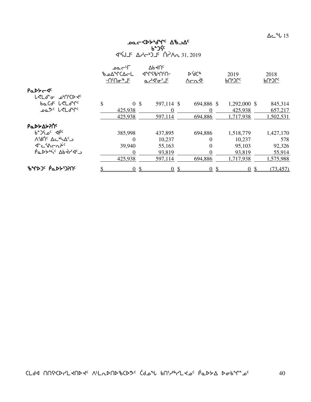$\Delta$ ے 15

# ᠊ᠣᠣ*ᡄ᠆*ᡐᢣᡃᢐ᠋ᠰ<sup>ᡁ</sup>᠂ᡗᢥ᠍ᠴ᠘᠌᠌<br>ᢧ᠋ᢆ᠊ᡗᡬ᠍  $451.2019$

|                                                                       | ⊃'~∟مم<br>∆∆°rC∆←L<br>−∪‹∪≏ <sub>t</sub> ⊩ ⅂ᡕ |                | $\nabla P \nabla U_c$<br>مہاج ہے۔ | D.AC&<br>$\Lambda$ $\subset$ $\Lambda$ <sup>L</sup> | 2019<br>ჼႮჼჂႱჺ | 2018<br>ჼႮჼჂႱჺ |
|-----------------------------------------------------------------------|-----------------------------------------------|----------------|-----------------------------------|-----------------------------------------------------|----------------|----------------|
| PaDY-4c                                                               |                                               |                |                                   |                                                     |                |                |
| ሁ <b><l< b="">ď`σ <sub>-</sub>ፊ•በ<sup>ና</sup>ር⊳<del>√</del>ና</l<></b> |                                               |                |                                   |                                                     |                |                |
| baCdc LeLdMc                                                          | \$                                            | 0 <sup>5</sup> | 597,114 \$                        | 694,886 \$                                          | 1,292,000 \$   | 845,314        |
| ےمگ <sup>و</sup> ل<1اسمبر                                             |                                               | 425,938        | $\Omega$                          | $\theta$                                            | 425,938        | 657,217        |
|                                                                       |                                               | 425,938        | 597,114                           | 694,886                                             | 1,717,938      | 1,502,531      |
| <b>Ρα</b> ΝΑΣΑΣΡΟ                                                     |                                               |                |                                   |                                                     |                |                |
| <sub>b</sub> e d <sub>pc</sub> d <sub>b</sub> c                       |                                               | 385,998        | 437,895                           | 694,886                                             | 1,518,779      | 1,427,170      |
| A'dric AchAc                                                          |                                               | $\theta$       | 10,237                            | 0                                                   | 10,237         | 578            |
| $4 - \frac{1}{2}$                                                     |                                               | 39,940         | 55,163                            | $\theta$                                            | 95,103         | 92,326         |
| Partic Abtrag                                                         |                                               | $\Omega$       | 93,819                            | 0                                                   | 93,819         | 55,914         |
|                                                                       |                                               | 425,938        | 597,114                           | 694,886                                             | 1,717,938      | 1,575,988      |
| <b>ზ</b> ΨÞጋ <sup>¢</sup> ΡΈΡΡΩΡΟ                                     |                                               | $\Omega$       | -\$<br>$\Omega$                   | $\overline{0}$<br>-S                                | $\Omega$       | (73, 457)      |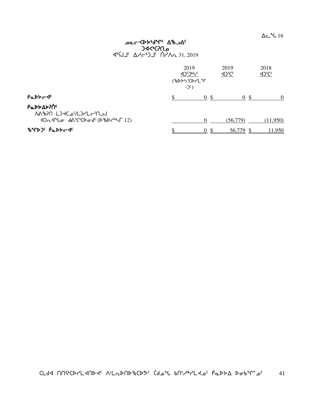$\Delta$ ے 16

## vocckp<sub>r</sub>qalo ve \_anc>bC  $45 \times 31.15$  And  $31, 2019$

|                                                                                                                                                                                                                                              | $-$ ) $c$ ) | 2019<br><b>AJDINS</b><br><b>(BDASCOCLM</b> | 2019<br>$42^{\circ}$ Cc | 2018<br><u><br/>Off</u> |
|----------------------------------------------------------------------------------------------------------------------------------------------------------------------------------------------------------------------------------------------|-------------|--------------------------------------------|-------------------------|-------------------------|
| PaDY-4c                                                                                                                                                                                                                                      |             | 0 <sup>5</sup>                             | 0 <sup>5</sup>          | $\Omega$                |
| Ρα <b>ιλλ</b> ολος<br>JU-U-U-VL-SADAN NGAAN<br>$\Delta$ 2 $\Delta$ $\Delta$ $\Delta$ $\sigma$ $d\Delta$ <sup>5</sup> $C$ $\Delta$ $\sigma$ $d$ <sup>c</sup> $(\Delta$ $\Delta$ $\Delta$ $\Delta$ $\Delta$ <sup>r</sup> $\Delta$ $\Gamma$ 12) |             |                                            | (56,779)                | (11,950)                |
| BYDJS PaDYCSS                                                                                                                                                                                                                                |             | $\theta$                                   | 56,779                  | 1,950                   |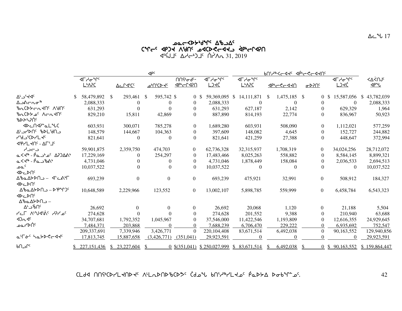# לאר<sub>ל</sub> קלא עניק אירלאקיר שלכף<br>דאר לייט יש האלילי מינגלא לייר יאר האר  $45\overline{6}\overline{1}J^c \Delta A - 5J^c \overline{1}A^2A - 31,2019$

|                                                                                                                                                                                                                                                                                                                              | $\triangleleft P^c$ |                                                 |  |                      |    |                  |                                                  |    | <b>BU'YAK-44' APA-4-440'</b>       |  |                                                         |    |                  |  |                           |  |                                                 |                                   |
|------------------------------------------------------------------------------------------------------------------------------------------------------------------------------------------------------------------------------------------------------------------------------------------------------------------------------|---------------------|-------------------------------------------------|--|----------------------|----|------------------|--------------------------------------------------|----|------------------------------------|--|---------------------------------------------------------|----|------------------|--|---------------------------|--|-------------------------------------------------|-----------------------------------|
|                                                                                                                                                                                                                                                                                                                              |                     | ⊲୮ᢣᠦ <sup>ᡈ</sup> ᡗ<br><b>L</b> <sup></sup> APC |  | Δc Γ4 <sup>5</sup> C |    | <u>-bhorde</u>   | <b>በሀ</b> ራሚራ<br><u><p+cr<p< u=""></p+cr<p<></u> |    | ⊲୮ᢣᠥ <sup>ᡈ</sup> ᡗ<br><u>LJKĆ</u> |  | <b>⊲</b> Гᢣᠦ <sup>ᡈ</sup> ᡗ <sup>ᡕ</sup><br><u>LNAC</u> |    | <u>PFA-S-450</u> |  | $\frac{\sigma P}{\Omega}$ |  | ⊲୮ᢣᠥ <sup>ᡈ</sup> ᡗ <sup>ᡕ</sup><br><u>LJKĆ</u> | ≺∆<̀∩J <sup>∈</sup><br><u>JPU</u> |
| $\Delta^L$ ے' <dc< td=""><td></td><td>58,479,892 \$</td><td></td><td>293,461</td><td>-8</td><td>595,742 \$</td><td></td><td>0S</td><td>59,369,095 \$</td><td></td><td>14,111,871</td><td>-S</td><td>1,475,185 \$</td><td></td><td><math>\overline{0}</math></td><td></td><td>15,587,056</td><td>\$<br/>43,782,039</td></dc<> |                     | 58,479,892 \$                                   |  | 293,461              | -8 | 595,742 \$       |                                                  | 0S | 59,369,095 \$                      |  | 14,111,871                                              | -S | 1,475,185 \$     |  | $\overline{0}$            |  | 15,587,056                                      | \$<br>43,782,039                  |
| ∆౨∆⊂∟⊄                                                                                                                                                                                                                                                                                                                       |                     | 2,088,333                                       |  | $\overline{0}$       |    | $\boldsymbol{0}$ | $\Omega$                                         |    | 2,088,333                          |  | $\overline{0}$                                          |    | $\Omega$         |  | $\Omega$                  |  | $\Omega$                                        | 2,088,333                         |
| <b>BLCDYCLKIC ABRS</b>                                                                                                                                                                                                                                                                                                       |                     | 631,293                                         |  | $\Omega$             |    | $\Omega$         | $\theta$                                         |    | 631,293                            |  | 627,187                                                 |    | 2,142            |  | $\Omega$                  |  | 629,329                                         | 1,964                             |
| bn CDY of Arntn'<br>₽₽ <del>&gt;</del> ∠>Uc                                                                                                                                                                                                                                                                                  |                     | 829,210                                         |  | 15,811               |    | 42,869           | $\Omega$                                         |    | 887,890                            |  | 814,193                                                 |    | 22,774           |  | $\Omega$                  |  | 836.967                                         | 50,923                            |
|                                                                                                                                                                                                                                                                                                                              |                     | 603.931                                         |  | 300,071              |    | 785,278          | $\overline{0}$                                   |    | 1,689,280                          |  | 603,931                                                 |    | 508,090          |  | $\overline{0}$            |  | 1,112,021                                       | 577,259                           |
| ALSUS 3NO                                                                                                                                                                                                                                                                                                                    |                     | 148,579                                         |  | 144,667              |    | 104,363          | $\overline{0}$                                   |    | 397,609                            |  | 148,082                                                 |    | 4,645            |  | $\Omega$                  |  | 152,727                                         | 244,882                           |
| יצראט, כף,                                                                                                                                                                                                                                                                                                                   |                     | 821,641                                         |  | $\overline{0}$       |    | $\boldsymbol{0}$ | $\Omega$                                         |    | 821,641                            |  | 421,259                                                 |    | 27,388           |  | $\theta$                  |  | 448,647                                         | 372,994                           |
| <b>JPYL JOS - ALITIC</b>                                                                                                                                                                                                                                                                                                     |                     |                                                 |  |                      |    |                  |                                                  |    |                                    |  |                                                         |    |                  |  |                           |  |                                                 |                                   |
| د –دام                                                                                                                                                                                                                                                                                                                       |                     | 59,901,875                                      |  | 2,359,750            |    | 474,703          | $\overline{0}$                                   |    | 62,736,328                         |  | 32,315,937                                              |    | 1,708,319        |  | $\theta$                  |  | 34,024,256                                      | 28,712,072                        |
| ©<≺∲ - Ρ໋໑_⊃້⊿໌ Δ?ጋ∆ል∱                                                                                                                                                                                                                                                                                                       |                     | 17,229,169                                      |  | $\Omega$             |    | 254,297          | $\Omega$                                         |    | 17,483,466                         |  | 8,025,263                                               |    | 558,882          |  | $\Omega$                  |  | 8,584,145                                       | 8,899,321                         |
| م<ط - ۱۹ - ۱۹ - ۱۹                                                                                                                                                                                                                                                                                                           |                     | 4,731,046                                       |  | 0                    |    | $\Omega$         | $\theta$                                         |    | 4,731,046                          |  | 1,878,449                                               |    | 158,084          |  | $\Omega$                  |  | 2,036,533                                       | 2,694,513                         |
| ے م                                                                                                                                                                                                                                                                                                                          |                     | 10.037.522                                      |  | $\Omega$             |    | $\theta$         | $\Omega$                                         |    | 10,037,522                         |  | $\Omega$                                                |    | $\overline{0}$   |  | $\Omega$                  |  | $\theta$                                        | 10,037,522                        |
| ⊲⊳⊂⊳∪<br>∆ზჲ∆≻▷∩౨− ∢՟⊂ልኑΓ                                                                                                                                                                                                                                                                                                    |                     | 693,239                                         |  | $\Omega$             |    | $\boldsymbol{0}$ | $\overline{0}$                                   |    | 693,239                            |  | 475,921                                                 |    | 32,991           |  | $\overline{0}$            |  | 508,912                                         | 184,327                           |
| ⊲⊳⊂⊳∪                                                                                                                                                                                                                                                                                                                        |                     |                                                 |  |                      |    |                  |                                                  |    |                                    |  |                                                         |    |                  |  |                           |  |                                                 |                                   |
| ∆ზჲ∆≻⊳Ո౨ – ⊳ัрฺิԳՐ)⊆                                                                                                                                                                                                                                                                                                         |                     | 10,648,589                                      |  | 2,229,966            |    | 123,552          | $\boldsymbol{0}$                                 |    | 13,002,107                         |  | 5,898,785                                               |    | 559,999          |  | $\overline{0}$            |  | 6,458,784                                       | 6,543,323                         |
| <b>∢</b> ⊳⊂⊳∪<br>∆ზჲ∆≻⊳∩౨ –                                                                                                                                                                                                                                                                                                  |                     |                                                 |  |                      |    |                  |                                                  |    |                                    |  |                                                         |    |                  |  |                           |  |                                                 |                                   |
| ∆∿ت−∿∆                                                                                                                                                                                                                                                                                                                       |                     | 26,692                                          |  | $\Omega$             |    | $\Omega$         | $\Omega$                                         |    | 26,692                             |  | 20,068                                                  |    | 1,120            |  | $\Omega$                  |  | 21,188                                          | 5,504                             |
| <b>PLF ALVISH PPL</b>                                                                                                                                                                                                                                                                                                        |                     | 274,628                                         |  | $\Omega$             |    |                  | $\Omega$                                         |    | 274,628                            |  | 201,552                                                 |    | 9,388            |  | $\theta$                  |  | 210,940                                         | 63,688                            |
| 4Dn4c                                                                                                                                                                                                                                                                                                                        |                     | 34,707,681                                      |  | 1,792,352            |    | 1,045,967        | $\Omega$                                         |    | 37,546,000                         |  | 11,422,546                                              |    | 1,193,809        |  | $\Omega$                  |  | 12,616,355                                      | 24,929,645                        |
| ∘^^ا∕ ∟ەم                                                                                                                                                                                                                                                                                                                    |                     | 7.484.371                                       |  | 203.868              |    | $\Omega$         | $\Omega$                                         |    | 7.688.239                          |  | 6,706,470                                               |    | 229,222          |  | $\theta$                  |  | 6,935,692                                       | 752,547                           |
|                                                                                                                                                                                                                                                                                                                              |                     | 209,337,691                                     |  | 7,339,946            |    | 3,426,771        | $\mathbf{0}$                                     |    | 220, 104, 408                      |  | 83,671,514                                              |    | 6,492,038        |  | $\Omega$                  |  | 90,163,552                                      | 129,940,856                       |
| ar-6' habberde                                                                                                                                                                                                                                                                                                               |                     | 17,813,745                                      |  | 15,887,658           |    | (3,426,771)      | (351,041)                                        |    | 29,923,591                         |  | $\Omega$                                                |    | $\Omega$         |  | $\Omega$                  |  |                                                 | 29,923,591                        |
| ∿د∩ه                                                                                                                                                                                                                                                                                                                         |                     | 227, 151, 436                                   |  | 23,227,604           |    |                  |                                                  |    | $0$ \$(351,041) \$ 250,027,999     |  | \$83,671,514                                            |    | 6,492,038        |  |                           |  | $0$ \$ 90,163,552                               | \$159,864,447                     |

CLdd nn ich-land is all adnotions (dot bn in land poth both as.

42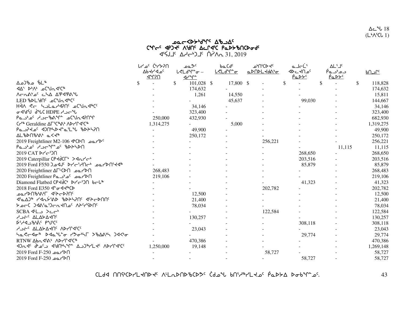$\Delta$ ے 18  $(L^{\bullet} \Lambda^{\mathsf{s}}$ CU 1)

# שפ<Ap<sub>r</sub>م4d, ער 90 ርশ $\mathsf{c}^{\mathsf{c}}$ ና ଏPጋଏଂ ለህበና ለፌቦଏኒር የሚኮኦ $p$ ሀርኮሚ $\mathsf{c}$ air 15 AJC) <sup>2</sup> Martin 31, 2019<br>

|                                                                                                                                        | <u>በናኆ</u> לי¢ <sup>6</sup> ∿ר<br><b>Δb</b> <i>S</i> <sub>C</sub> | <sup>&gt;&lt;</sup> ⊾ہ<br>$L$ <ld<math>\Upsilon<math>\sigma</math> –</ld<math> | baCdc     | <b>PAJIU'D</b><br><u>aDNDLYdalo</u> | a JeL'<br>⊲⊳⊂≺∪° | ∆L' ] <sup>c</sup><br>دم*د⊾é | <u>b∩ے∩c</u>  |
|----------------------------------------------------------------------------------------------------------------------------------------|-------------------------------------------------------------------|--------------------------------------------------------------------------------|-----------|-------------------------------------|------------------|------------------------------|---------------|
|                                                                                                                                        | <u>תרחייב </u>                                                    | $4r^{\circ}r^{\circ}$                                                          |           |                                     | <u>PaDYS</u>     | <u>PaDYC</u>                 |               |
| <sup>∲</sup> ∟أ مالادم∆                                                                                                                | $\mathbb{S}$                                                      | 101,028 \$<br>\$                                                               | 17,800 \$ |                                     | \$               | \$                           | \$<br>118,828 |
| <b>&lt;44' b+14' c<sup>2</sup>Un&lt;1'C<sup>\$</sup></b>                                                                               |                                                                   | 174,632                                                                        |           |                                     |                  |                              | 174,632       |
| <u>ለተከልም የአለ አል</u> ምልም                                                                                                                |                                                                   | 1,261                                                                          | 14,550    |                                     |                  |                              | 15,811        |
| LED & DL'dnc _oClad&Cc                                                                                                                 |                                                                   |                                                                                | 45,637    |                                     | 99,030           |                              | 144,667       |
| HÀN ST holarding acundica                                                                                                              |                                                                   | 34,146                                                                         |           |                                     |                  |                              | 34,146        |
| ل <sup>ى</sup> برد HDPE بەر HDPE بەر                                                                                                   |                                                                   | 323,400                                                                        |           |                                     |                  |                              | 323,400       |
| Pa J'o holle n'a d'un de la la                                                                                                         | 250,000                                                           | 432,930                                                                        |           |                                     |                  |                              | 682,930       |
| Cr <sup>%</sup> Geraldine $\Delta \Gamma^{\varsigma} C^{\omega} \Lambda^{\varsigma} \Lambda^{\varsigma} \Gamma^{\varsigma} C^{\omega}$ | 1,314,275                                                         |                                                                                | 5,000     |                                     |                  |                              | 1,319,275     |
| Pa JP40' 4204524 214 307470                                                                                                            |                                                                   | 49,900                                                                         |           |                                     |                  |                              | 49,900        |
| <b>AL</b> &DN&X a<4                                                                                                                    |                                                                   | 250,172                                                                        |           |                                     |                  |                              | 250,172       |
| 2019 Freightliner M2-106 <6>106 <0>10 <0                                                                                               |                                                                   |                                                                                |           | 256,221                             |                  |                              | 256,221       |
|                                                                                                                                        |                                                                   |                                                                                |           |                                     |                  | 11,115                       | 11,115        |
| 2019 CAT Pr'-'201                                                                                                                      |                                                                   |                                                                                |           |                                     | 268,650          |                              | 268,650       |
| 2019 Caterpillar CP <dclb><br/>0</dclb>                                                                                                |                                                                   |                                                                                |           |                                     | 203,516          |                              | 203,516       |
| 2019 Ford F550 Jed Prc Prime and PD                                                                                                    |                                                                   |                                                                                |           |                                     | 85,879           |                              | 85,879        |
| ר 2020 Freightliner ∆FLC החלץ בסם 1                                                                                                    | 268,483                                                           |                                                                                |           |                                     |                  |                              | 268,483       |
| PA معهد CO20 Freightliner P                                                                                                            | 219,106                                                           |                                                                                |           |                                     |                  |                              | 219,106       |
| Diamond Flatbed CP マイコピックアイ・ソコール                                                                                                       |                                                                   |                                                                                |           |                                     | 41,323           |                              | 41,323        |
| 2018 Ford E350 ぺー d * d < * C >                                                                                                        |                                                                   |                                                                                |           | 202,782                             |                  |                              | 202,782       |
| - አገናላ ብት ብላ ብላካራ                                                                                                                      |                                                                   | 12,500                                                                         |           |                                     |                  |                              | 12,500        |
| {`a_A)``` 74n\\$`&D ``bD`A\?N`^ {`A~DNN`                                                                                               |                                                                   | 21,400                                                                         |           |                                     |                  |                              | 21,400        |
| אסרל איבילה אייר ני מאיני                                                                                                              |                                                                   | 78,034                                                                         |           |                                     |                  |                              | 78,034        |
| $SCBA$ 4L $\rightarrow$ $\leftarrow$ <sup>b</sup>                                                                                      |                                                                   |                                                                                |           | 122,584                             |                  |                              | 122,584       |
| <b>A J C ALAYARIT</b>                                                                                                                  |                                                                   | 130,257                                                                        |           |                                     |                  |                              | 130,257       |
| <b>D</b> SY-10 2 PUICC                                                                                                                 |                                                                   |                                                                                |           |                                     | 308,118          |                              | 308,118       |
| <b>ADSEC ALAYARING VALLAICE</b>                                                                                                        |                                                                   | 23,043                                                                         |           |                                     |                  |                              | 23,043        |
|                                                                                                                                        |                                                                   |                                                                                |           |                                     | 29,774           |                              | 29,774        |
| RTNW Abn 46 <sup>6</sup> AD <sub>r</sub> C46 <sup>6</sup>                                                                              |                                                                   | 470,386                                                                        |           |                                     |                  |                              | 470,386       |
| Drde dusch die Manter Dubler Charles                                                                                                   | 1,250,000                                                         | 19,148                                                                         |           |                                     |                  |                              | 1,269,148     |
| <u>P</u> D∩ے مہ E-250 Ford F-250                                                                                                       |                                                                   |                                                                                |           | 58,727                              |                  |                              | 58,727        |
| <sub>2019</sub> Ford F-250 <b>PM</b>                                                                                                   |                                                                   |                                                                                |           |                                     | 58,727           |                              | 58,727        |

<u>CLdA በበናትርኮረLፈሀኮፈና VrLՄԽJP የ</u>CP2<sub>C</sub> CAPAP PULATE የሚገኙት ይችልም። የሚገኙት የተለያዩ የተለያዩ የተለያዩ የተለያዩ የተለያዩ 43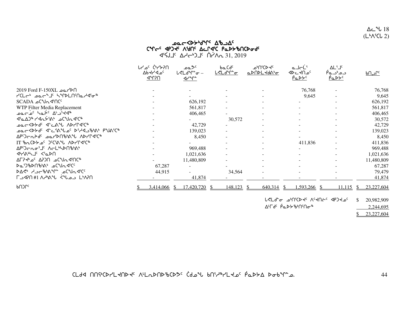$\Delta$ ے  $18$  $(L^b\Lambda^sCL 2)$ 

## **JOCCCAL July-10-700** CYGC APJE AGAC ALLAC PLDSBUCDadc **SIS 2019** ANGLE CONTENTS 31, 2019

|                                              | <u>በናኆ</u> לי <sup>6</sup> <sup>6</sup> ⊾ רו<br>Δb <b>H</b> 4Δ <sup>c</sup><br><u>ብግግድ</u> | <sup>&gt;⊄</sup> ءمـ<br><b>L<ld<sup>nr</ld<sup></b> -<br>$4r^{\circ}r^{\circ}$ | baCdc<br><u>ᲡぐLᲫ℉~</u> | e <sup>6</sup> ∩'C לים<br><u>ℴ▷⋂▷L⊀Ძልჼ፸</u> | a JeL'<br>⊲⊳⊂≺∪°<br><u>PaDYC</u>         | ΔL'J <sup>c</sup><br>دم*دـهP<br><u>PaDYC</u> | <u>DC اد bn</u>   |
|----------------------------------------------|--------------------------------------------------------------------------------------------|--------------------------------------------------------------------------------|------------------------|---------------------------------------------|------------------------------------------|----------------------------------------------|-------------------|
| N حمد Pord F-150XL حمد 2019 Ford F           |                                                                                            |                                                                                |                        |                                             | 76,768                                   |                                              | 76,768            |
| י<1.5 בפר <sup>4 י</sup> ל ליר               |                                                                                            |                                                                                |                        |                                             | 9,645                                    |                                              | 9,645             |
| SCADA CULTO                                  |                                                                                            | 626,192                                                                        |                        |                                             |                                          |                                              | 626,192           |
| WTP Filter Media Replacement                 |                                                                                            | 561,817                                                                        |                        |                                             |                                          |                                              | 561,817           |
| <b>Darg' hat' A' jetar</b>                   |                                                                                            | 406,465                                                                        |                        |                                             |                                          |                                              | 406,465           |
| <b>&lt;ύαλλη ΚΑΓΑ, Α΄ το ΓΑΓΑ, Α΄</b>        |                                                                                            |                                                                                | 30,572                 | $\overline{\phantom{a}}$                    |                                          |                                              | 30,572            |
| <b>DOCKDYd' J-CAN ADYPJICH</b>               |                                                                                            | 42,729                                                                         |                        | $\overline{\phantom{a}}$                    |                                          |                                              | 42,729            |
| − ۹۳۵٬۲۵۰ ۹۴۰٬۵۹۳٬۵۰ ۹۴٬۲۹٬۵۰۰ میلاده        |                                                                                            | 139,023                                                                        |                        |                                             |                                          |                                              | 139,023           |
| APC)CANG PTAUPAPY VANLAC+                    |                                                                                            | 8,450                                                                          |                        |                                             |                                          |                                              | 8,450             |
| TT <i>ზ</i> ഫርኦታ⊿ <sup>c</sup> ጋ℃የልግ ለኦ/Ր⊲℃ჼ |                                                                                            |                                                                                |                        |                                             | 411,836                                  |                                              | 411,836           |
| APC)CRO'J' ACLINDNbbAI                       |                                                                                            | 969,488                                                                        |                        |                                             |                                          |                                              | 969,488           |
| <b>SALANTEL SALANT</b>                       |                                                                                            | 1,021,636                                                                      |                        | ٠                                           |                                          |                                              | 1,021,636         |
| ∿°′ ∆ר}לי∡ <sup>0</sup> ∆2)∩ ∆ <sup>0</sup>  |                                                                                            | 11,480,809                                                                     |                        |                                             |                                          |                                              | 11,480,809        |
| <b>Da</b> ')'bDበ'b'ል' aC'Un4'C'              | 67,287                                                                                     |                                                                                |                        |                                             |                                          |                                              | 67,287            |
| እ∆< የישר <i>ზ∆∜</i> ° ב4 <i>ל^</i> 40        | 44,915                                                                                     |                                                                                | 34,564                 | $\overline{\phantom{a}}$                    |                                          |                                              | 79,479            |
| LMPN دمىلاك WAMA 41AMدT                      |                                                                                            | 41,874                                                                         |                        |                                             |                                          |                                              | 41,874            |
| ႱႮႱ                                          | 3,414,066 \$                                                                               | 17,420,720 \$                                                                  | 148,123                | $640,314$ \$                                | $1,593,266$ \$                           | <u>11,115</u>                                | 23,227,604<br>-SS |
|                                              |                                                                                            |                                                                                |                        |                                             | ו`לם ץ⊸ ״ ייטינע אב עראט די פוסט קייקי ק |                                              | 20.082.000        |

יםדע"ם "אטיווני ש"גבי ה"ל ולי של איט  $\mathcal{P}$ 20,982,909 ∆<sup>∟</sup>୮Ძ<sup>ϲ</sup> ฅ҆ҩϷ⋟ჼ৮ነ∩៘ 2,244,695

 $$23,227,604$ 

CLdd NN SCPYL AND AC ALLODND BCD 3C Cd DU BN SPYL A GCD BODD DOOM D.

44